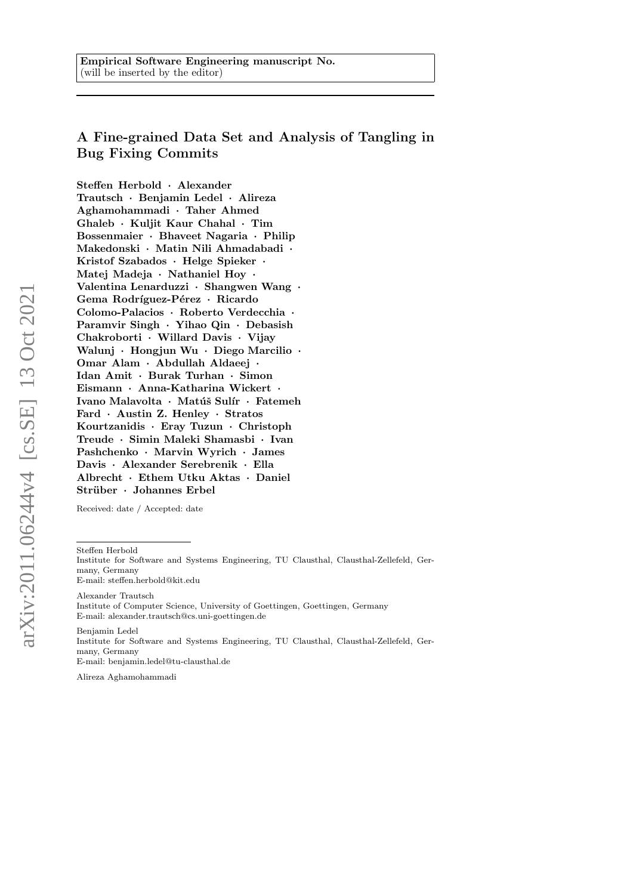# A Fine-grained Data Set and Analysis of Tangling in Bug Fixing Commits

Steffen Herbold · Alexander Trautsch · Benjamin Ledel · Alireza Aghamohammadi · Taher Ahmed Ghaleb · Kuljit Kaur Chahal · Tim Bossenmaier · Bhaveet Nagaria · Philip Makedonski · Matin Nili Ahmadabadi · Kristof Szabados · Helge Spieker · Matej Madeja · Nathaniel Hoy · Valentina Lenarduzzi · Shangwen Wang · Gema Rodríguez-Pérez · Ricardo Colomo-Palacios · Roberto Verdecchia · Paramvir Singh · Yihao Qin · Debasish Chakroborti · Willard Davis · Vijay Walunj · Hongjun Wu · Diego Marcilio · Omar Alam · Abdullah Aldaeej · Idan Amit · Burak Turhan · Simon Eismann · Anna-Katharina Wickert · Ivano Malavolta · Matúš Sulír · Fatemeh Fard · Austin Z. Henley · Stratos Kourtzanidis · Eray Tuzun · Christoph Treude · Simin Maleki Shamasbi · Ivan Pashchenko · Marvin Wyrich · James Davis · Alexander Serebrenik · Ella Albrecht · Ethem Utku Aktas · Daniel Strüber · Johannes Erbel

Received: date / Accepted: date

Steffen Herbold Institute for Software and Systems Engineering, TU Clausthal, Clausthal-Zellefeld, Germany, Germany E-mail: steffen.herbold@kit.edu

Alexander Trautsch Institute of Computer Science, University of Goettingen, Goettingen, Germany E-mail: alexander.trautsch@cs.uni-goettingen.de

Benjamin Ledel Institute for Software and Systems Engineering, TU Clausthal, Clausthal-Zellefeld, Germany, Germany E-mail: benjamin.ledel@tu-clausthal.de

Alireza Aghamohammadi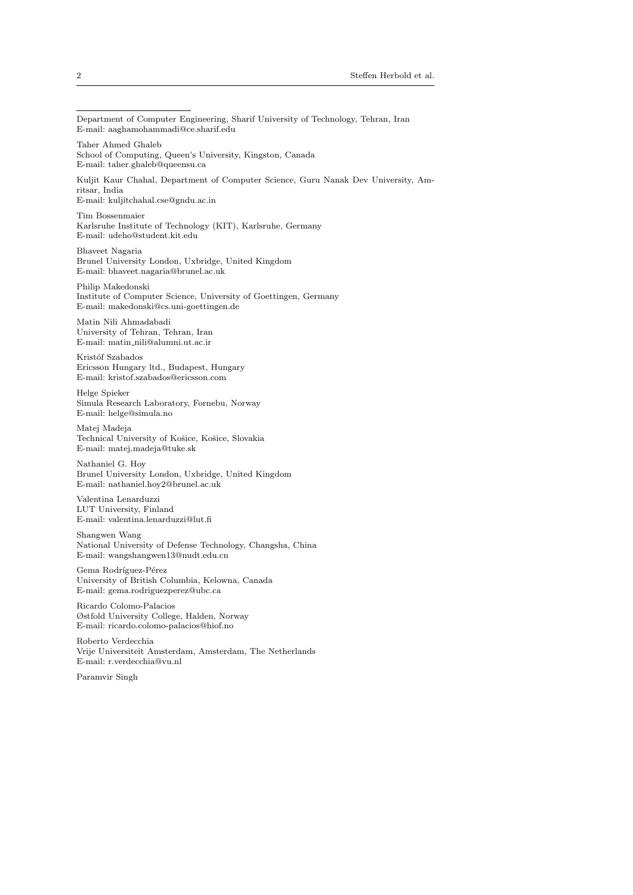Department of Computer Engineering, Sharif University of Technology, Tehran, Iran E-mail: aaghamohammadi@ce.sharif.edu

Taher Ahmed Ghaleb School of Computing, Queen's University, Kingston, Canada E-mail: taher.ghaleb@queensu.ca

Kuljit Kaur Chahal, Department of Computer Science, Guru Nanak Dev University, Amritsar, India E-mail: kuljitchahal.cse@gndu.ac.in

Tim Bossenmaier Karlsruhe Institute of Technology (KIT), Karlsruhe, Germany

E-mail: udeho@student.kit.edu Bhaveet Nagaria Brunel University London, Uxbridge, United Kingdom

Philip Makedonski Institute of Computer Science, University of Goettingen, Germany E-mail: makedonski@cs.uni-goettingen.de

Matin Nili Ahmadabadi University of Tehran, Tehran, Iran E-mail: matin nili@alumni.ut.ac.ir

E-mail: bhaveet.nagaria@brunel.ac.uk

Kristóf Szabados Ericsson Hungary ltd., Budapest, Hungary E-mail: kristof.szabados@ericsson.com

Helge Spieker Simula Research Laboratory, Fornebu, Norway E-mail: helge@simula.no

Matej Madeja Technical University of Košice, Košice, Slovakia E-mail: matej.madeja@tuke.sk

Nathaniel G. Hoy Brunel University London, Uxbridge, United Kingdom E-mail: nathaniel.hoy2@brunel.ac.uk

Valentina Lenarduzzi LUT University, Finland E-mail: valentina.lenarduzzi@lut.fi

Shangwen Wang National University of Defense Technology, Changsha, China E-mail: wangshangwen13@nudt.edu.cn

Gema Rodríguez-Pérez University of British Columbia, Kelowna, Canada E-mail: gema.rodriguezperez@ubc.ca

Ricardo Colomo-Palacios Østfold University College, Halden, Norway E-mail: ricardo.colomo-palacios@hiof.no

Roberto Verdecchia Vrije Universiteit Amsterdam, Amsterdam, The Netherlands E-mail: r.verdecchia@vu.nl

Paramvir Singh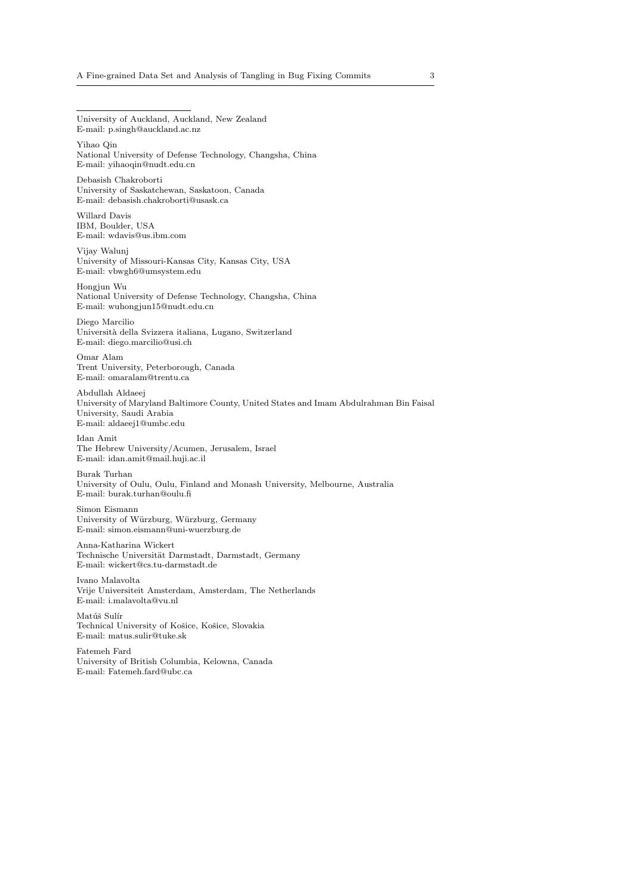University of Auckland, Auckland, New Zealand E-mail: p.singh@auckland.ac.nz

Yihao Qin National University of Defense Technology, Changsha, China E-mail: yihaoqin@nudt.edu.cn

Debasish Chakroborti University of Saskatchewan, Saskatoon, Canada E-mail: debasish.chakroborti@usask.ca

Willard Davis IBM, Boulder, USA E-mail: wdavis@us.ibm.com

Vijay Walunj University of Missouri-Kansas City, Kansas City, USA E-mail: vbwgh6@umsystem.edu

Hongjun Wu National University of Defense Technology, Changsha, China E-mail: wuhongjun15@nudt.edu.cn

Diego Marcilio Universit`a della Svizzera italiana, Lugano, Switzerland E-mail: diego.marcilio@usi.ch

Omar Alam Trent University, Peterborough, Canada E-mail: omaralam@trentu.ca

Abdullah Aldaeej University of Maryland Baltimore County, United States and Imam Abdulrahman Bin Faisal University, Saudi Arabia E-mail: aldaeej1@umbc.edu

Idan Amit The Hebrew University/Acumen, Jerusalem, Israel E-mail: idan.amit@mail.huji.ac.il

Burak Turhan University of Oulu, Oulu, Finland and Monash University, Melbourne, Australia E-mail: burak.turhan@oulu.fi

Simon Eismann University of Würzburg, Würzburg, Germany E-mail: simon.eismann@uni-wuerzburg.de

Anna-Katharina Wickert Technische Universität Darmstadt, Darmstadt, Germany E-mail: wickert@cs.tu-darmstadt.de

Ivano Malavolta Vrije Universiteit Amsterdam, Amsterdam, The Netherlands E-mail: i.malavolta@vu.nl

Matúš Sulír Technical University of Košice, Košice, Slovakia E-mail: matus.sulir@tuke.sk

Fatemeh Fard University of British Columbia, Kelowna, Canada E-mail: Fatemeh.fard@ubc.ca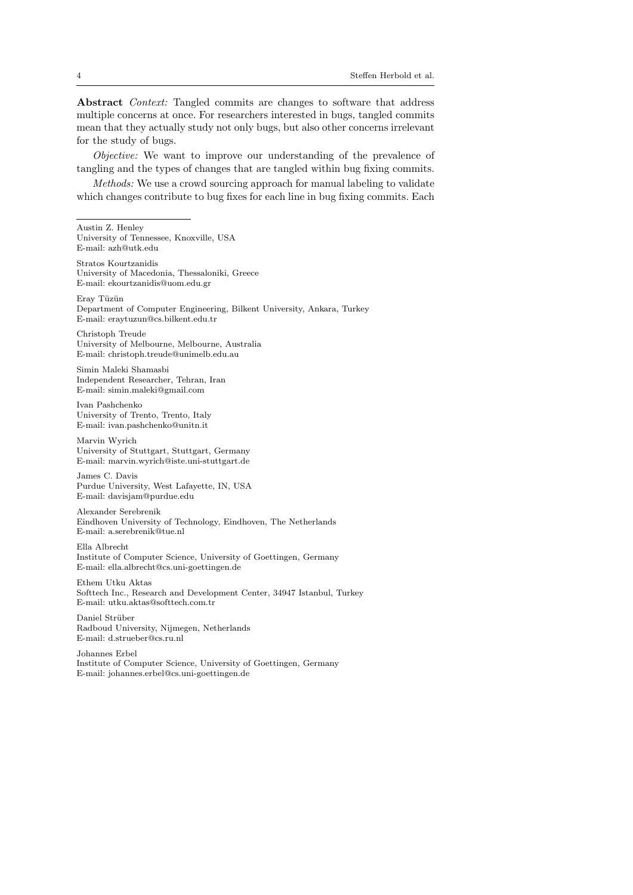Abstract Context: Tangled commits are changes to software that address multiple concerns at once. For researchers interested in bugs, tangled commits mean that they actually study not only bugs, but also other concerns irrelevant for the study of bugs.

Objective: We want to improve our understanding of the prevalence of tangling and the types of changes that are tangled within bug fixing commits.

Methods: We use a crowd sourcing approach for manual labeling to validate which changes contribute to bug fixes for each line in bug fixing commits. Each

Austin Z. Henley University of Tennessee, Knoxville, USA E-mail: azh@utk.edu

Stratos Kourtzanidis University of Macedonia, Thessaloniki, Greece E-mail: ekourtzanidis@uom.edu.gr

Eray Tüzün Department of Computer Engineering, Bilkent University, Ankara, Turkey E-mail: eraytuzun@cs.bilkent.edu.tr

Christoph Treude University of Melbourne, Melbourne, Australia E-mail: christoph.treude@unimelb.edu.au

Simin Maleki Shamasbi Independent Researcher, Tehran, Iran E-mail: simin.maleki@gmail.com

Ivan Pashchenko University of Trento, Trento, Italy E-mail: ivan.pashchenko@unitn.it

Marvin Wyrich University of Stuttgart, Stuttgart, Germany E-mail: marvin.wyrich@iste.uni-stuttgart.de

James C. Davis Purdue University, West Lafayette, IN, USA E-mail: davisjam@purdue.edu

Alexander Serebrenik Eindhoven University of Technology, Eindhoven, The Netherlands E-mail: a.serebrenik@tue.nl

Ella Albrecht Institute of Computer Science, University of Goettingen, Germany E-mail: ella.albrecht@cs.uni-goettingen.de

Ethem Utku Aktas Softtech Inc., Research and Development Center, 34947 Istanbul, Turkey E-mail: utku.aktas@softtech.com.tr

Daniel Strüber Radboud University, Nijmegen, Netherlands E-mail: d.strueber@cs.ru.nl

Johannes Erbel Institute of Computer Science, University of Goettingen, Germany E-mail: johannes.erbel@cs.uni-goettingen.de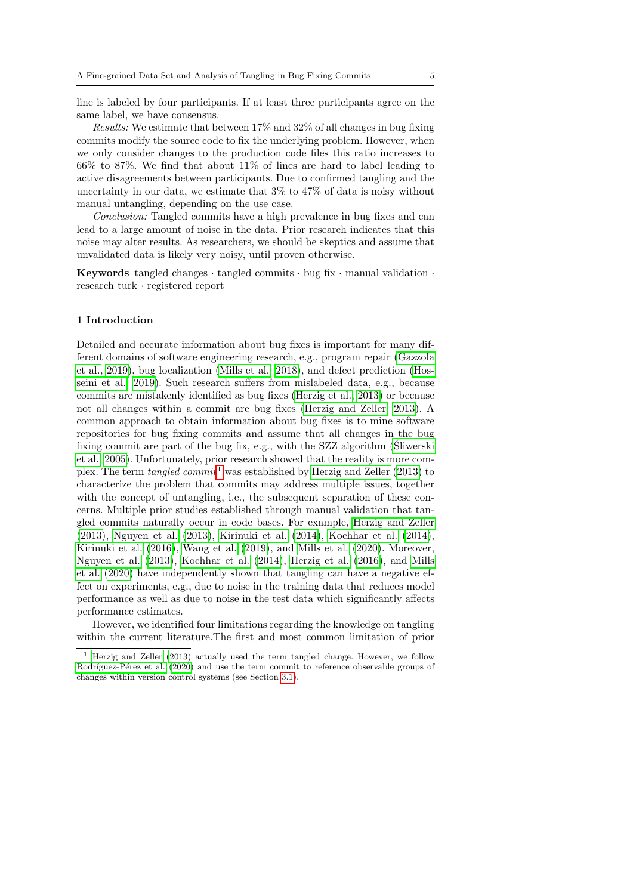line is labeled by four participants. If at least three participants agree on the same label, we have consensus.

Results: We estimate that between 17% and 32% of all changes in bug fixing commits modify the source code to fix the underlying problem. However, when we only consider changes to the production code files this ratio increases to 66% to 87%. We find that about 11% of lines are hard to label leading to active disagreements between participants. Due to confirmed tangling and the uncertainty in our data, we estimate that 3% to 47% of data is noisy without manual untangling, depending on the use case.

Conclusion: Tangled commits have a high prevalence in bug fixes and can lead to a large amount of noise in the data. Prior research indicates that this noise may alter results. As researchers, we should be skeptics and assume that unvalidated data is likely very noisy, until proven otherwise.

**Keywords** tangled changes  $\cdot$  tangled commits  $\cdot$  bug fix  $\cdot$  manual validation  $\cdot$ research turk · registered report

### 1 Introduction

Detailed and accurate information about bug fixes is important for many different domains of software engineering research, e.g., program repair [\(Gazzola](#page-47-0) [et al., 2019\)](#page-47-0), bug localization [\(Mills et al., 2018\)](#page-49-0), and defect prediction [\(Hos](#page-47-1)[seini et al., 2019\)](#page-47-1). Such research suffers from mislabeled data, e.g., because commits are mistakenly identified as bug fixes [\(Herzig et al., 2013\)](#page-47-2) or because not all changes within a commit are bug fixes [\(Herzig and Zeller, 2013\)](#page-47-3). A common approach to obtain information about bug fixes is to mine software repositories for bug fixing commits and assume that all changes in the bug fixing commit are part of the bug fix, e.g., with the SZZ algorithm [\(Sliwerski](#page-50-0) [et al., 2005\)](#page-50-0). Unfortunately, prior research showed that the reality is more com-plex. The term tangled commit<sup>[1](#page-4-0)</sup> was established by [Herzig and Zeller](#page-47-3) [\(2013\)](#page-47-3) to characterize the problem that commits may address multiple issues, together with the concept of untangling, i.e., the subsequent separation of these concerns. Multiple prior studies established through manual validation that tangled commits naturally occur in code bases. For example, [Herzig and Zeller](#page-47-3) [\(2013\)](#page-47-3), [Nguyen et al.](#page-49-1) [\(2013\)](#page-49-1), [Kirinuki et al.](#page-48-0) [\(2014\)](#page-48-0), [Kochhar et al.](#page-48-1) [\(2014\)](#page-48-1), [Kirinuki et al.](#page-48-2) [\(2016\)](#page-48-2), [Wang et al.](#page-50-1) [\(2019\)](#page-50-1), and [Mills et al.](#page-49-2) [\(2020\)](#page-49-2). Moreover, [Nguyen et al.](#page-49-1) [\(2013\)](#page-49-1), [Kochhar et al.](#page-48-1) [\(2014\)](#page-48-1), [Herzig et al.](#page-47-4) [\(2016\)](#page-47-4), and [Mills](#page-49-2) [et al.](#page-49-2) [\(2020\)](#page-49-2) have independently shown that tangling can have a negative effect on experiments, e.g., due to noise in the training data that reduces model performance as well as due to noise in the test data which significantly affects performance estimates.

However, we identified four limitations regarding the knowledge on tangling within the current literature.The first and most common limitation of prior

<span id="page-4-0"></span><sup>1</sup> [Herzig and Zeller](#page-47-3) [\(2013\)](#page-47-3) actually used the term tangled change. However, we follow Rodríguez-Pérez et al. [\(2020\)](#page-49-3) and use the term commit to reference observable groups of changes within version control systems (see Section [3.1\)](#page-11-0).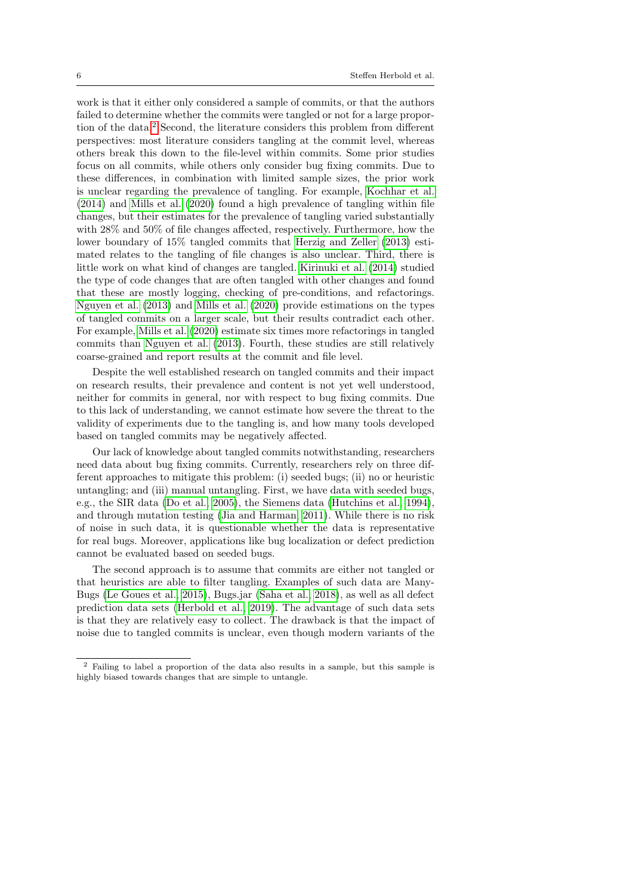work is that it either only considered a sample of commits, or that the authors failed to determine whether the commits were tangled or not for a large proportion of the data.[2](#page-5-0) Second, the literature considers this problem from different perspectives: most literature considers tangling at the commit level, whereas others break this down to the file-level within commits. Some prior studies focus on all commits, while others only consider bug fixing commits. Due to these differences, in combination with limited sample sizes, the prior work is unclear regarding the prevalence of tangling. For example, [Kochhar et al.](#page-48-1) [\(2014\)](#page-48-1) and [Mills et al.](#page-49-2) [\(2020\)](#page-49-2) found a high prevalence of tangling within file changes, but their estimates for the prevalence of tangling varied substantially with 28% and 50% of file changes affected, respectively. Furthermore, how the lower boundary of 15% tangled commits that [Herzig and Zeller](#page-47-3) [\(2013\)](#page-47-3) estimated relates to the tangling of file changes is also unclear. Third, there is little work on what kind of changes are tangled. [Kirinuki et al.](#page-48-0) [\(2014\)](#page-48-0) studied the type of code changes that are often tangled with other changes and found that these are mostly logging, checking of pre-conditions, and refactorings. [Nguyen et al.](#page-49-1) [\(2013\)](#page-49-1) and [Mills et al.](#page-49-2) [\(2020\)](#page-49-2) provide estimations on the types of tangled commits on a larger scale, but their results contradict each other. For example, [Mills et al.](#page-49-2) [\(2020\)](#page-49-2) estimate six times more refactorings in tangled commits than [Nguyen et al.](#page-49-1) [\(2013\)](#page-49-1). Fourth, these studies are still relatively coarse-grained and report results at the commit and file level.

Despite the well established research on tangled commits and their impact on research results, their prevalence and content is not yet well understood, neither for commits in general, nor with respect to bug fixing commits. Due to this lack of understanding, we cannot estimate how severe the threat to the validity of experiments due to the tangling is, and how many tools developed based on tangled commits may be negatively affected.

Our lack of knowledge about tangled commits notwithstanding, researchers need data about bug fixing commits. Currently, researchers rely on three different approaches to mitigate this problem: (i) seeded bugs; (ii) no or heuristic untangling; and (iii) manual untangling. First, we have data with seeded bugs, e.g., the SIR data [\(Do et al., 2005\)](#page-46-0), the Siemens data [\(Hutchins et al., 1994\)](#page-47-5), and through mutation testing [\(Jia and Harman, 2011\)](#page-48-3). While there is no risk of noise in such data, it is questionable whether the data is representative for real bugs. Moreover, applications like bug localization or defect prediction cannot be evaluated based on seeded bugs.

The second approach is to assume that commits are either not tangled or that heuristics are able to filter tangling. Examples of such data are Many-Bugs [\(Le Goues et al., 2015\)](#page-48-4), Bugs.jar [\(Saha et al., 2018\)](#page-49-4), as well as all defect prediction data sets [\(Herbold et al., 2019\)](#page-47-6). The advantage of such data sets is that they are relatively easy to collect. The drawback is that the impact of noise due to tangled commits is unclear, even though modern variants of the

<span id="page-5-0"></span><sup>2</sup> Failing to label a proportion of the data also results in a sample, but this sample is highly biased towards changes that are simple to untangle.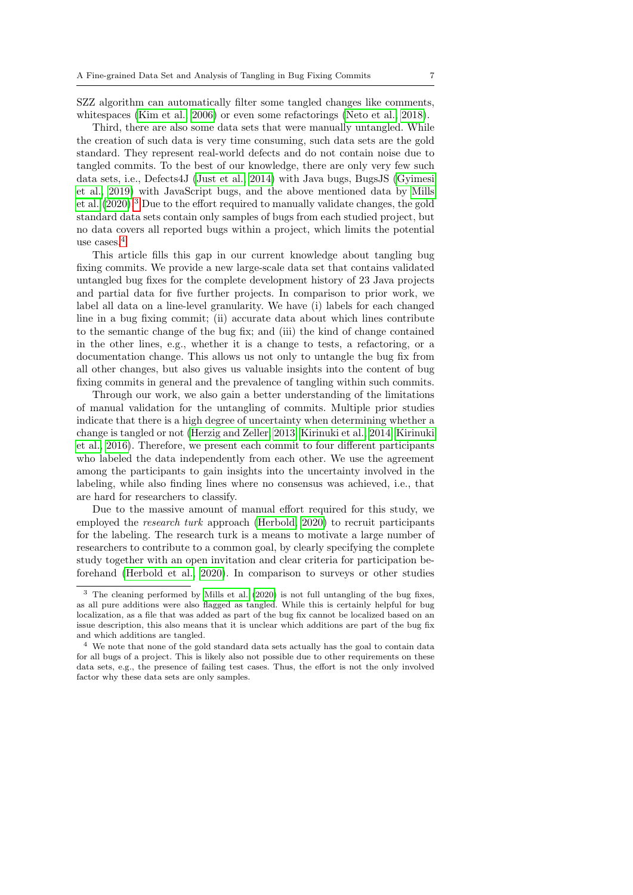SZZ algorithm can automatically filter some tangled changes like comments, whitespaces [\(Kim et al., 2006\)](#page-48-5) or even some refactorings [\(Neto et al., 2018\)](#page-49-5).

Third, there are also some data sets that were manually untangled. While the creation of such data is very time consuming, such data sets are the gold standard. They represent real-world defects and do not contain noise due to tangled commits. To the best of our knowledge, there are only very few such data sets, i.e., Defects4J [\(Just et al., 2014\)](#page-48-6) with Java bugs, BugsJS [\(Gyimesi](#page-47-7) [et al., 2019\)](#page-47-7) with JavaScript bugs, and the above mentioned data by [Mills](#page-49-2) [et al.](#page-49-2) [\(2020\)](#page-49-2).[3](#page-6-0) Due to the effort required to manually validate changes, the gold standard data sets contain only samples of bugs from each studied project, but no data covers all reported bugs within a project, which limits the potential use cases.[4](#page-6-1)

This article fills this gap in our current knowledge about tangling bug fixing commits. We provide a new large-scale data set that contains validated untangled bug fixes for the complete development history of 23 Java projects and partial data for five further projects. In comparison to prior work, we label all data on a line-level granularity. We have (i) labels for each changed line in a bug fixing commit; (ii) accurate data about which lines contribute to the semantic change of the bug fix; and (iii) the kind of change contained in the other lines, e.g., whether it is a change to tests, a refactoring, or a documentation change. This allows us not only to untangle the bug fix from all other changes, but also gives us valuable insights into the content of bug fixing commits in general and the prevalence of tangling within such commits.

Through our work, we also gain a better understanding of the limitations of manual validation for the untangling of commits. Multiple prior studies indicate that there is a high degree of uncertainty when determining whether a change is tangled or not [\(Herzig and Zeller, 2013;](#page-47-3) [Kirinuki et al., 2014;](#page-48-0) [Kirinuki](#page-48-2) [et al., 2016\)](#page-48-2). Therefore, we present each commit to four different participants who labeled the data independently from each other. We use the agreement among the participants to gain insights into the uncertainty involved in the labeling, while also finding lines where no consensus was achieved, i.e., that are hard for researchers to classify.

Due to the massive amount of manual effort required for this study, we employed the research turk approach [\(Herbold, 2020\)](#page-47-8) to recruit participants for the labeling. The research turk is a means to motivate a large number of researchers to contribute to a common goal, by clearly specifying the complete study together with an open invitation and clear criteria for participation beforehand [\(Herbold et al., 2020\)](#page-47-9). In comparison to surveys or other studies

<span id="page-6-0"></span><sup>3</sup> The cleaning performed by [Mills et al.](#page-49-2) [\(2020\)](#page-49-2) is not full untangling of the bug fixes, as all pure additions were also flagged as tangled. While this is certainly helpful for bug localization, as a file that was added as part of the bug fix cannot be localized based on an issue description, this also means that it is unclear which additions are part of the bug fix and which additions are tangled.

<span id="page-6-1"></span><sup>4</sup> We note that none of the gold standard data sets actually has the goal to contain data for all bugs of a project. This is likely also not possible due to other requirements on these data sets, e.g., the presence of failing test cases. Thus, the effort is not the only involved factor why these data sets are only samples.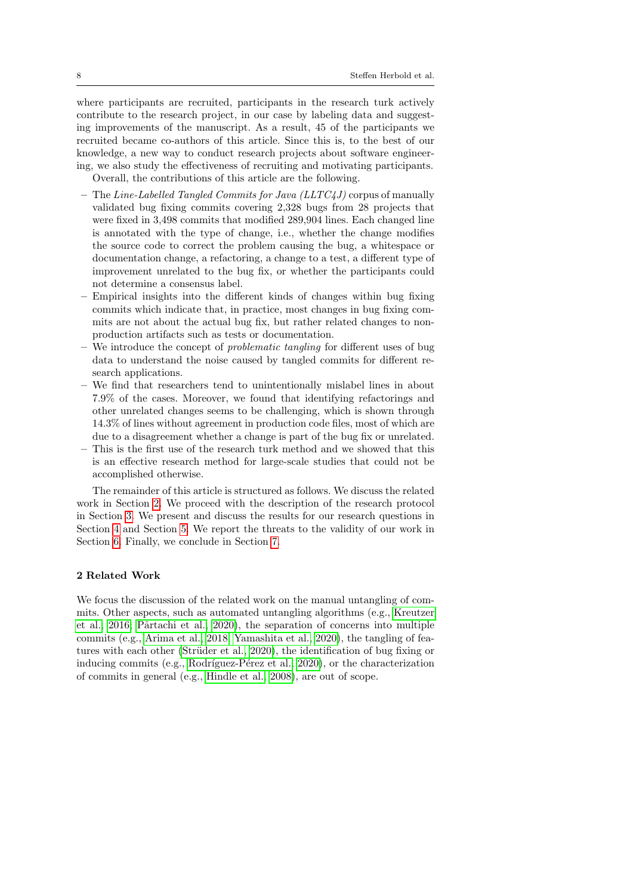where participants are recruited, participants in the research turk actively contribute to the research project, in our case by labeling data and suggesting improvements of the manuscript. As a result, 45 of the participants we recruited became co-authors of this article. Since this is, to the best of our knowledge, a new way to conduct research projects about software engineering, we also study the effectiveness of recruiting and motivating participants.

Overall, the contributions of this article are the following.

- The Line-Labelled Tangled Commits for Java (LLTC4J) corpus of manually validated bug fixing commits covering 2,328 bugs from 28 projects that were fixed in 3,498 commits that modified 289,904 lines. Each changed line is annotated with the type of change, i.e., whether the change modifies the source code to correct the problem causing the bug, a whitespace or documentation change, a refactoring, a change to a test, a different type of improvement unrelated to the bug fix, or whether the participants could not determine a consensus label.
- Empirical insights into the different kinds of changes within bug fixing commits which indicate that, in practice, most changes in bug fixing commits are not about the actual bug fix, but rather related changes to nonproduction artifacts such as tests or documentation.
- We introduce the concept of *problematic tangling* for different uses of bug data to understand the noise caused by tangled commits for different research applications.
- We find that researchers tend to unintentionally mislabel lines in about 7.9% of the cases. Moreover, we found that identifying refactorings and other unrelated changes seems to be challenging, which is shown through 14.3% of lines without agreement in production code files, most of which are due to a disagreement whether a change is part of the bug fix or unrelated.
- This is the first use of the research turk method and we showed that this is an effective research method for large-scale studies that could not be accomplished otherwise.

The remainder of this article is structured as follows. We discuss the related work in Section [2.](#page-7-0) We proceed with the description of the research protocol in Section [3.](#page-11-1) We present and discuss the results for our research questions in Section [4](#page-24-0) and Section [5.](#page-37-0) We report the threats to the validity of our work in Section [6.](#page-40-0) Finally, we conclude in Section [7.](#page-44-0)

#### <span id="page-7-0"></span>2 Related Work

We focus the discussion of the related work on the manual untangling of commits. Other aspects, such as automated untangling algorithms (e.g., [Kreutzer](#page-48-7) [et al., 2016;](#page-48-7) Pârtachi et al., 2020), the separation of concerns into multiple commits (e.g., [Arima et al., 2018;](#page-46-1) [Yamashita et al., 2020\)](#page-50-2), the tangling of features with each other (Strüder et al., 2020), the identification of bug fixing or inducing commits (e.g., Rodríguez-Pérez et al., 2020), or the characterization of commits in general (e.g., [Hindle et al., 2008\)](#page-47-10), are out of scope.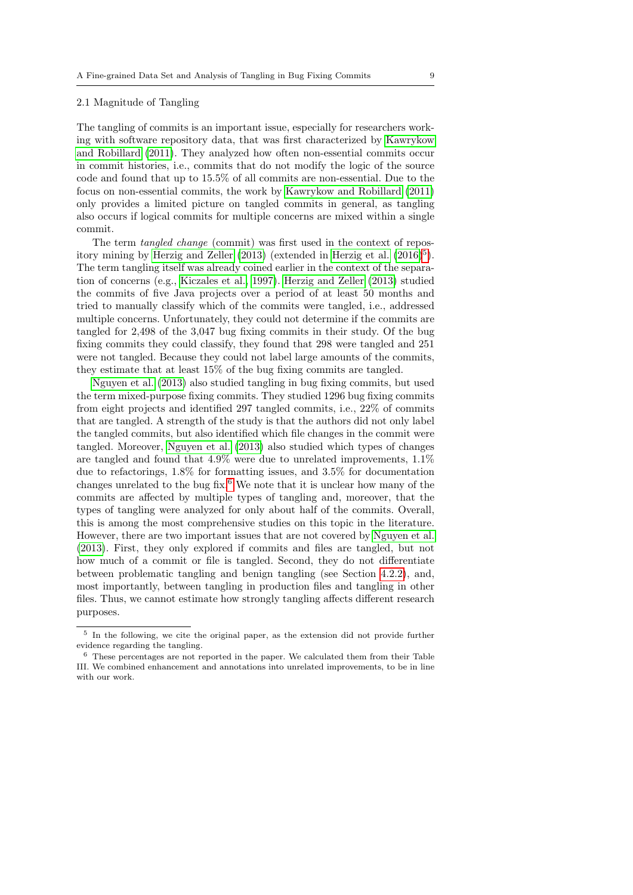#### 2.1 Magnitude of Tangling

The tangling of commits is an important issue, especially for researchers working with software repository data, that was first characterized by [Kawrykow](#page-48-8) [and Robillard](#page-48-8) [\(2011\)](#page-48-8). They analyzed how often non-essential commits occur in commit histories, i.e., commits that do not modify the logic of the source code and found that up to 15.5% of all commits are non-essential. Due to the focus on non-essential commits, the work by [Kawrykow and Robillard](#page-48-8) [\(2011\)](#page-48-8) only provides a limited picture on tangled commits in general, as tangling also occurs if logical commits for multiple concerns are mixed within a single commit.

The term tangled change (commit) was first used in the context of repos-itory mining by [Herzig and Zeller](#page-47-3)  $(2013)$  (extended in [Herzig et al.](#page-47-4)  $(2016)^5$  $(2016)^5$  $(2016)^5$ ). The term tangling itself was already coined earlier in the context of the separation of concerns (e.g., [Kiczales et al., 1997\)](#page-48-9). [Herzig and Zeller](#page-47-3) [\(2013\)](#page-47-3) studied the commits of five Java projects over a period of at least 50 months and tried to manually classify which of the commits were tangled, i.e., addressed multiple concerns. Unfortunately, they could not determine if the commits are tangled for 2,498 of the 3,047 bug fixing commits in their study. Of the bug fixing commits they could classify, they found that 298 were tangled and 251 were not tangled. Because they could not label large amounts of the commits, they estimate that at least 15% of the bug fixing commits are tangled.

[Nguyen et al.](#page-49-1) [\(2013\)](#page-49-1) also studied tangling in bug fixing commits, but used the term mixed-purpose fixing commits. They studied 1296 bug fixing commits from eight projects and identified 297 tangled commits, i.e., 22% of commits that are tangled. A strength of the study is that the authors did not only label the tangled commits, but also identified which file changes in the commit were tangled. Moreover, [Nguyen et al.](#page-49-1) [\(2013\)](#page-49-1) also studied which types of changes are tangled and found that 4.9% were due to unrelated improvements, 1.1% due to refactorings, 1.8% for formatting issues, and 3.5% for documentation changes unrelated to the bug fix.<sup>[6](#page-8-1)</sup> We note that it is unclear how many of the commits are affected by multiple types of tangling and, moreover, that the types of tangling were analyzed for only about half of the commits. Overall, this is among the most comprehensive studies on this topic in the literature. However, there are two important issues that are not covered by [Nguyen et al.](#page-49-1) [\(2013\)](#page-49-1). First, they only explored if commits and files are tangled, but not how much of a commit or file is tangled. Second, they do not differentiate between problematic tangling and benign tangling (see Section [4.2.2\)](#page-31-0), and, most importantly, between tangling in production files and tangling in other files. Thus, we cannot estimate how strongly tangling affects different research purposes.

<span id="page-8-0"></span><sup>&</sup>lt;sup>5</sup> In the following, we cite the original paper, as the extension did not provide further evidence regarding the tangling.

<span id="page-8-1"></span> $6$  These percentages are not reported in the paper. We calculated them from their Table III. We combined enhancement and annotations into unrelated improvements, to be in line with our work.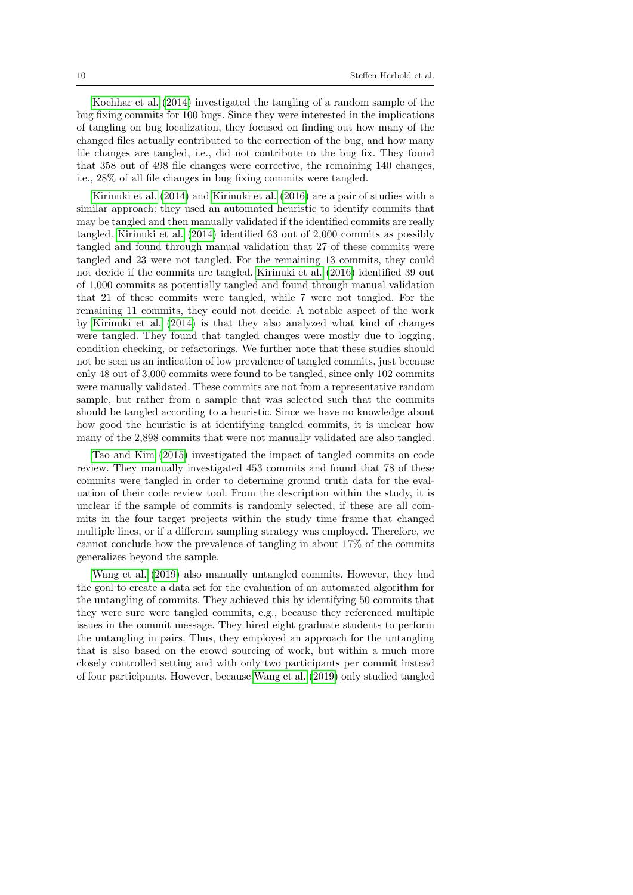[Kochhar et al.](#page-48-1) [\(2014\)](#page-48-1) investigated the tangling of a random sample of the bug fixing commits for 100 bugs. Since they were interested in the implications of tangling on bug localization, they focused on finding out how many of the changed files actually contributed to the correction of the bug, and how many file changes are tangled, i.e., did not contribute to the bug fix. They found that 358 out of 498 file changes were corrective, the remaining 140 changes, i.e., 28% of all file changes in bug fixing commits were tangled.

[Kirinuki et al.](#page-48-0) [\(2014\)](#page-48-0) and [Kirinuki et al.](#page-48-2) [\(2016\)](#page-48-2) are a pair of studies with a similar approach: they used an automated heuristic to identify commits that may be tangled and then manually validated if the identified commits are really tangled. [Kirinuki et al.](#page-48-0) [\(2014\)](#page-48-0) identified 63 out of 2,000 commits as possibly tangled and found through manual validation that 27 of these commits were tangled and 23 were not tangled. For the remaining 13 commits, they could not decide if the commits are tangled. [Kirinuki et al.](#page-48-2) [\(2016\)](#page-48-2) identified 39 out of 1,000 commits as potentially tangled and found through manual validation that 21 of these commits were tangled, while 7 were not tangled. For the remaining 11 commits, they could not decide. A notable aspect of the work by [Kirinuki et al.](#page-48-0) [\(2014\)](#page-48-0) is that they also analyzed what kind of changes were tangled. They found that tangled changes were mostly due to logging, condition checking, or refactorings. We further note that these studies should not be seen as an indication of low prevalence of tangled commits, just because only 48 out of 3,000 commits were found to be tangled, since only 102 commits were manually validated. These commits are not from a representative random sample, but rather from a sample that was selected such that the commits should be tangled according to a heuristic. Since we have no knowledge about how good the heuristic is at identifying tangled commits, it is unclear how many of the 2,898 commits that were not manually validated are also tangled.

[Tao and Kim](#page-50-4) [\(2015\)](#page-50-4) investigated the impact of tangled commits on code review. They manually investigated 453 commits and found that 78 of these commits were tangled in order to determine ground truth data for the evaluation of their code review tool. From the description within the study, it is unclear if the sample of commits is randomly selected, if these are all commits in the four target projects within the study time frame that changed multiple lines, or if a different sampling strategy was employed. Therefore, we cannot conclude how the prevalence of tangling in about 17% of the commits generalizes beyond the sample.

[Wang et al.](#page-50-1) [\(2019\)](#page-50-1) also manually untangled commits. However, they had the goal to create a data set for the evaluation of an automated algorithm for the untangling of commits. They achieved this by identifying 50 commits that they were sure were tangled commits, e.g., because they referenced multiple issues in the commit message. They hired eight graduate students to perform the untangling in pairs. Thus, they employed an approach for the untangling that is also based on the crowd sourcing of work, but within a much more closely controlled setting and with only two participants per commit instead of four participants. However, because [Wang et al.](#page-50-1) [\(2019\)](#page-50-1) only studied tangled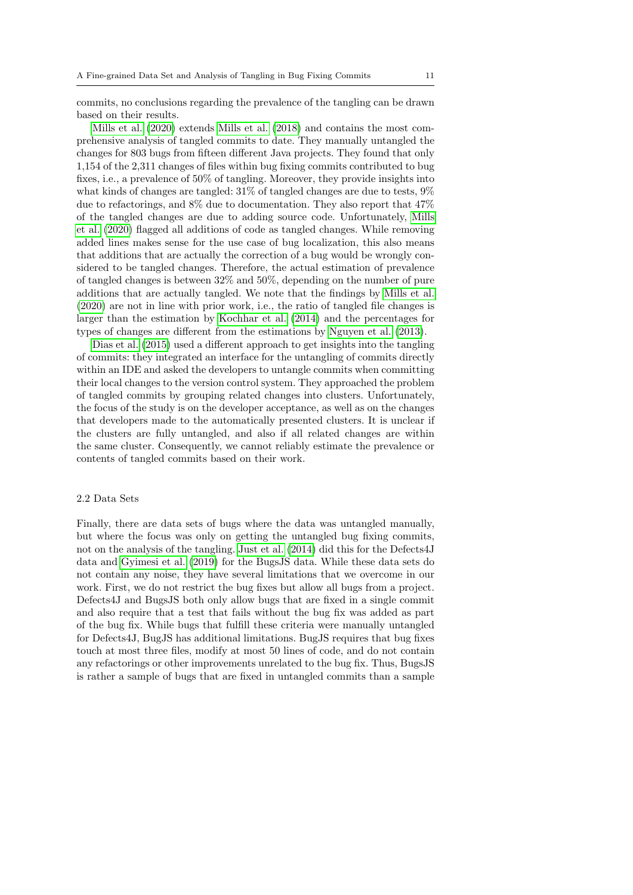commits, no conclusions regarding the prevalence of the tangling can be drawn based on their results.

[Mills et al.](#page-49-2) [\(2020\)](#page-49-2) extends [Mills et al.](#page-49-0) [\(2018\)](#page-49-0) and contains the most comprehensive analysis of tangled commits to date. They manually untangled the changes for 803 bugs from fifteen different Java projects. They found that only 1,154 of the 2,311 changes of files within bug fixing commits contributed to bug fixes, i.e., a prevalence of 50% of tangling. Moreover, they provide insights into what kinds of changes are tangled: 31% of tangled changes are due to tests, 9% due to refactorings, and 8% due to documentation. They also report that 47% of the tangled changes are due to adding source code. Unfortunately, [Mills](#page-49-2) [et al.](#page-49-2) [\(2020\)](#page-49-2) flagged all additions of code as tangled changes. While removing added lines makes sense for the use case of bug localization, this also means that additions that are actually the correction of a bug would be wrongly considered to be tangled changes. Therefore, the actual estimation of prevalence of tangled changes is between 32% and 50%, depending on the number of pure additions that are actually tangled. We note that the findings by [Mills et al.](#page-49-2) [\(2020\)](#page-49-2) are not in line with prior work, i.e., the ratio of tangled file changes is larger than the estimation by [Kochhar et al.](#page-48-1) [\(2014\)](#page-48-1) and the percentages for types of changes are different from the estimations by [Nguyen et al.](#page-49-1) [\(2013\)](#page-49-1).

[Dias et al.](#page-46-2) [\(2015\)](#page-46-2) used a different approach to get insights into the tangling of commits: they integrated an interface for the untangling of commits directly within an IDE and asked the developers to untangle commits when committing their local changes to the version control system. They approached the problem of tangled commits by grouping related changes into clusters. Unfortunately, the focus of the study is on the developer acceptance, as well as on the changes that developers made to the automatically presented clusters. It is unclear if the clusters are fully untangled, and also if all related changes are within the same cluster. Consequently, we cannot reliably estimate the prevalence or contents of tangled commits based on their work.

#### 2.2 Data Sets

Finally, there are data sets of bugs where the data was untangled manually, but where the focus was only on getting the untangled bug fixing commits, not on the analysis of the tangling. [Just et al.](#page-48-6) [\(2014\)](#page-48-6) did this for the Defects4J data and [Gyimesi et al.](#page-47-7) [\(2019\)](#page-47-7) for the BugsJS data. While these data sets do not contain any noise, they have several limitations that we overcome in our work. First, we do not restrict the bug fixes but allow all bugs from a project. Defects4J and BugsJS both only allow bugs that are fixed in a single commit and also require that a test that fails without the bug fix was added as part of the bug fix. While bugs that fulfill these criteria were manually untangled for Defects4J, BugJS has additional limitations. BugJS requires that bug fixes touch at most three files, modify at most 50 lines of code, and do not contain any refactorings or other improvements unrelated to the bug fix. Thus, BugsJS is rather a sample of bugs that are fixed in untangled commits than a sample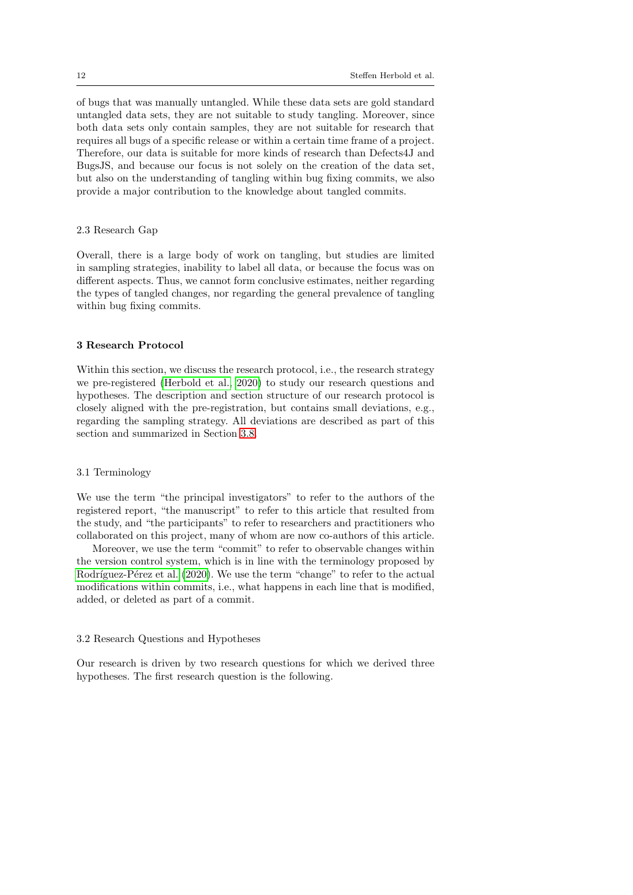of bugs that was manually untangled. While these data sets are gold standard untangled data sets, they are not suitable to study tangling. Moreover, since both data sets only contain samples, they are not suitable for research that requires all bugs of a specific release or within a certain time frame of a project. Therefore, our data is suitable for more kinds of research than Defects4J and BugsJS, and because our focus is not solely on the creation of the data set, but also on the understanding of tangling within bug fixing commits, we also provide a major contribution to the knowledge about tangled commits.

#### 2.3 Research Gap

Overall, there is a large body of work on tangling, but studies are limited in sampling strategies, inability to label all data, or because the focus was on different aspects. Thus, we cannot form conclusive estimates, neither regarding the types of tangled changes, nor regarding the general prevalence of tangling within bug fixing commits.

#### <span id="page-11-1"></span>3 Research Protocol

Within this section, we discuss the research protocol, i.e., the research strategy we pre-registered [\(Herbold et al., 2020\)](#page-47-9) to study our research questions and hypotheses. The description and section structure of our research protocol is closely aligned with the pre-registration, but contains small deviations, e.g., regarding the sampling strategy. All deviations are described as part of this section and summarized in Section [3.8.](#page-23-0)

#### <span id="page-11-0"></span>3.1 Terminology

We use the term "the principal investigators" to refer to the authors of the registered report, "the manuscript" to refer to this article that resulted from the study, and "the participants" to refer to researchers and practitioners who collaborated on this project, many of whom are now co-authors of this article.

Moreover, we use the term "commit" to refer to observable changes within the version control system, which is in line with the terminology proposed by Rodríguez-Pérez et al. [\(2020\)](#page-49-3). We use the term "change" to refer to the actual modifications within commits, i.e., what happens in each line that is modified, added, or deleted as part of a commit.

#### <span id="page-11-2"></span>3.2 Research Questions and Hypotheses

Our research is driven by two research questions for which we derived three hypotheses. The first research question is the following.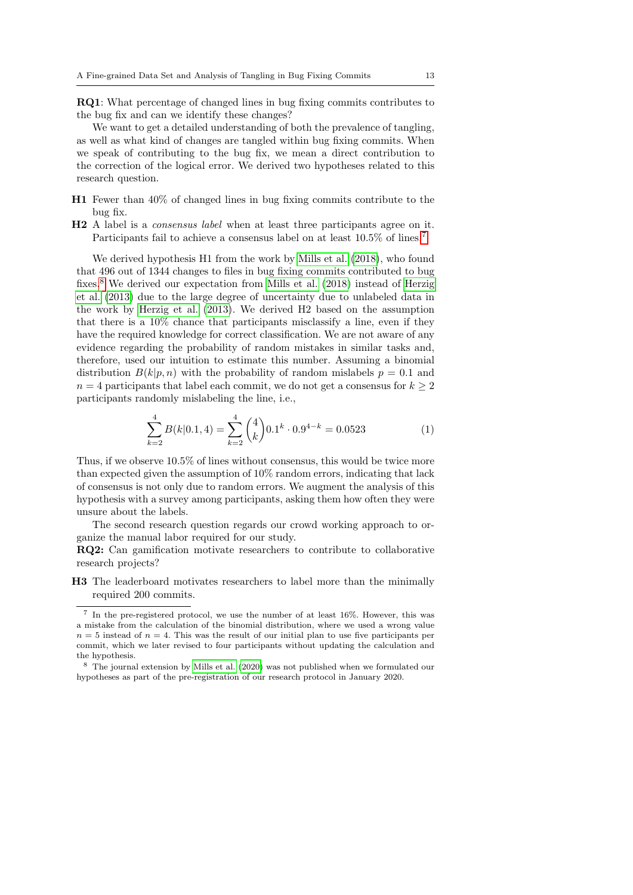RQ1: What percentage of changed lines in bug fixing commits contributes to the bug fix and can we identify these changes?

We want to get a detailed understanding of both the prevalence of tangling, as well as what kind of changes are tangled within bug fixing commits. When we speak of contributing to the bug fix, we mean a direct contribution to the correction of the logical error. We derived two hypotheses related to this research question.

- H1 Fewer than 40% of changed lines in bug fixing commits contribute to the bug fix.
- H2 A label is a consensus label when at least three participants agree on it. Participants fail to achieve a consensus label on at least  $10.5\%$  of lines.<sup>[7](#page-12-0)</sup>

We derived hypothesis H1 from the work by [Mills et al.](#page-49-0) [\(2018\)](#page-49-0), who found that 496 out of 1344 changes to files in bug fixing commits contributed to bug fixes.[8](#page-12-1) We derived our expectation from [Mills et al.](#page-49-0) [\(2018\)](#page-49-0) instead of [Herzig](#page-47-2) [et al.](#page-47-2) [\(2013\)](#page-47-2) due to the large degree of uncertainty due to unlabeled data in the work by [Herzig et al.](#page-47-2) [\(2013\)](#page-47-2). We derived H2 based on the assumption that there is a 10% chance that participants misclassify a line, even if they have the required knowledge for correct classification. We are not aware of any evidence regarding the probability of random mistakes in similar tasks and, therefore, used our intuition to estimate this number. Assuming a binomial distribution  $B(k|p, n)$  with the probability of random mislabels  $p = 0.1$  and  $n = 4$  participants that label each commit, we do not get a consensus for  $k \geq 2$ participants randomly mislabeling the line, i.e.,

$$
\sum_{k=2}^{4} B(k|0.1, 4) = \sum_{k=2}^{4} {4 \choose k} 0.1^k \cdot 0.9^{4-k} = 0.0523
$$
 (1)

Thus, if we observe 10.5% of lines without consensus, this would be twice more than expected given the assumption of 10% random errors, indicating that lack of consensus is not only due to random errors. We augment the analysis of this hypothesis with a survey among participants, asking them how often they were unsure about the labels.

The second research question regards our crowd working approach to organize the manual labor required for our study.

RQ2: Can gamification motivate researchers to contribute to collaborative research projects?

H3 The leaderboard motivates researchers to label more than the minimally required 200 commits.

<span id="page-12-0"></span><sup>7</sup> In the pre-registered protocol, we use the number of at least 16%. However, this was a mistake from the calculation of the binomial distribution, where we used a wrong value  $n = 5$  instead of  $n = 4$ . This was the result of our initial plan to use five participants per commit, which we later revised to four participants without updating the calculation and the hypothesis.

<span id="page-12-1"></span><sup>8</sup> The journal extension by [Mills et al.](#page-49-2) [\(2020\)](#page-49-2) was not published when we formulated our hypotheses as part of the pre-registration of our research protocol in January 2020.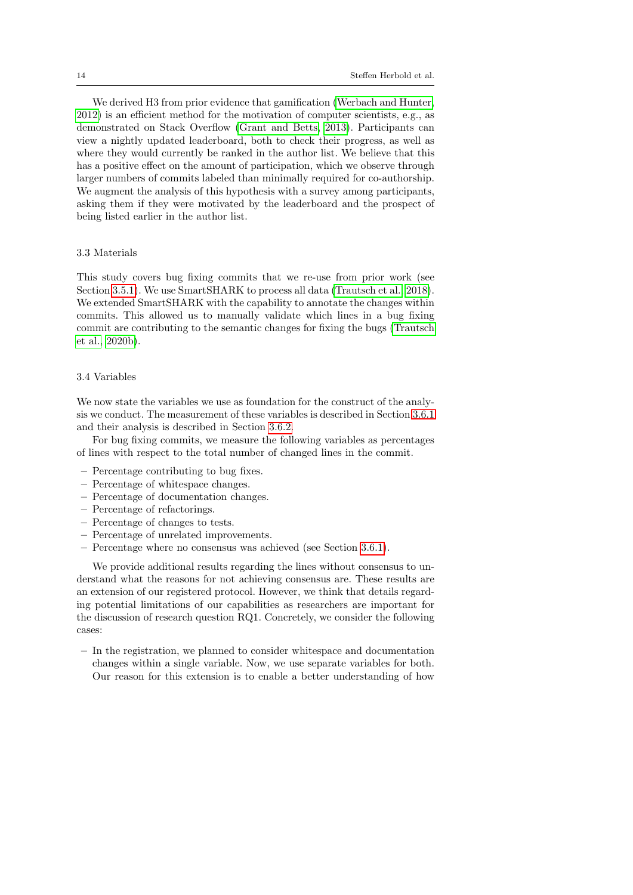We derived H3 from prior evidence that gamification [\(Werbach and Hunter,](#page-50-5) [2012\)](#page-50-5) is an efficient method for the motivation of computer scientists, e.g., as demonstrated on Stack Overflow [\(Grant and Betts, 2013\)](#page-47-11). Participants can view a nightly updated leaderboard, both to check their progress, as well as where they would currently be ranked in the author list. We believe that this has a positive effect on the amount of participation, which we observe through larger numbers of commits labeled than minimally required for co-authorship. We augment the analysis of this hypothesis with a survey among participants, asking them if they were motivated by the leaderboard and the prospect of being listed earlier in the author list.

#### 3.3 Materials

This study covers bug fixing commits that we re-use from prior work (see Section [3.5.1\)](#page-15-0). We use SmartSHARK to process all data [\(Trautsch et al., 2018\)](#page-50-6). We extended SmartSHARK with the capability to annotate the changes within commits. This allowed us to manually validate which lines in a bug fixing commit are contributing to the semantic changes for fixing the bugs [\(Trautsch](#page-50-7) [et al., 2020b\)](#page-50-7).

## <span id="page-13-0"></span>3.4 Variables

We now state the variables we use as foundation for the construct of the analysis we conduct. The measurement of these variables is described in Section [3.6.1](#page-17-0) and their analysis is described in Section [3.6.2.](#page-19-0)

For bug fixing commits, we measure the following variables as percentages of lines with respect to the total number of changed lines in the commit.

- Percentage contributing to bug fixes.
- Percentage of whitespace changes.
- Percentage of documentation changes.
- Percentage of refactorings.
- Percentage of changes to tests.
- Percentage of unrelated improvements.
- Percentage where no consensus was achieved (see Section [3.6.1\)](#page-17-0).

We provide additional results regarding the lines without consensus to understand what the reasons for not achieving consensus are. These results are an extension of our registered protocol. However, we think that details regarding potential limitations of our capabilities as researchers are important for the discussion of research question RQ1. Concretely, we consider the following cases:

– In the registration, we planned to consider whitespace and documentation changes within a single variable. Now, we use separate variables for both. Our reason for this extension is to enable a better understanding of how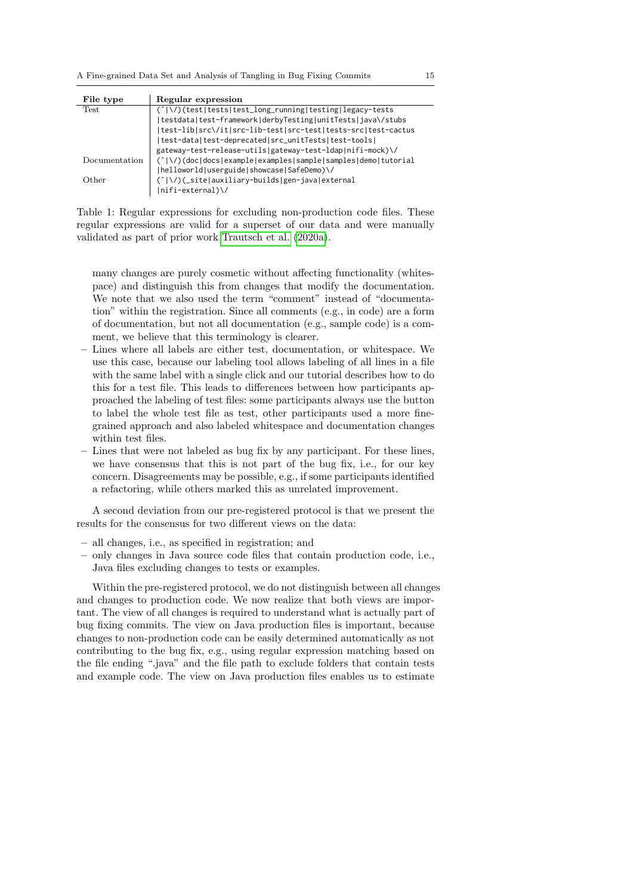A Fine-grained Data Set and Analysis of Tangling in Bug Fixing Commits 15

<span id="page-14-0"></span>

| File type     | Regular expression                                                |
|---------------|-------------------------------------------------------------------|
| <b>Test</b>   | (' \/)(test tests test_long_running testing legacy-tests          |
|               | testdata test-framework derbyTesting unitTests java\/stubs        |
|               | test-lib src\/it src-lib-test src-test tests-src test-cactus      |
|               | test-data test-deprecated src_unitTests test-tools                |
|               | gateway-test-release-utils gateway-test-ldap nifi-mock)\/         |
| Documentation | $(' \\)/$ (doc docs example examples sample samples demo tutorial |
|               | helloworld userguide showcase SafeDemo)\/                         |
| Other         | (' \/)(_site auxiliary-builds gen-java external                   |
|               | nifi-external)\/                                                  |

Table 1: Regular expressions for excluding non-production code files. These regular expressions are valid for a superset of our data and were manually validated as part of prior work [Trautsch et al.](#page-50-8) [\(2020a\)](#page-50-8).

many changes are purely cosmetic without affecting functionality (whitespace) and distinguish this from changes that modify the documentation. We note that we also used the term "comment" instead of "documentation" within the registration. Since all comments (e.g., in code) are a form of documentation, but not all documentation (e.g., sample code) is a comment, we believe that this terminology is clearer.

- Lines where all labels are either test, documentation, or whitespace. We use this case, because our labeling tool allows labeling of all lines in a file with the same label with a single click and our tutorial describes how to do this for a test file. This leads to differences between how participants approached the labeling of test files: some participants always use the button to label the whole test file as test, other participants used a more finegrained approach and also labeled whitespace and documentation changes within test files.
- Lines that were not labeled as bug fix by any participant. For these lines, we have consensus that this is not part of the bug fix, i.e., for our key concern. Disagreements may be possible, e.g., if some participants identified a refactoring, while others marked this as unrelated improvement.

A second deviation from our pre-registered protocol is that we present the results for the consensus for two different views on the data:

- all changes, i.e., as specified in registration; and
- only changes in Java source code files that contain production code, i.e., Java files excluding changes to tests or examples.

Within the pre-registered protocol, we do not distinguish between all changes and changes to production code. We now realize that both views are important. The view of all changes is required to understand what is actually part of bug fixing commits. The view on Java production files is important, because changes to non-production code can be easily determined automatically as not contributing to the bug fix, e.g., using regular expression matching based on the file ending ".java" and the file path to exclude folders that contain tests and example code. The view on Java production files enables us to estimate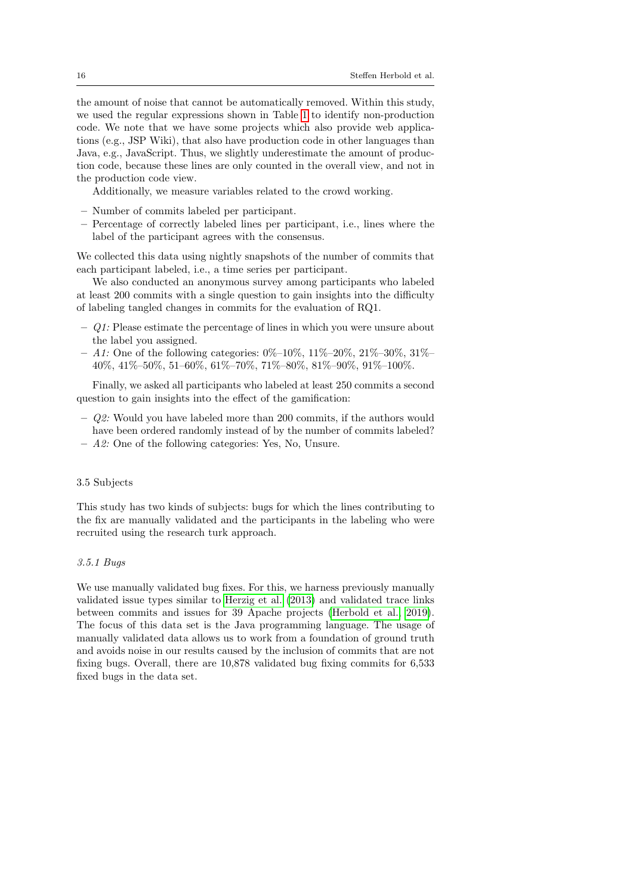the amount of noise that cannot be automatically removed. Within this study, we used the regular expressions shown in Table [1](#page-14-0) to identify non-production code. We note that we have some projects which also provide web applications (e.g., JSP Wiki), that also have production code in other languages than Java, e.g., JavaScript. Thus, we slightly underestimate the amount of production code, because these lines are only counted in the overall view, and not in the production code view.

Additionally, we measure variables related to the crowd working.

- Number of commits labeled per participant.
- Percentage of correctly labeled lines per participant, i.e., lines where the label of the participant agrees with the consensus.

We collected this data using nightly snapshots of the number of commits that each participant labeled, i.e., a time series per participant.

We also conducted an anonymous survey among participants who labeled at least 200 commits with a single question to gain insights into the difficulty of labeling tangled changes in commits for the evaluation of RQ1.

- $-$  Q1: Please estimate the percentage of lines in which you were unsure about the label you assigned.
- A1: One of the following categories:  $0\%$ – $10\%$ ,  $11\%$ – $20\%$ ,  $21\%$ – $30\%$ ,  $31\%$  40%, 41%–50%, 51–60%, 61%–70%, 71%–80%, 81%–90%, 91%–100%.

Finally, we asked all participants who labeled at least 250 commits a second question to gain insights into the effect of the gamification:

- $-$  Q2: Would you have labeled more than 200 commits, if the authors would have been ordered randomly instead of by the number of commits labeled?
- A2: One of the following categories: Yes, No, Unsure.

#### 3.5 Subjects

This study has two kinds of subjects: bugs for which the lines contributing to the fix are manually validated and the participants in the labeling who were recruited using the research turk approach.

## <span id="page-15-0"></span>3.5.1 Bugs

We use manually validated bug fixes. For this, we harness previously manually validated issue types similar to [Herzig et al.](#page-47-2) [\(2013\)](#page-47-2) and validated trace links between commits and issues for 39 Apache projects [\(Herbold et al., 2019\)](#page-47-6). The focus of this data set is the Java programming language. The usage of manually validated data allows us to work from a foundation of ground truth and avoids noise in our results caused by the inclusion of commits that are not fixing bugs. Overall, there are 10,878 validated bug fixing commits for 6,533 fixed bugs in the data set.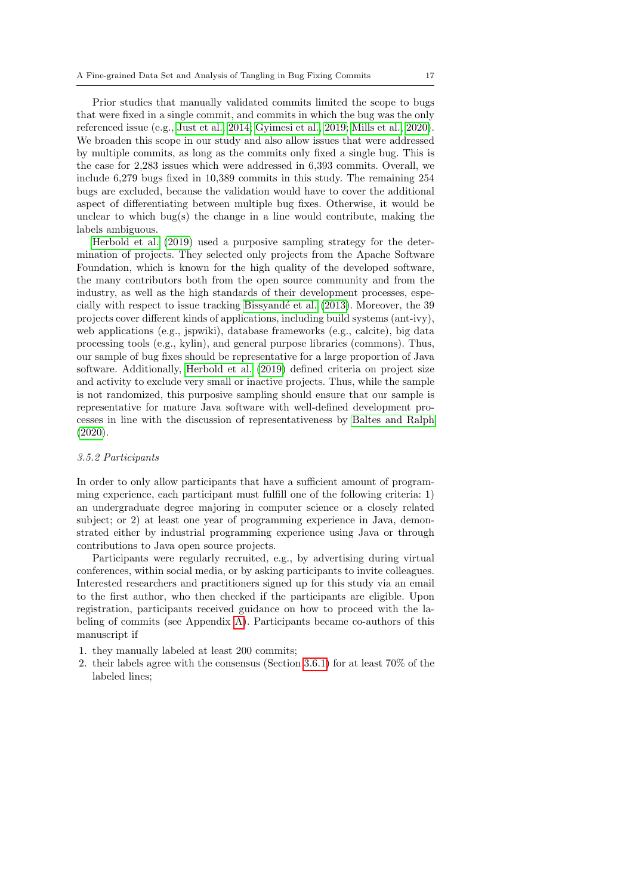Prior studies that manually validated commits limited the scope to bugs that were fixed in a single commit, and commits in which the bug was the only referenced issue (e.g., [Just et al., 2014;](#page-48-6) [Gyimesi et al., 2019;](#page-47-7) [Mills et al., 2020\)](#page-49-2). We broaden this scope in our study and also allow issues that were addressed by multiple commits, as long as the commits only fixed a single bug. This is the case for 2,283 issues which were addressed in 6,393 commits. Overall, we include 6,279 bugs fixed in 10,389 commits in this study. The remaining 254 bugs are excluded, because the validation would have to cover the additional aspect of differentiating between multiple bug fixes. Otherwise, it would be unclear to which bug(s) the change in a line would contribute, making the labels ambiguous.

[Herbold et al.](#page-47-6) [\(2019\)](#page-47-6) used a purposive sampling strategy for the determination of projects. They selected only projects from the Apache Software Foundation, which is known for the high quality of the developed software, the many contributors both from the open source community and from the industry, as well as the high standards of their development processes, espe-cially with respect to issue tracking Bissyandé et al. [\(2013\)](#page-46-3). Moreover, the 39 projects cover different kinds of applications, including build systems (ant-ivy), web applications (e.g., jspwiki), database frameworks (e.g., calcite), big data processing tools (e.g., kylin), and general purpose libraries (commons). Thus, our sample of bug fixes should be representative for a large proportion of Java software. Additionally, [Herbold et al.](#page-47-6) [\(2019\)](#page-47-6) defined criteria on project size and activity to exclude very small or inactive projects. Thus, while the sample is not randomized, this purposive sampling should ensure that our sample is representative for mature Java software with well-defined development processes in line with the discussion of representativeness by [Baltes and Ralph](#page-46-4) [\(2020\)](#page-46-4).

## 3.5.2 Participants

In order to only allow participants that have a sufficient amount of programming experience, each participant must fulfill one of the following criteria: 1) an undergraduate degree majoring in computer science or a closely related subject; or 2) at least one year of programming experience in Java, demonstrated either by industrial programming experience using Java or through contributions to Java open source projects.

Participants were regularly recruited, e.g., by advertising during virtual conferences, within social media, or by asking participants to invite colleagues. Interested researchers and practitioners signed up for this study via an email to the first author, who then checked if the participants are eligible. Upon registration, participants received guidance on how to proceed with the labeling of commits (see Appendix [A\)](#page-51-0). Participants became co-authors of this manuscript if

- 1. they manually labeled at least 200 commits;
- 2. their labels agree with the consensus (Section [3.6.1\)](#page-17-0) for at least 70% of the labeled lines;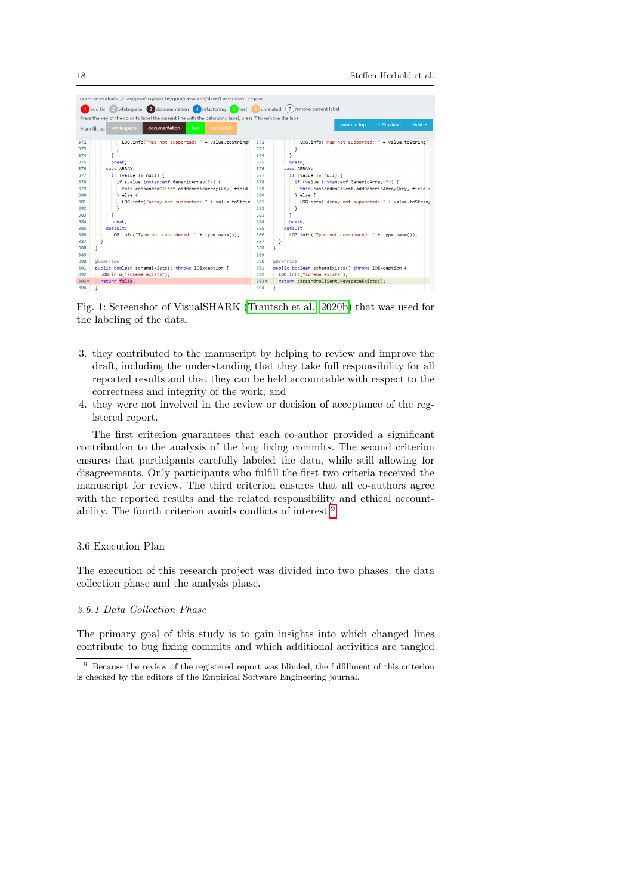<span id="page-17-2"></span>

Fig. 1: Screenshot of VisualSHARK [\(Trautsch et al., 2020b\)](#page-50-7) that was used for the labeling of the data.

- 3. they contributed to the manuscript by helping to review and improve the draft, including the understanding that they take full responsibility for all reported results and that they can be held accountable with respect to the correctness and integrity of the work; and
- 4. they were not involved in the review or decision of acceptance of the registered report.

The first criterion guarantees that each co-author provided a significant contribution to the analysis of the bug fixing commits. The second criterion ensures that participants carefully labeled the data, while still allowing for disagreements. Only participants who fulfill the first two criteria received the manuscript for review. The third criterion ensures that all co-authors agree with the reported results and the related responsibility and ethical account-ability. The fourth criterion avoids conflicts of interest.<sup>[9](#page-17-1)</sup>

### 3.6 Execution Plan

The execution of this research project was divided into two phases: the data collection phase and the analysis phase.

## <span id="page-17-0"></span>3.6.1 Data Collection Phase

The primary goal of this study is to gain insights into which changed lines contribute to bug fixing commits and which additional activities are tangled

<span id="page-17-1"></span><sup>&</sup>lt;sup>9</sup> Because the review of the registered report was blinded, the fulfillment of this criterion is checked by the editors of the Empirical Software Engineering journal.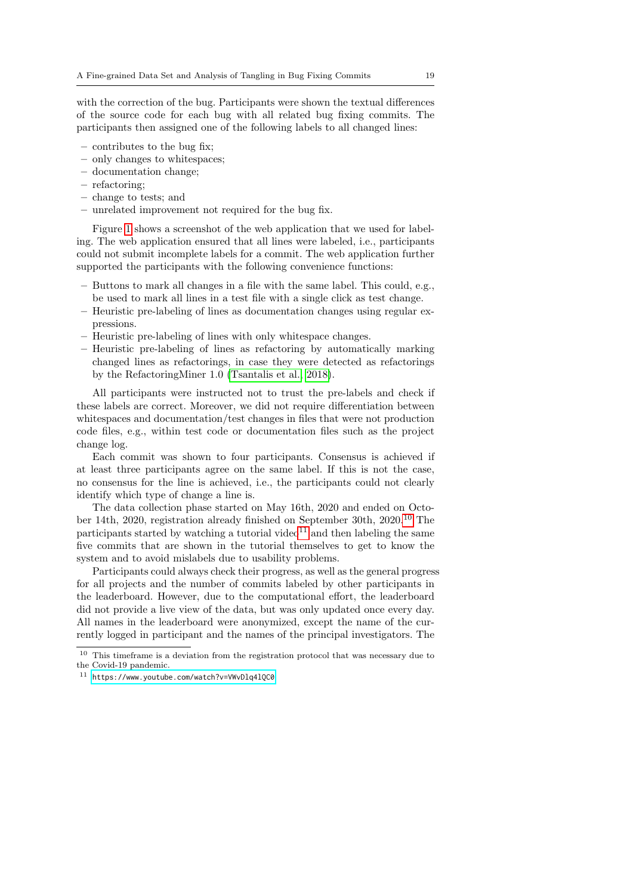with the correction of the bug. Participants were shown the textual differences of the source code for each bug with all related bug fixing commits. The participants then assigned one of the following labels to all changed lines:

- contributes to the bug fix;
- only changes to whitespaces;
- documentation change;
- refactoring;
- change to tests; and
- unrelated improvement not required for the bug fix.

Figure [1](#page-17-2) shows a screenshot of the web application that we used for labeling. The web application ensured that all lines were labeled, i.e., participants could not submit incomplete labels for a commit. The web application further supported the participants with the following convenience functions:

- Buttons to mark all changes in a file with the same label. This could, e.g., be used to mark all lines in a test file with a single click as test change.
- Heuristic pre-labeling of lines as documentation changes using regular expressions.
- Heuristic pre-labeling of lines with only whitespace changes.
- Heuristic pre-labeling of lines as refactoring by automatically marking changed lines as refactorings, in case they were detected as refactorings by the RefactoringMiner 1.0 [\(Tsantalis et al., 2018\)](#page-50-9).

All participants were instructed not to trust the pre-labels and check if these labels are correct. Moreover, we did not require differentiation between whitespaces and documentation/test changes in files that were not production code files, e.g., within test code or documentation files such as the project change log.

Each commit was shown to four participants. Consensus is achieved if at least three participants agree on the same label. If this is not the case, no consensus for the line is achieved, i.e., the participants could not clearly identify which type of change a line is.

The data collection phase started on May 16th, 2020 and ended on October 14th, 2020, registration already finished on September 30th, 2020.[10](#page-18-0) The participants started by watching a tutorial video $11$  and then labeling the same five commits that are shown in the tutorial themselves to get to know the system and to avoid mislabels due to usability problems.

Participants could always check their progress, as well as the general progress for all projects and the number of commits labeled by other participants in the leaderboard. However, due to the computational effort, the leaderboard did not provide a live view of the data, but was only updated once every day. All names in the leaderboard were anonymized, except the name of the currently logged in participant and the names of the principal investigators. The

<span id="page-18-0"></span> $10\,$  This time<br>frame is a deviation from the registration protocol that was necessary due to the Covid-19 pandemic.

<span id="page-18-1"></span><sup>11</sup> <https://www.youtube.com/watch?v=VWvDlq4lQC0>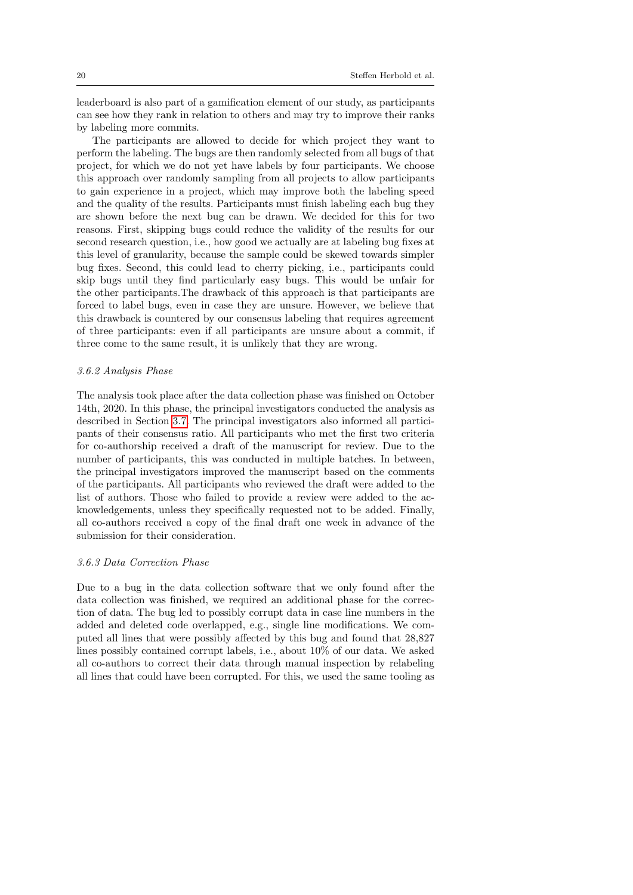leaderboard is also part of a gamification element of our study, as participants can see how they rank in relation to others and may try to improve their ranks by labeling more commits.

The participants are allowed to decide for which project they want to perform the labeling. The bugs are then randomly selected from all bugs of that project, for which we do not yet have labels by four participants. We choose this approach over randomly sampling from all projects to allow participants to gain experience in a project, which may improve both the labeling speed and the quality of the results. Participants must finish labeling each bug they are shown before the next bug can be drawn. We decided for this for two reasons. First, skipping bugs could reduce the validity of the results for our second research question, i.e., how good we actually are at labeling bug fixes at this level of granularity, because the sample could be skewed towards simpler bug fixes. Second, this could lead to cherry picking, i.e., participants could skip bugs until they find particularly easy bugs. This would be unfair for the other participants.The drawback of this approach is that participants are forced to label bugs, even in case they are unsure. However, we believe that this drawback is countered by our consensus labeling that requires agreement of three participants: even if all participants are unsure about a commit, if three come to the same result, it is unlikely that they are wrong.

#### <span id="page-19-0"></span>3.6.2 Analysis Phase

The analysis took place after the data collection phase was finished on October 14th, 2020. In this phase, the principal investigators conducted the analysis as described in Section [3.7.](#page-20-0) The principal investigators also informed all participants of their consensus ratio. All participants who met the first two criteria for co-authorship received a draft of the manuscript for review. Due to the number of participants, this was conducted in multiple batches. In between, the principal investigators improved the manuscript based on the comments of the participants. All participants who reviewed the draft were added to the list of authors. Those who failed to provide a review were added to the acknowledgements, unless they specifically requested not to be added. Finally, all co-authors received a copy of the final draft one week in advance of the submission for their consideration.

#### 3.6.3 Data Correction Phase

Due to a bug in the data collection software that we only found after the data collection was finished, we required an additional phase for the correction of data. The bug led to possibly corrupt data in case line numbers in the added and deleted code overlapped, e.g., single line modifications. We computed all lines that were possibly affected by this bug and found that 28,827 lines possibly contained corrupt labels, i.e., about 10% of our data. We asked all co-authors to correct their data through manual inspection by relabeling all lines that could have been corrupted. For this, we used the same tooling as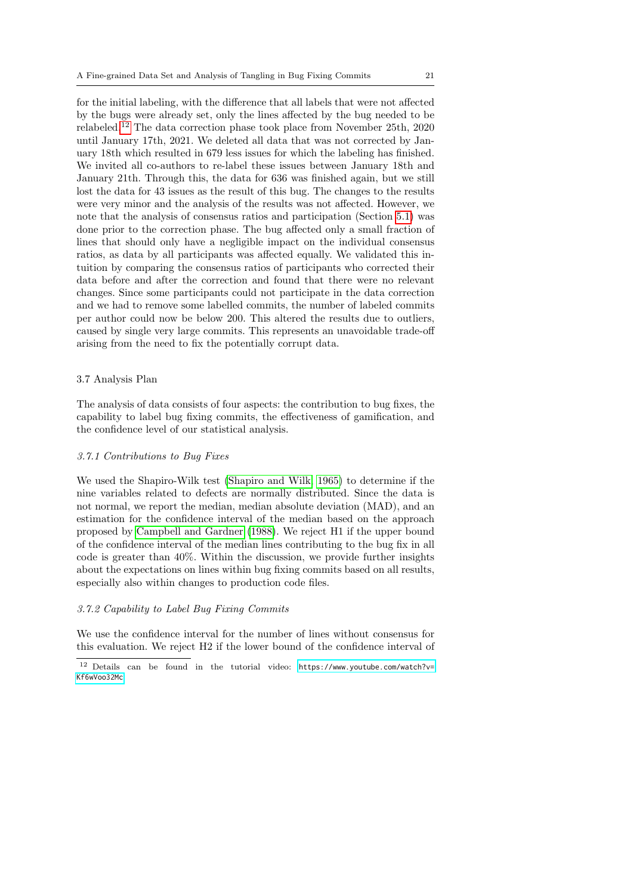for the initial labeling, with the difference that all labels that were not affected by the bugs were already set, only the lines affected by the bug needed to be relabeled.[12](#page-20-1) The data correction phase took place from November 25th, 2020 until January 17th, 2021. We deleted all data that was not corrected by January 18th which resulted in 679 less issues for which the labeling has finished. We invited all co-authors to re-label these issues between January 18th and January 21th. Through this, the data for 636 was finished again, but we still lost the data for 43 issues as the result of this bug. The changes to the results were very minor and the analysis of the results was not affected. However, we note that the analysis of consensus ratios and participation (Section [5.1\)](#page-37-1) was done prior to the correction phase. The bug affected only a small fraction of lines that should only have a negligible impact on the individual consensus ratios, as data by all participants was affected equally. We validated this intuition by comparing the consensus ratios of participants who corrected their data before and after the correction and found that there were no relevant changes. Since some participants could not participate in the data correction and we had to remove some labelled commits, the number of labeled commits per author could now be below 200. This altered the results due to outliers, caused by single very large commits. This represents an unavoidable trade-off arising from the need to fix the potentially corrupt data.

#### <span id="page-20-0"></span>3.7 Analysis Plan

The analysis of data consists of four aspects: the contribution to bug fixes, the capability to label bug fixing commits, the effectiveness of gamification, and the confidence level of our statistical analysis.

#### 3.7.1 Contributions to Bug Fixes

We used the Shapiro-Wilk test [\(Shapiro and Wilk, 1965\)](#page-49-7) to determine if the nine variables related to defects are normally distributed. Since the data is not normal, we report the median, median absolute deviation (MAD), and an estimation for the confidence interval of the median based on the approach proposed by [Campbell and Gardner](#page-46-5) [\(1988\)](#page-46-5). We reject H1 if the upper bound of the confidence interval of the median lines contributing to the bug fix in all code is greater than 40%. Within the discussion, we provide further insights about the expectations on lines within bug fixing commits based on all results, especially also within changes to production code files.

### <span id="page-20-2"></span>3.7.2 Capability to Label Bug Fixing Commits

We use the confidence interval for the number of lines without consensus for this evaluation. We reject H2 if the lower bound of the confidence interval of

<span id="page-20-1"></span><sup>12</sup> Details can be found in the tutorial video: [https://www.youtube.com/watch?v=](https://www.youtube.com/watch?v=Kf6wVoo32Mc) [Kf6wVoo32Mc](https://www.youtube.com/watch?v=Kf6wVoo32Mc)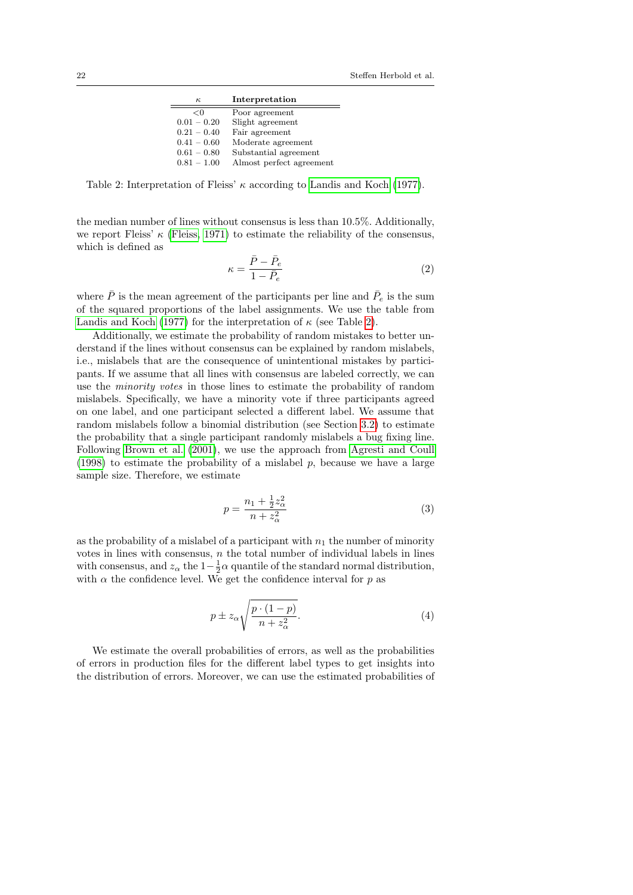| $\kappa$      | Interpretation           |
|---------------|--------------------------|
| < 0           | Poor agreement           |
| $0.01 - 0.20$ | Slight agreement         |
| $0.21 - 0.40$ | Fair agreement           |
| $0.41 - 0.60$ | Moderate agreement       |
| $0.61 - 0.80$ | Substantial agreement    |
| $0.81 - 1.00$ | Almost perfect agreement |

<span id="page-21-0"></span>Table 2: Interpretation of Fleiss'  $\kappa$  according to [Landis and Koch](#page-48-10) [\(1977\)](#page-48-10).

the median number of lines without consensus is less than 10.5%. Additionally, we report Fleiss'  $\kappa$  [\(Fleiss, 1971\)](#page-47-12) to estimate the reliability of the consensus, which is defined as

$$
\kappa = \frac{\bar{P} - \bar{P}_e}{1 - \bar{P}_e} \tag{2}
$$

where  $\bar{P}$  is the mean agreement of the participants per line and  $\bar{P}_e$  is the sum of the squared proportions of the label assignments. We use the table from [Landis and Koch](#page-48-10) [\(1977\)](#page-48-10) for the interpretation of  $\kappa$  (see Table [2\)](#page-21-0).

Additionally, we estimate the probability of random mistakes to better understand if the lines without consensus can be explained by random mislabels, i.e., mislabels that are the consequence of unintentional mistakes by participants. If we assume that all lines with consensus are labeled correctly, we can use the minority votes in those lines to estimate the probability of random mislabels. Specifically, we have a minority vote if three participants agreed on one label, and one participant selected a different label. We assume that random mislabels follow a binomial distribution (see Section [3.2\)](#page-11-2) to estimate the probability that a single participant randomly mislabels a bug fixing line. Following [Brown et al.](#page-46-6) [\(2001\)](#page-46-6), we use the approach from [Agresti and Coull](#page-46-7) [\(1998\)](#page-46-7) to estimate the probability of a mislabel  $p$ , because we have a large sample size. Therefore, we estimate

$$
p = \frac{n_1 + \frac{1}{2}z_{\alpha}^2}{n + z_{\alpha}^2} \tag{3}
$$

as the probability of a mislabel of a participant with  $n_1$  the number of minority votes in lines with consensus,  $n$  the total number of individual labels in lines with consensus, and  $z_{\alpha}$  the  $1-\frac{1}{2}\alpha$  quantile of the standard normal distribution, with  $\alpha$  the confidence level. We get the confidence interval for  $p$  as

$$
p \pm z_{\alpha} \sqrt{\frac{p \cdot (1-p)}{n + z_{\alpha}^2}}.
$$
\n<sup>(4)</sup>

We estimate the overall probabilities of errors, as well as the probabilities of errors in production files for the different label types to get insights into the distribution of errors. Moreover, we can use the estimated probabilities of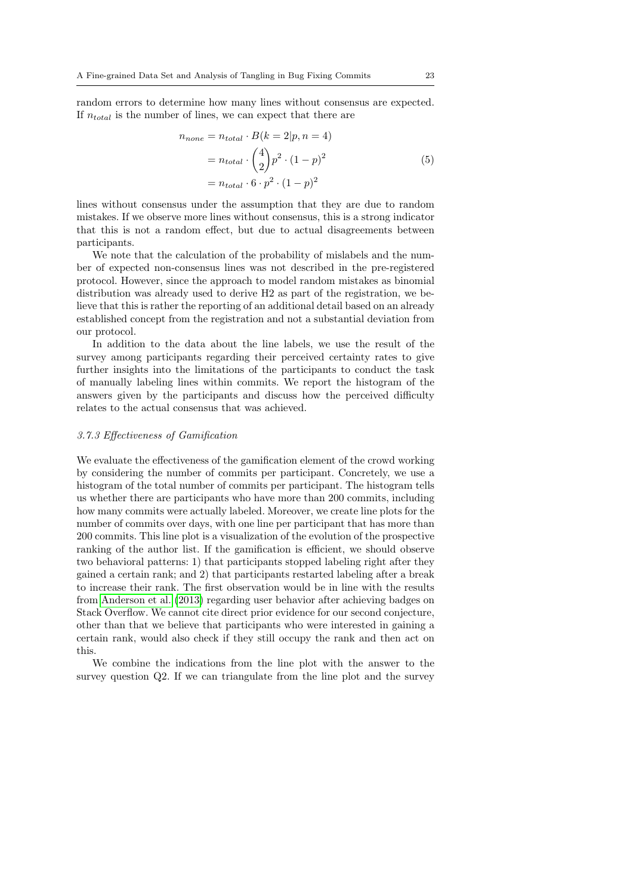random errors to determine how many lines without consensus are expected. If  $n_{total}$  is the number of lines, we can expect that there are

$$
n_{none} = n_{total} \cdot B(k = 2|p, n = 4)
$$

$$
= n_{total} \cdot {4 \choose 2} p^2 \cdot (1 - p)^2
$$

$$
= n_{total} \cdot 6 \cdot p^2 \cdot (1 - p)^2
$$

$$
(5)
$$

lines without consensus under the assumption that they are due to random mistakes. If we observe more lines without consensus, this is a strong indicator that this is not a random effect, but due to actual disagreements between participants.

We note that the calculation of the probability of mislabels and the number of expected non-consensus lines was not described in the pre-registered protocol. However, since the approach to model random mistakes as binomial distribution was already used to derive H2 as part of the registration, we believe that this is rather the reporting of an additional detail based on an already established concept from the registration and not a substantial deviation from our protocol.

In addition to the data about the line labels, we use the result of the survey among participants regarding their perceived certainty rates to give further insights into the limitations of the participants to conduct the task of manually labeling lines within commits. We report the histogram of the answers given by the participants and discuss how the perceived difficulty relates to the actual consensus that was achieved.

## 3.7.3 Effectiveness of Gamification

We evaluate the effectiveness of the gamification element of the crowd working by considering the number of commits per participant. Concretely, we use a histogram of the total number of commits per participant. The histogram tells us whether there are participants who have more than 200 commits, including how many commits were actually labeled. Moreover, we create line plots for the number of commits over days, with one line per participant that has more than 200 commits. This line plot is a visualization of the evolution of the prospective ranking of the author list. If the gamification is efficient, we should observe two behavioral patterns: 1) that participants stopped labeling right after they gained a certain rank; and 2) that participants restarted labeling after a break to increase their rank. The first observation would be in line with the results from [Anderson et al.](#page-46-8) [\(2013\)](#page-46-8) regarding user behavior after achieving badges on Stack Overflow. We cannot cite direct prior evidence for our second conjecture, other than that we believe that participants who were interested in gaining a certain rank, would also check if they still occupy the rank and then act on this.

We combine the indications from the line plot with the answer to the survey question Q2. If we can triangulate from the line plot and the survey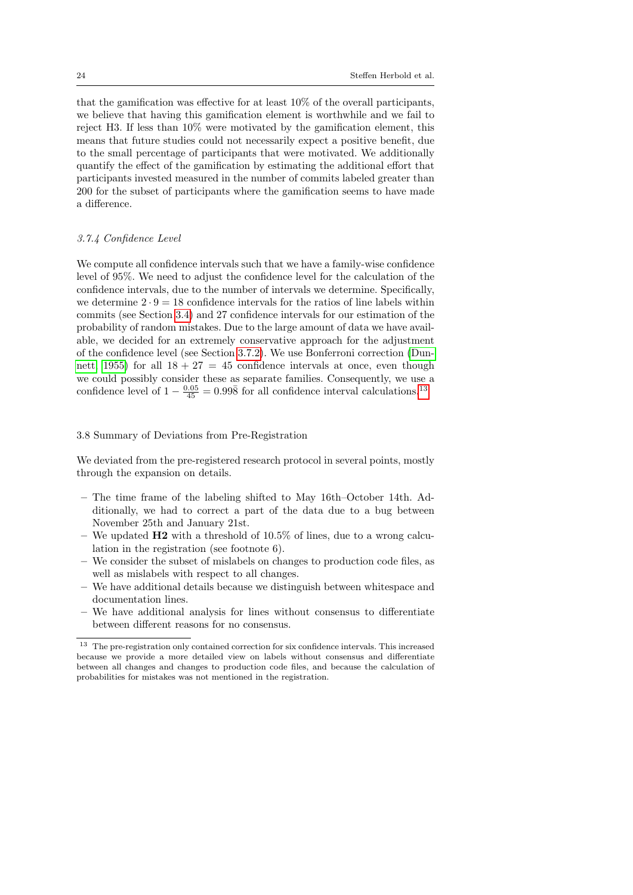that the gamification was effective for at least 10% of the overall participants, we believe that having this gamification element is worthwhile and we fail to reject H3. If less than 10% were motivated by the gamification element, this means that future studies could not necessarily expect a positive benefit, due to the small percentage of participants that were motivated. We additionally quantify the effect of the gamification by estimating the additional effort that participants invested measured in the number of commits labeled greater than 200 for the subset of participants where the gamification seems to have made a difference.

#### 3.7.4 Confidence Level

We compute all confidence intervals such that we have a family-wise confidence level of 95%. We need to adjust the confidence level for the calculation of the confidence intervals, due to the number of intervals we determine. Specifically, we determine  $2 \cdot 9 = 18$  confidence intervals for the ratios of line labels within commits (see Section [3.4\)](#page-13-0) and 27 confidence intervals for our estimation of the probability of random mistakes. Due to the large amount of data we have available, we decided for an extremely conservative approach for the adjustment of the confidence level (see Section [3.7.2\)](#page-20-2). We use Bonferroni correction [\(Dun](#page-47-13)[nett, 1955\)](#page-47-13) for all  $18 + 27 = 45$  confidence intervals at once, even though we could possibly consider these as separate families. Consequently, we use a confidence level of  $1 - \frac{0.05}{45} = 0.99\overline{8}$  for all confidence interval calculations.<sup>[13](#page-23-1)</sup>

#### <span id="page-23-0"></span>3.8 Summary of Deviations from Pre-Registration

We deviated from the pre-registered research protocol in several points, mostly through the expansion on details.

- The time frame of the labeling shifted to May 16th–October 14th. Additionally, we had to correct a part of the data due to a bug between November 25th and January 21st.
- We updated  $H2$  with a threshold of 10.5% of lines, due to a wrong calculation in the registration (see footnote 6).
- We consider the subset of mislabels on changes to production code files, as well as mislabels with respect to all changes.
- We have additional details because we distinguish between whitespace and documentation lines.
- We have additional analysis for lines without consensus to differentiate between different reasons for no consensus.

<span id="page-23-1"></span><sup>13</sup> The pre-registration only contained correction for six confidence intervals. This increased because we provide a more detailed view on labels without consensus and differentiate between all changes and changes to production code files, and because the calculation of probabilities for mistakes was not mentioned in the registration.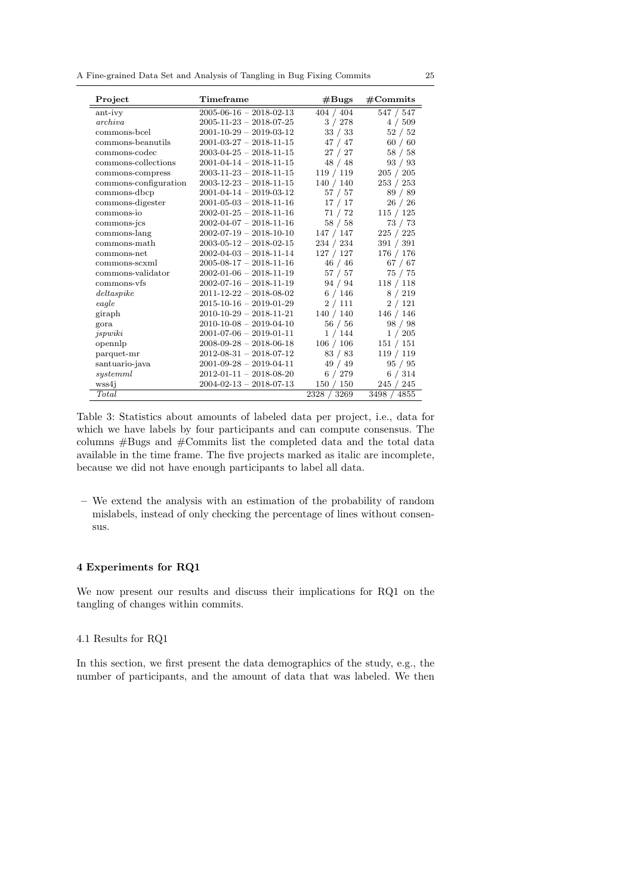A Fine-grained Data Set and Analysis of Tangling in Bug Fixing Commits 25

<span id="page-24-1"></span>

| Project               | Timeframe                         | $\#\text{Bugs}$        | #Commits      |
|-----------------------|-----------------------------------|------------------------|---------------|
| ant-ivy               | $2005 - 06 - 16 - 2018 - 02 - 13$ | 404 / 404              | 547/547       |
| archiva               | $2005 - 11 - 23 - 2018 - 07 - 25$ | 3 / 278                | 4 / 509       |
| commons-bcel          | $2001 - 10 - 29 - 2019 - 03 - 12$ | 33 / 33                | 52/52         |
| commons-beanutils     | $2001-03-27 - 2018-11-15$         | 47/47                  | 60/60         |
| commons-codec         | $2003-04-25 = 2018-11-15$         | 27/27                  | 58 / 58       |
| commons-collections   | $2001 - 04 - 14 - 2018 - 11 - 15$ | 48 / 48                | 93 / 93       |
| commons-compress      | $2003 - 11 - 23 - 2018 - 11 - 15$ | 119 / 119              | 205 / 205     |
| commons-configuration | $2003 - 12 - 23 - 2018 - 11 - 15$ | 140 / 140              | 253 / 253     |
| commons-dbcp          | $2001 - 04 - 14 - 2019 - 03 - 12$ | 57/57                  | 89 / 89       |
| commons-digester      | $2001 - 05 - 03 - 2018 - 11 - 16$ | 17/17                  | 26 / 26       |
| commons-io            | $2002 - 01 - 25 = 2018 - 11 - 16$ | 71/72                  | 115 / 125     |
| commons-jcs           | $2002 - 04 - 07 - 2018 - 11 - 16$ | 58/58                  | 73 / 73       |
| commons-lang          | $2002 - 07 - 19 - 2018 - 10 - 10$ | 147 / 147              | 225 / 225     |
| commons-math          | $2003-05-12 - 2018-02-15$         | 234 / 234              | 391 / 391     |
| commons-net           | $2002 - 04 - 03 - 2018 - 11 - 14$ | 127 / 127              | 176 / 176     |
| commons-scxml         | $2005 - 08 - 17 - 2018 - 11 - 16$ | 46 / 46                | 67 / 67       |
| commons-validator     | $2002 - 01 - 06 - 2018 - 11 - 19$ | 57/57                  | 75 / 75       |
| commons-vfs           | $2002 - 07 - 16 - 2018 - 11 - 19$ | 94 / 94                | 118 / 118     |
| deltaspike            | $2011 - 12 - 22 - 2018 - 08 - 02$ | 6 / 146                | $8$ / $219\,$ |
| eagle                 | $2015 - 10 - 16 - 2019 - 01 - 29$ | 2/111                  | 2 / 121       |
| giraph                | $2010-10-29 = 2018-11-21$         | 140 / 140              | 146 / 146     |
| gora                  | $2010 - 10 - 08 - 2019 - 04 - 10$ | 56/56                  | 98 / 98       |
| jspwiki               | $2001-07-06 - 2019-01-11$         | 1 / 144                | 1 / 205       |
| opennlp               | $2008-09-28-2018-06-18$           | 106 / 106              | 151 / 151     |
| parquet-mr            | $2012 - 08 - 31 - 2018 - 07 - 12$ | 83 / 83                | 119/119       |
| santuario-java        | $2001 - 09 - 28 - 2019 - 04 - 11$ | 49/49                  | 95 / 95       |
| systemml              | $2012 - 01 - 11 - 2018 - 08 - 20$ | 6 / 279                | 6 / 314       |
| wss4j                 | $2004-02-13-2018-07-13$           | 150 / 150              | 245 / 245     |
| Total                 |                                   | $2328 \overline{3269}$ | 3498 / 4855   |

Table 3: Statistics about amounts of labeled data per project, i.e., data for which we have labels by four participants and can compute consensus. The columns #Bugs and #Commits list the completed data and the total data available in the time frame. The five projects marked as italic are incomplete, because we did not have enough participants to label all data.

– We extend the analysis with an estimation of the probability of random mislabels, instead of only checking the percentage of lines without consensus.

## <span id="page-24-0"></span>4 Experiments for RQ1

We now present our results and discuss their implications for RQ1 on the tangling of changes within commits.

## 4.1 Results for RQ1

In this section, we first present the data demographics of the study, e.g., the number of participants, and the amount of data that was labeled. We then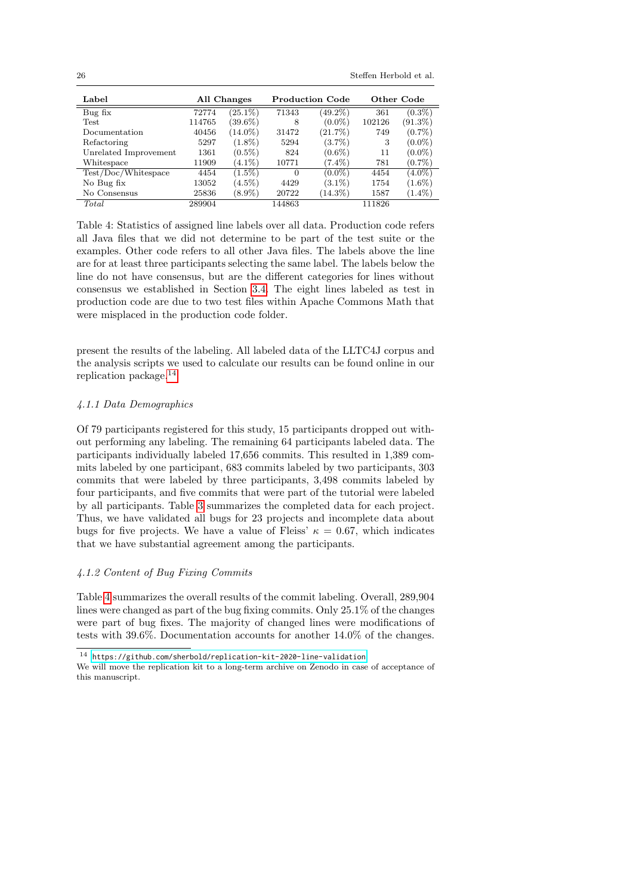26 Steffen Herbold et al.

<span id="page-25-1"></span>

| Label                 |        | All Changes |          | <b>Production Code</b> |        | Other Code |
|-----------------------|--------|-------------|----------|------------------------|--------|------------|
| Bug fix               | 72774  | $(25.1\%)$  | 71343    | $(49.2\%)$             | 361    | $(0.3\%)$  |
| <b>Test</b>           | 114765 | $(39.6\%)$  | 8        | $(0.0\%)$              | 102126 | $(91.3\%)$ |
| Documentation         | 40456  | $(14.0\%)$  | 31472    | $(21.7\%)$             | 749    | $(0.7\%)$  |
| Refactoring           | 5297   | $(1.8\%)$   | 5294     | $(3.7\%)$              | 3      | $(0.0\%)$  |
| Unrelated Improvement | 1361   | $(0.5\%)$   | 824      | $(0.6\%)$              | 11     | $(0.0\%)$  |
| Whitespace            | 11909  | $(4.1\%)$   | 10771    | $(7.4\%)$              | 781    | $(0.7\%)$  |
| Test/Doc/Whitespace   | 4454   | $(1.5\%)$   | $\Omega$ | $(0.0\%)$              | 4454   | $(4.0\%)$  |
| No Bug fix            | 13052  | $(4.5\%)$   | 4429     | $(3.1\%)$              | 1754   | $(1.6\%)$  |
| No Consensus          | 25836  | $(8.9\%)$   | 20722    | $(14.3\%)$             | 1587   | $(1.4\%)$  |
| <b>Total</b>          | 289904 |             | 144863   |                        | 111826 |            |

Table 4: Statistics of assigned line labels over all data. Production code refers all Java files that we did not determine to be part of the test suite or the examples. Other code refers to all other Java files. The labels above the line are for at least three participants selecting the same label. The labels below the line do not have consensus, but are the different categories for lines without consensus we established in Section [3.4.](#page-13-0) The eight lines labeled as test in production code are due to two test files within Apache Commons Math that were misplaced in the production code folder.

present the results of the labeling. All labeled data of the LLTC4J corpus and the analysis scripts we used to calculate our results can be found online in our replication package.[14](#page-25-0)

## 4.1.1 Data Demographics

Of 79 participants registered for this study, 15 participants dropped out without performing any labeling. The remaining 64 participants labeled data. The participants individually labeled 17,656 commits. This resulted in 1,389 commits labeled by one participant, 683 commits labeled by two participants, 303 commits that were labeled by three participants, 3,498 commits labeled by four participants, and five commits that were part of the tutorial were labeled by all participants. Table [3](#page-24-1) summarizes the completed data for each project. Thus, we have validated all bugs for 23 projects and incomplete data about bugs for five projects. We have a value of Fleiss'  $\kappa = 0.67$ , which indicates that we have substantial agreement among the participants.

## 4.1.2 Content of Bug Fixing Commits

Table [4](#page-25-1) summarizes the overall results of the commit labeling. Overall, 289,904 lines were changed as part of the bug fixing commits. Only 25.1% of the changes were part of bug fixes. The majority of changed lines were modifications of tests with 39.6%. Documentation accounts for another 14.0% of the changes.

<span id="page-25-0"></span><sup>14</sup> <https://github.com/sherbold/replication-kit-2020-line-validation>

We will move the replication kit to a long-term archive on Zenodo in case of acceptance of this manuscript.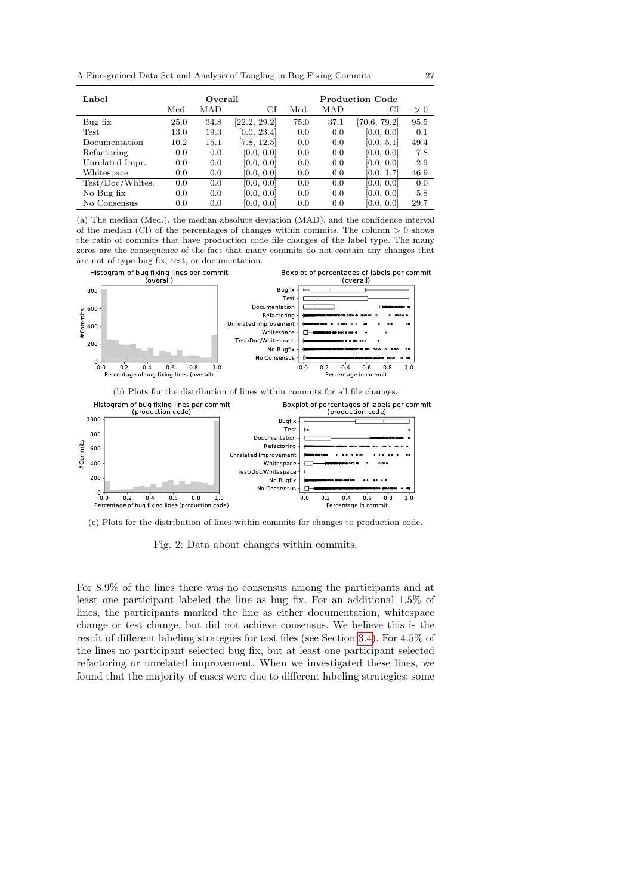A Fine-grained Data Set and Analysis of Tangling in Bug Fixing Commits 27

<span id="page-26-0"></span>

| Label            | Overall |      |              |      |      | <b>Production Code</b> |      |
|------------------|---------|------|--------------|------|------|------------------------|------|
|                  | Med.    | MAD  | СI           | Med. | MAD  | CI                     | > 0  |
| Bug fix          | 25.0    | 34.8 | [22.2, 29.2] | 75.0 | 37.1 | [70.6, 79.2]           | 95.5 |
| Test             | 13.0    | 19.3 | [0.0, 23.4]  | 0.0  | 0.0  | [0.0, 0.0]             | 0.1  |
| Documentation    | 10.2    | 15.1 | 7.8, 12.5    | 0.0  | 0.0  | [0.0, 5.1]             | 49.4 |
| Refactoring      | 0.0     | 0.0  | [0.0, 0.0]   | 0.0  | 0.0  | [0.0, 0.0]             | 7.8  |
| Unrelated Impr.  | 0.0     | 0.0  | [0.0, 0.0]   | 0.0  | 0.0  | [0.0, 0.0]             | 2.9  |
| Whitespace       | 0.0     | 0.0  | [0.0, 0.0]   | 0.0  | 0.0  | [0.0, 1.7]             | 46.9 |
| Test/Doc/Whites. | 0.0     | 0.0  | [0.0, 0.0]   | 0.0  | 0.0  | [0.0, 0.0]             | 0.0  |
| No Bug fix       | 0.0     | 0.0  | [0.0, 0.0]   | 0.0  | 0.0  | [0.0, 0.0]             | 5.8  |
| No Consensus     | 0.0     | 0.0  | [0.0, 0.0]   | 0.0  | 0.0  | [0.0, 0.0]             | 29.7 |

(a) The median (Med.), the median absolute deviation (MAD), and the confidence interval of the median  $\overrightarrow{CI}$  of the percentages of changes within commits. The column  $> 0$  shows the ratio of commits that have production code file changes of the label type. The many zeros are the consequence of the fact that many commits do not contain any changes that are not of type bug fix, test, or documentation.





(c) Plots for the distribution of lines within commits for changes to production code.

Fig. 2: Data about changes within commits.

For 8.9% of the lines there was no consensus among the participants and at least one participant labeled the line as bug fix. For an additional 1.5% of lines, the participants marked the line as either documentation, whitespace change or test change, but did not achieve consensus. We believe this is the result of different labeling strategies for test files (see Section [3.4\)](#page-13-0). For 4.5% of the lines no participant selected bug fix, but at least one participant selected refactoring or unrelated improvement. When we investigated these lines, we found that the majority of cases were due to different labeling strategies: some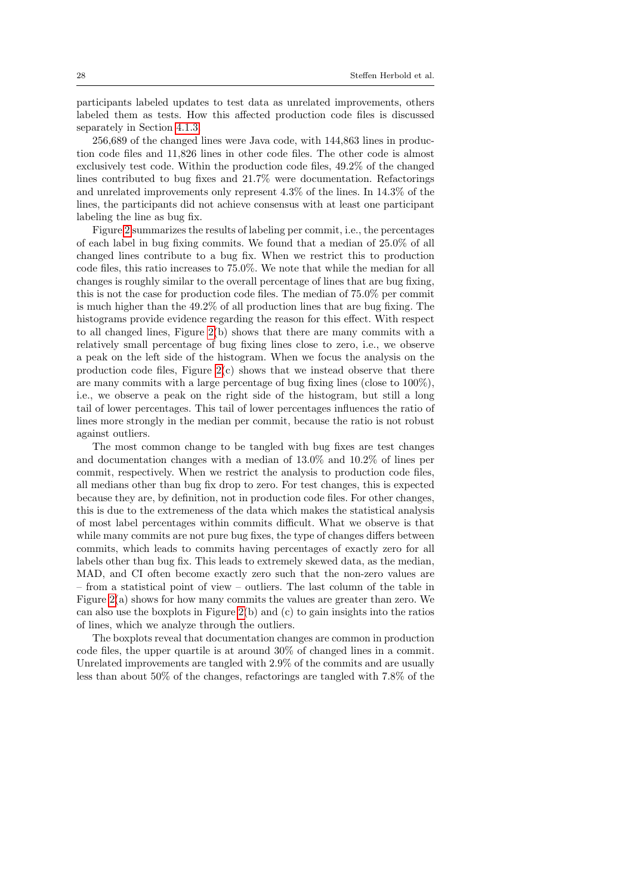participants labeled updates to test data as unrelated improvements, others labeled them as tests. How this affected production code files is discussed separately in Section [4.1.3.](#page-28-0)

256,689 of the changed lines were Java code, with 144,863 lines in production code files and 11,826 lines in other code files. The other code is almost exclusively test code. Within the production code files, 49.2% of the changed lines contributed to bug fixes and 21.7% were documentation. Refactorings and unrelated improvements only represent 4.3% of the lines. In 14.3% of the lines, the participants did not achieve consensus with at least one participant labeling the line as bug fix.

Figure [2](#page-26-0) summarizes the results of labeling per commit, i.e., the percentages of each label in bug fixing commits. We found that a median of 25.0% of all changed lines contribute to a bug fix. When we restrict this to production code files, this ratio increases to 75.0%. We note that while the median for all changes is roughly similar to the overall percentage of lines that are bug fixing, this is not the case for production code files. The median of 75.0% per commit is much higher than the 49.2% of all production lines that are bug fixing. The histograms provide evidence regarding the reason for this effect. With respect to all changed lines, Figure [2\(](#page-26-0)b) shows that there are many commits with a relatively small percentage of bug fixing lines close to zero, i.e., we observe a peak on the left side of the histogram. When we focus the analysis on the production code files, Figure  $2(c)$  shows that we instead observe that there are many commits with a large percentage of bug fixing lines (close to 100%), i.e., we observe a peak on the right side of the histogram, but still a long tail of lower percentages. This tail of lower percentages influences the ratio of lines more strongly in the median per commit, because the ratio is not robust against outliers.

The most common change to be tangled with bug fixes are test changes and documentation changes with a median of 13.0% and 10.2% of lines per commit, respectively. When we restrict the analysis to production code files, all medians other than bug fix drop to zero. For test changes, this is expected because they are, by definition, not in production code files. For other changes, this is due to the extremeness of the data which makes the statistical analysis of most label percentages within commits difficult. What we observe is that while many commits are not pure bug fixes, the type of changes differs between commits, which leads to commits having percentages of exactly zero for all labels other than bug fix. This leads to extremely skewed data, as the median, MAD, and CI often become exactly zero such that the non-zero values are – from a statistical point of view – outliers. The last column of the table in Figure  $2(a)$  shows for how many commits the values are greater than zero. We can also use the boxplots in Figure [2\(](#page-26-0)b) and (c) to gain insights into the ratios of lines, which we analyze through the outliers.

The boxplots reveal that documentation changes are common in production code files, the upper quartile is at around 30% of changed lines in a commit. Unrelated improvements are tangled with 2.9% of the commits and are usually less than about 50% of the changes, refactorings are tangled with 7.8% of the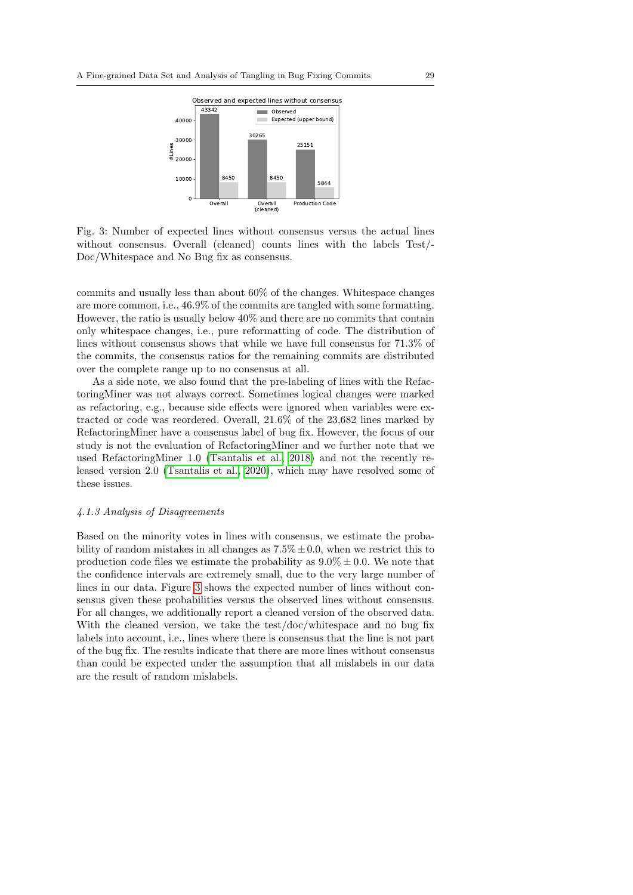<span id="page-28-1"></span>

Fig. 3: Number of expected lines without consensus versus the actual lines without consensus. Overall (cleaned) counts lines with the labels Test/- Doc/Whitespace and No Bug fix as consensus.

commits and usually less than about 60% of the changes. Whitespace changes are more common, i.e., 46.9% of the commits are tangled with some formatting. However, the ratio is usually below 40% and there are no commits that contain only whitespace changes, i.e., pure reformatting of code. The distribution of lines without consensus shows that while we have full consensus for 71.3% of the commits, the consensus ratios for the remaining commits are distributed over the complete range up to no consensus at all.

As a side note, we also found that the pre-labeling of lines with the RefactoringMiner was not always correct. Sometimes logical changes were marked as refactoring, e.g., because side effects were ignored when variables were extracted or code was reordered. Overall, 21.6% of the 23,682 lines marked by RefactoringMiner have a consensus label of bug fix. However, the focus of our study is not the evaluation of RefactoringMiner and we further note that we used RefactoringMiner 1.0 [\(Tsantalis et al., 2018\)](#page-50-9) and not the recently released version 2.0 [\(Tsantalis et al., 2020\)](#page-50-10), which may have resolved some of these issues.

#### <span id="page-28-0"></span>4.1.3 Analysis of Disagreements

Based on the minority votes in lines with consensus, we estimate the probability of random mistakes in all changes as  $7.5\% \pm 0.0$ , when we restrict this to production code files we estimate the probability as  $9.0\% \pm 0.0$ . We note that the confidence intervals are extremely small, due to the very large number of lines in our data. Figure [3](#page-28-1) shows the expected number of lines without consensus given these probabilities versus the observed lines without consensus. For all changes, we additionally report a cleaned version of the observed data. With the cleaned version, we take the test/doc/whitespace and no bug fix labels into account, i.e., lines where there is consensus that the line is not part of the bug fix. The results indicate that there are more lines without consensus than could be expected under the assumption that all mislabels in our data are the result of random mislabels.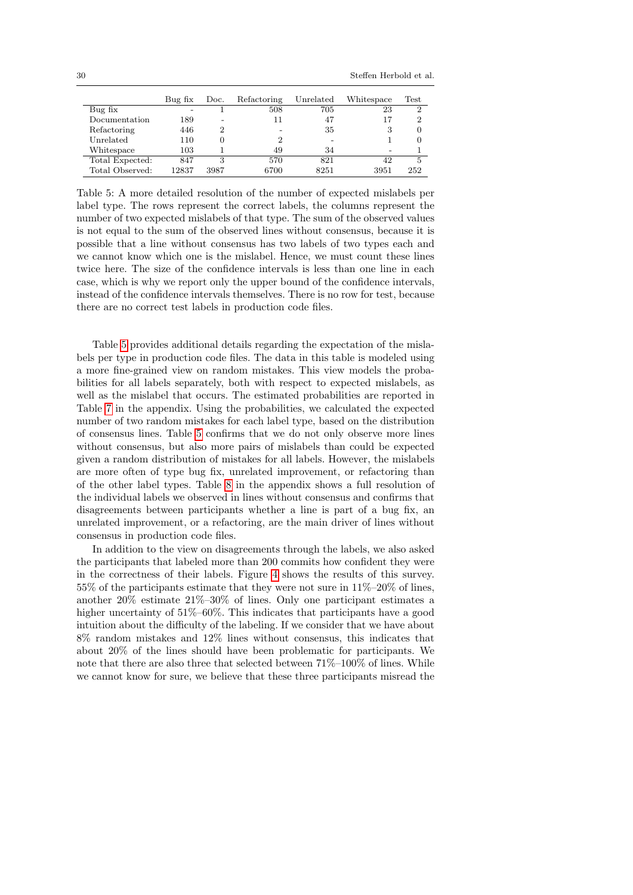<span id="page-29-0"></span>

|                 | Bug fix | Doc. | Refactoring | Unrelated | Whitespace               | $\operatorname{Test}$ |
|-----------------|---------|------|-------------|-----------|--------------------------|-----------------------|
| Bug fix         |         |      | 508         | 705       | 23                       | $\overline{2}$        |
| Documentation   | 189     |      | 11          | 47        | 17                       | $\overline{2}$        |
| Refactoring     | 446     | 2    |             | 35        | 3                        | $\left( \right)$      |
| Unrelated       | 110     |      | 2           |           |                          | $\cup$                |
| Whitespace      | 103     |      | 49          | 34        | $\overline{\phantom{a}}$ |                       |
| Total Expected: | 847     | 3    | 570         | 821       | 42                       | 5                     |
| Total Observed: | 12837   | 3987 | 6700        | 8251      | 3951                     | 252                   |

Table 5: A more detailed resolution of the number of expected mislabels per label type. The rows represent the correct labels, the columns represent the number of two expected mislabels of that type. The sum of the observed values is not equal to the sum of the observed lines without consensus, because it is possible that a line without consensus has two labels of two types each and we cannot know which one is the mislabel. Hence, we must count these lines twice here. The size of the confidence intervals is less than one line in each case, which is why we report only the upper bound of the confidence intervals, instead of the confidence intervals themselves. There is no row for test, because there are no correct test labels in production code files.

Table [5](#page-29-0) provides additional details regarding the expectation of the mislabels per type in production code files. The data in this table is modeled using a more fine-grained view on random mistakes. This view models the probabilities for all labels separately, both with respect to expected mislabels, as well as the mislabel that occurs. The estimated probabilities are reported in Table [7](#page-52-0) in the appendix. Using the probabilities, we calculated the expected number of two random mistakes for each label type, based on the distribution of consensus lines. Table [5](#page-29-0) confirms that we do not only observe more lines without consensus, but also more pairs of mislabels than could be expected given a random distribution of mistakes for all labels. However, the mislabels are more often of type bug fix, unrelated improvement, or refactoring than of the other label types. Table [8](#page-52-1) in the appendix shows a full resolution of the individual labels we observed in lines without consensus and confirms that disagreements between participants whether a line is part of a bug fix, an unrelated improvement, or a refactoring, are the main driver of lines without consensus in production code files.

In addition to the view on disagreements through the labels, we also asked the participants that labeled more than 200 commits how confident they were in the correctness of their labels. Figure [4](#page-30-0) shows the results of this survey. 55% of the participants estimate that they were not sure in 11%–20% of lines, another 20% estimate 21%–30% of lines. Only one participant estimates a higher uncertainty of  $51\%$ –60%. This indicates that participants have a good intuition about the difficulty of the labeling. If we consider that we have about 8% random mistakes and 12% lines without consensus, this indicates that about 20% of the lines should have been problematic for participants. We note that there are also three that selected between 71%–100% of lines. While we cannot know for sure, we believe that these three participants misread the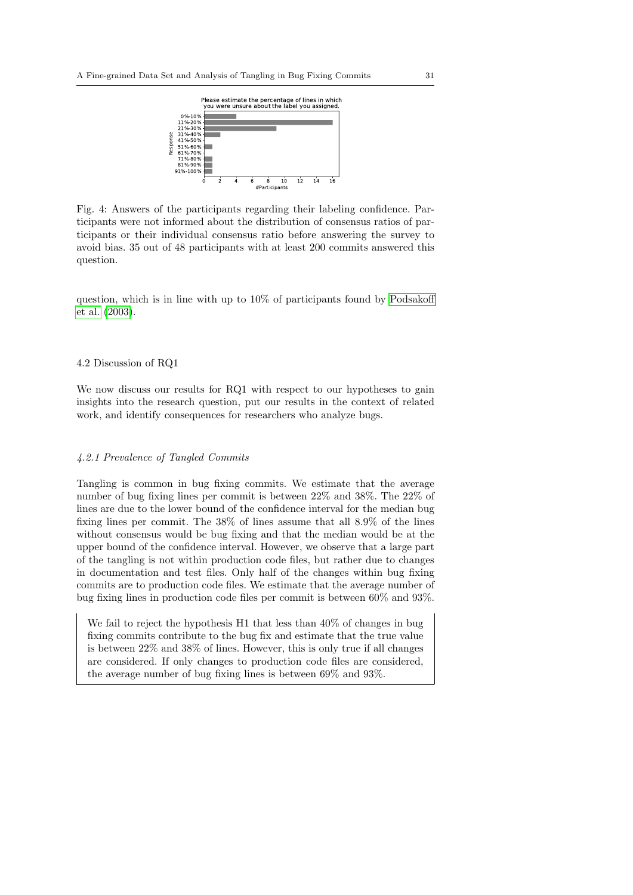<span id="page-30-0"></span>

Fig. 4: Answers of the participants regarding their labeling confidence. Participants were not informed about the distribution of consensus ratios of participants or their individual consensus ratio before answering the survey to avoid bias. 35 out of 48 participants with at least 200 commits answered this question.

question, which is in line with up to 10% of participants found by [Podsakoff](#page-49-8) [et al.](#page-49-8) [\(2003\)](#page-49-8).

#### 4.2 Discussion of RQ1

We now discuss our results for RQ1 with respect to our hypotheses to gain insights into the research question, put our results in the context of related work, and identify consequences for researchers who analyze bugs.

#### 4.2.1 Prevalence of Tangled Commits

Tangling is common in bug fixing commits. We estimate that the average number of bug fixing lines per commit is between 22% and 38%. The 22% of lines are due to the lower bound of the confidence interval for the median bug fixing lines per commit. The 38% of lines assume that all 8.9% of the lines without consensus would be bug fixing and that the median would be at the upper bound of the confidence interval. However, we observe that a large part of the tangling is not within production code files, but rather due to changes in documentation and test files. Only half of the changes within bug fixing commits are to production code files. We estimate that the average number of bug fixing lines in production code files per commit is between 60% and 93%.

We fail to reject the hypothesis H1 that less than  $40\%$  of changes in bug fixing commits contribute to the bug fix and estimate that the true value is between 22% and 38% of lines. However, this is only true if all changes are considered. If only changes to production code files are considered, the average number of bug fixing lines is between 69% and 93%.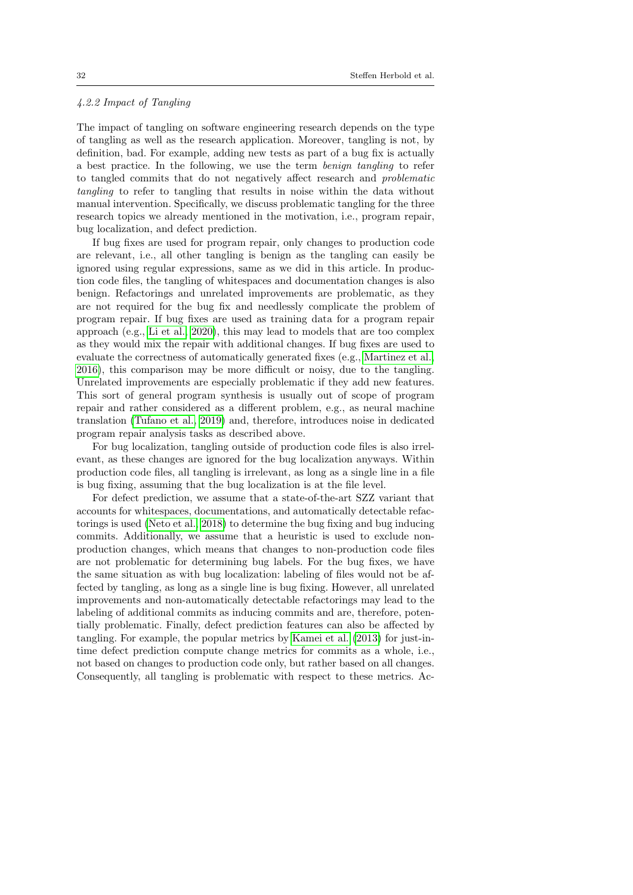### <span id="page-31-0"></span>4.2.2 Impact of Tangling

The impact of tangling on software engineering research depends on the type of tangling as well as the research application. Moreover, tangling is not, by definition, bad. For example, adding new tests as part of a bug fix is actually a best practice. In the following, we use the term benign tangling to refer to tangled commits that do not negatively affect research and problematic tangling to refer to tangling that results in noise within the data without manual intervention. Specifically, we discuss problematic tangling for the three research topics we already mentioned in the motivation, i.e., program repair, bug localization, and defect prediction.

If bug fixes are used for program repair, only changes to production code are relevant, i.e., all other tangling is benign as the tangling can easily be ignored using regular expressions, same as we did in this article. In production code files, the tangling of whitespaces and documentation changes is also benign. Refactorings and unrelated improvements are problematic, as they are not required for the bug fix and needlessly complicate the problem of program repair. If bug fixes are used as training data for a program repair approach (e.g., [Li et al., 2020\)](#page-49-9), this may lead to models that are too complex as they would mix the repair with additional changes. If bug fixes are used to evaluate the correctness of automatically generated fixes (e.g., [Martinez et al.,](#page-49-10) [2016\)](#page-49-10), this comparison may be more difficult or noisy, due to the tangling. Unrelated improvements are especially problematic if they add new features. This sort of general program synthesis is usually out of scope of program repair and rather considered as a different problem, e.g., as neural machine translation [\(Tufano et al., 2019\)](#page-50-11) and, therefore, introduces noise in dedicated program repair analysis tasks as described above.

For bug localization, tangling outside of production code files is also irrelevant, as these changes are ignored for the bug localization anyways. Within production code files, all tangling is irrelevant, as long as a single line in a file is bug fixing, assuming that the bug localization is at the file level.

For defect prediction, we assume that a state-of-the-art SZZ variant that accounts for whitespaces, documentations, and automatically detectable refactorings is used [\(Neto et al., 2018\)](#page-49-5) to determine the bug fixing and bug inducing commits. Additionally, we assume that a heuristic is used to exclude nonproduction changes, which means that changes to non-production code files are not problematic for determining bug labels. For the bug fixes, we have the same situation as with bug localization: labeling of files would not be affected by tangling, as long as a single line is bug fixing. However, all unrelated improvements and non-automatically detectable refactorings may lead to the labeling of additional commits as inducing commits and are, therefore, potentially problematic. Finally, defect prediction features can also be affected by tangling. For example, the popular metrics by [Kamei et al.](#page-48-11) [\(2013\)](#page-48-11) for just-intime defect prediction compute change metrics for commits as a whole, i.e., not based on changes to production code only, but rather based on all changes. Consequently, all tangling is problematic with respect to these metrics. Ac-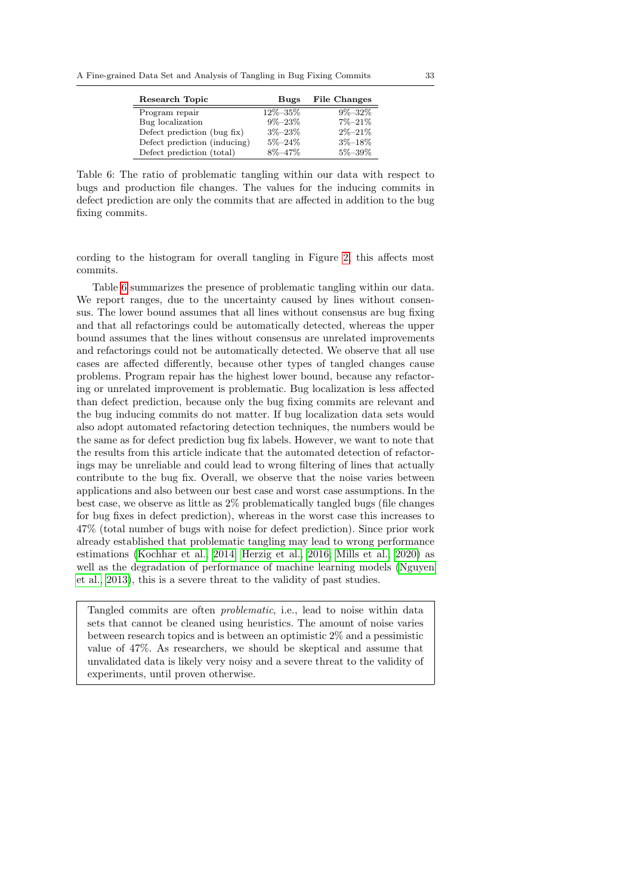<span id="page-32-0"></span>A Fine-grained Data Set and Analysis of Tangling in Bug Fixing Commits 33

| Research Topic               | <b>Bugs</b>   | <b>File Changes</b> |
|------------------------------|---------------|---------------------|
| Program repair               | $12\% - 35\%$ | $9\% - 32\%$        |
| Bug localization             | $9\% - 23\%$  | $7\% - 21\%$        |
| Defect prediction (bug fix)  | $3\% - 23\%$  | $2\% - 21\%$        |
| Defect prediction (inducing) | $5\% - 24\%$  | $3\% - 18\%$        |
| Defect prediction (total)    | $8\% - 47\%$  | $5\% - 39\%$        |

Table 6: The ratio of problematic tangling within our data with respect to bugs and production file changes. The values for the inducing commits in defect prediction are only the commits that are affected in addition to the bug fixing commits.

cording to the histogram for overall tangling in Figure [2,](#page-26-0) this affects most commits.

Table [6](#page-32-0) summarizes the presence of problematic tangling within our data. We report ranges, due to the uncertainty caused by lines without consensus. The lower bound assumes that all lines without consensus are bug fixing and that all refactorings could be automatically detected, whereas the upper bound assumes that the lines without consensus are unrelated improvements and refactorings could not be automatically detected. We observe that all use cases are affected differently, because other types of tangled changes cause problems. Program repair has the highest lower bound, because any refactoring or unrelated improvement is problematic. Bug localization is less affected than defect prediction, because only the bug fixing commits are relevant and the bug inducing commits do not matter. If bug localization data sets would also adopt automated refactoring detection techniques, the numbers would be the same as for defect prediction bug fix labels. However, we want to note that the results from this article indicate that the automated detection of refactorings may be unreliable and could lead to wrong filtering of lines that actually contribute to the bug fix. Overall, we observe that the noise varies between applications and also between our best case and worst case assumptions. In the best case, we observe as little as 2% problematically tangled bugs (file changes for bug fixes in defect prediction), whereas in the worst case this increases to 47% (total number of bugs with noise for defect prediction). Since prior work already established that problematic tangling may lead to wrong performance estimations [\(Kochhar et al., 2014;](#page-48-1) [Herzig et al., 2016;](#page-47-4) [Mills et al., 2020\)](#page-49-2) as well as the degradation of performance of machine learning models [\(Nguyen](#page-49-1) [et al., 2013\)](#page-49-1), this is a severe threat to the validity of past studies.

Tangled commits are often problematic, i.e., lead to noise within data sets that cannot be cleaned using heuristics. The amount of noise varies between research topics and is between an optimistic 2% and a pessimistic value of 47%. As researchers, we should be skeptical and assume that unvalidated data is likely very noisy and a severe threat to the validity of experiments, until proven otherwise.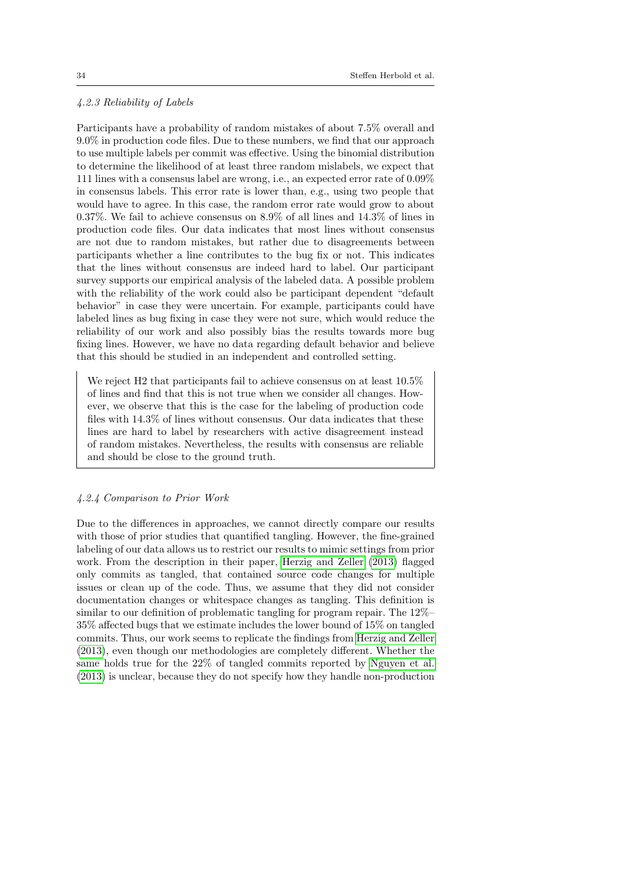## 4.2.3 Reliability of Labels

Participants have a probability of random mistakes of about 7.5% overall and 9.0% in production code files. Due to these numbers, we find that our approach to use multiple labels per commit was effective. Using the binomial distribution to determine the likelihood of at least three random mislabels, we expect that 111 lines with a consensus label are wrong, i.e., an expected error rate of 0.09% in consensus labels. This error rate is lower than, e.g., using two people that would have to agree. In this case, the random error rate would grow to about 0.37%. We fail to achieve consensus on 8.9% of all lines and 14.3% of lines in production code files. Our data indicates that most lines without consensus are not due to random mistakes, but rather due to disagreements between participants whether a line contributes to the bug fix or not. This indicates that the lines without consensus are indeed hard to label. Our participant survey supports our empirical analysis of the labeled data. A possible problem with the reliability of the work could also be participant dependent "default behavior" in case they were uncertain. For example, participants could have labeled lines as bug fixing in case they were not sure, which would reduce the reliability of our work and also possibly bias the results towards more bug fixing lines. However, we have no data regarding default behavior and believe that this should be studied in an independent and controlled setting.

We reject H<sub>2</sub> that participants fail to achieve consensus on at least  $10.5\%$ of lines and find that this is not true when we consider all changes. However, we observe that this is the case for the labeling of production code files with 14.3% of lines without consensus. Our data indicates that these lines are hard to label by researchers with active disagreement instead of random mistakes. Nevertheless, the results with consensus are reliable and should be close to the ground truth.

## 4.2.4 Comparison to Prior Work

Due to the differences in approaches, we cannot directly compare our results with those of prior studies that quantified tangling. However, the fine-grained labeling of our data allows us to restrict our results to mimic settings from prior work. From the description in their paper, [Herzig and Zeller](#page-47-3) [\(2013\)](#page-47-3) flagged only commits as tangled, that contained source code changes for multiple issues or clean up of the code. Thus, we assume that they did not consider documentation changes or whitespace changes as tangling. This definition is similar to our definition of problematic tangling for program repair. The 12%– 35% affected bugs that we estimate includes the lower bound of 15% on tangled commits. Thus, our work seems to replicate the findings from [Herzig and Zeller](#page-47-3) [\(2013\)](#page-47-3), even though our methodologies are completely different. Whether the same holds true for the 22% of tangled commits reported by [Nguyen et al.](#page-49-1) [\(2013\)](#page-49-1) is unclear, because they do not specify how they handle non-production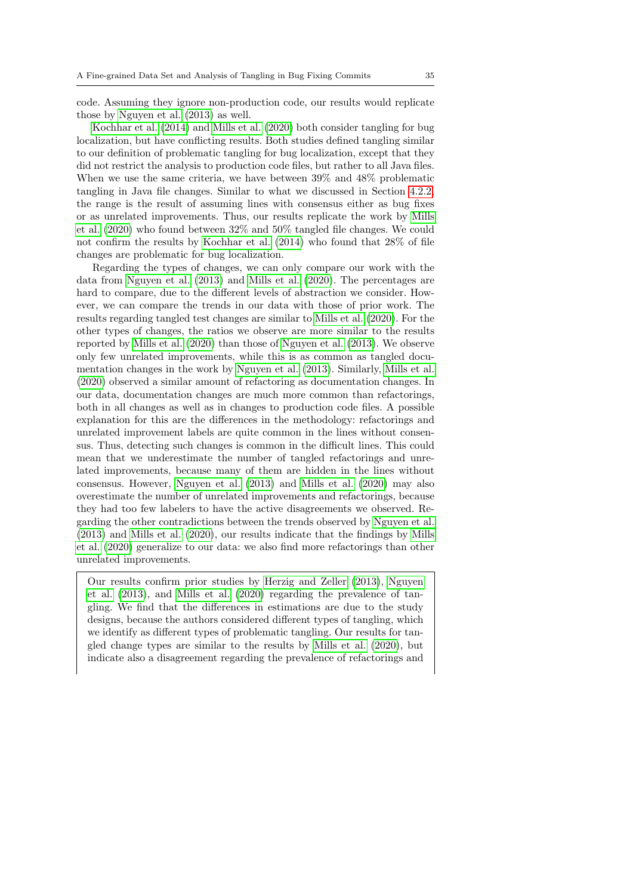code. Assuming they ignore non-production code, our results would replicate those by [Nguyen et al.](#page-49-1) [\(2013\)](#page-49-1) as well.

[Kochhar et al.](#page-48-1) [\(2014\)](#page-48-1) and [Mills et al.](#page-49-2) [\(2020\)](#page-49-2) both consider tangling for bug localization, but have conflicting results. Both studies defined tangling similar to our definition of problematic tangling for bug localization, except that they did not restrict the analysis to production code files, but rather to all Java files. When we use the same criteria, we have between 39% and 48% problematic tangling in Java file changes. Similar to what we discussed in Section [4.2.2,](#page-31-0) the range is the result of assuming lines with consensus either as bug fixes or as unrelated improvements. Thus, our results replicate the work by [Mills](#page-49-2) [et al.](#page-49-2) [\(2020\)](#page-49-2) who found between 32% and 50% tangled file changes. We could not confirm the results by [Kochhar et al.](#page-48-1) [\(2014\)](#page-48-1) who found that 28% of file changes are problematic for bug localization.

Regarding the types of changes, we can only compare our work with the data from [Nguyen et al.](#page-49-1) [\(2013\)](#page-49-1) and [Mills et al.](#page-49-2) [\(2020\)](#page-49-2). The percentages are hard to compare, due to the different levels of abstraction we consider. However, we can compare the trends in our data with those of prior work. The results regarding tangled test changes are similar to [Mills et al.](#page-49-2) [\(2020\)](#page-49-2). For the other types of changes, the ratios we observe are more similar to the results reported by [Mills et al.](#page-49-2) [\(2020\)](#page-49-2) than those of [Nguyen et al.](#page-49-1) [\(2013\)](#page-49-1). We observe only few unrelated improvements, while this is as common as tangled documentation changes in the work by [Nguyen et al.](#page-49-1) [\(2013\)](#page-49-1). Similarly, [Mills et al.](#page-49-2) [\(2020\)](#page-49-2) observed a similar amount of refactoring as documentation changes. In our data, documentation changes are much more common than refactorings, both in all changes as well as in changes to production code files. A possible explanation for this are the differences in the methodology: refactorings and unrelated improvement labels are quite common in the lines without consensus. Thus, detecting such changes is common in the difficult lines. This could mean that we underestimate the number of tangled refactorings and unrelated improvements, because many of them are hidden in the lines without consensus. However, [Nguyen et al.](#page-49-1) [\(2013\)](#page-49-1) and [Mills et al.](#page-49-2) [\(2020\)](#page-49-2) may also overestimate the number of unrelated improvements and refactorings, because they had too few labelers to have the active disagreements we observed. Regarding the other contradictions between the trends observed by [Nguyen et al.](#page-49-1) [\(2013\)](#page-49-1) and [Mills et al.](#page-49-2) [\(2020\)](#page-49-2), our results indicate that the findings by [Mills](#page-49-2) [et al.](#page-49-2) [\(2020\)](#page-49-2) generalize to our data: we also find more refactorings than other unrelated improvements.

Our results confirm prior studies by [Herzig and Zeller](#page-47-3) [\(2013\)](#page-47-3), [Nguyen](#page-49-1) [et al.](#page-49-1) [\(2013\)](#page-49-1), and [Mills et al.](#page-49-2) [\(2020\)](#page-49-2) regarding the prevalence of tangling. We find that the differences in estimations are due to the study designs, because the authors considered different types of tangling, which we identify as different types of problematic tangling. Our results for tangled change types are similar to the results by [Mills et al.](#page-49-2) [\(2020\)](#page-49-2), but indicate also a disagreement regarding the prevalence of refactorings and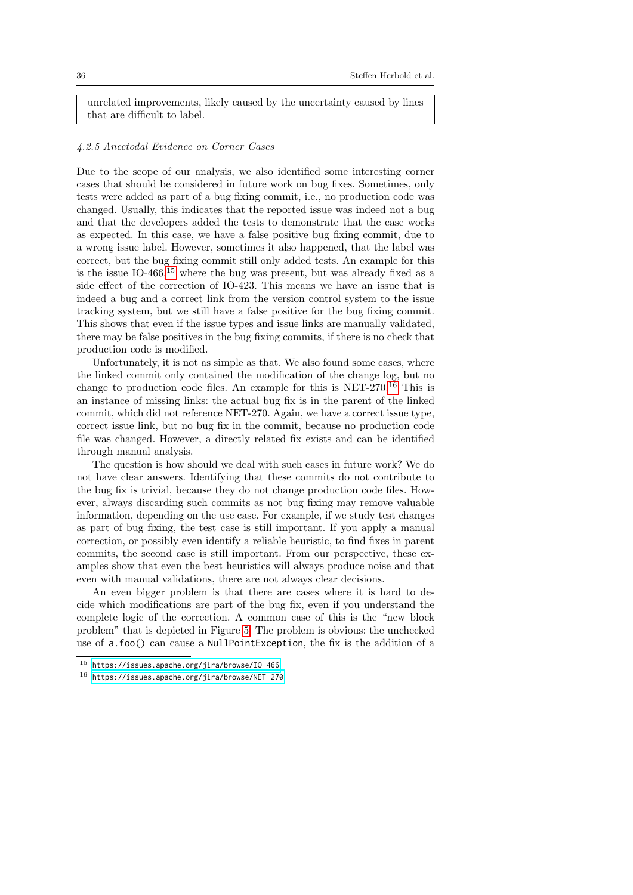unrelated improvements, likely caused by the uncertainty caused by lines that are difficult to label.

## 4.2.5 Anectodal Evidence on Corner Cases

Due to the scope of our analysis, we also identified some interesting corner cases that should be considered in future work on bug fixes. Sometimes, only tests were added as part of a bug fixing commit, i.e., no production code was changed. Usually, this indicates that the reported issue was indeed not a bug and that the developers added the tests to demonstrate that the case works as expected. In this case, we have a false positive bug fixing commit, due to a wrong issue label. However, sometimes it also happened, that the label was correct, but the bug fixing commit still only added tests. An example for this is the issue  $IO-466$ ,  $15$  where the bug was present, but was already fixed as a side effect of the correction of IO-423. This means we have an issue that is indeed a bug and a correct link from the version control system to the issue tracking system, but we still have a false positive for the bug fixing commit. This shows that even if the issue types and issue links are manually validated, there may be false positives in the bug fixing commits, if there is no check that production code is modified.

Unfortunately, it is not as simple as that. We also found some cases, where the linked commit only contained the modification of the change log, but no change to production code files. An example for this is NET-270.[16](#page-35-1) This is an instance of missing links: the actual bug fix is in the parent of the linked commit, which did not reference NET-270. Again, we have a correct issue type, correct issue link, but no bug fix in the commit, because no production code file was changed. However, a directly related fix exists and can be identified through manual analysis.

The question is how should we deal with such cases in future work? We do not have clear answers. Identifying that these commits do not contribute to the bug fix is trivial, because they do not change production code files. However, always discarding such commits as not bug fixing may remove valuable information, depending on the use case. For example, if we study test changes as part of bug fixing, the test case is still important. If you apply a manual correction, or possibly even identify a reliable heuristic, to find fixes in parent commits, the second case is still important. From our perspective, these examples show that even the best heuristics will always produce noise and that even with manual validations, there are not always clear decisions.

An even bigger problem is that there are cases where it is hard to decide which modifications are part of the bug fix, even if you understand the complete logic of the correction. A common case of this is the "new block problem" that is depicted in Figure [5.](#page-36-0) The problem is obvious: the unchecked use of a.foo() can cause a NullPointException, the fix is the addition of a

<span id="page-35-0"></span><sup>15</sup> <https://issues.apache.org/jira/browse/IO-466>

<span id="page-35-1"></span><sup>16</sup> <https://issues.apache.org/jira/browse/NET-270>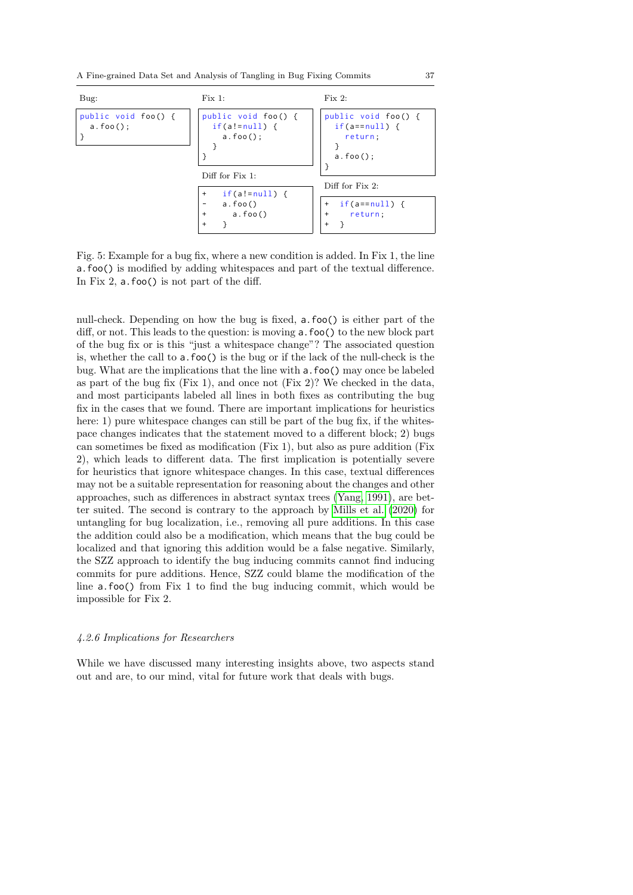<span id="page-36-0"></span>

| Bug:                                      | Fix 1:                                                                                   | Fix 2:                                                                                     |
|-------------------------------------------|------------------------------------------------------------------------------------------|--------------------------------------------------------------------------------------------|
| public void foo() $\{$<br>$a.$ foo $()$ ; | public void foo() {<br>$if(a!=null)$ {<br>$a.$ foo $()$ ;<br>$Diff$ for $Fix 1$ :        | public void foo() $\{$<br>$if(a == null)$ {<br>return;<br>$a.$ foo $()$ ;                  |
|                                           | $if(a!=null)$ {<br>$\ddot{}$<br>$a.$ foo $()$<br>$a.$ foo $()$<br>$\ddot{}$<br>$\ddot{}$ | $Diff$ for $Fix$ 2:<br>if(a== $null$ ) {<br>$\ddot{}$<br>return;<br>$\ddot{}$<br>$\ddot{}$ |

Fig. 5: Example for a bug fix, where a new condition is added. In Fix 1, the line a.foo() is modified by adding whitespaces and part of the textual difference. In Fix 2, a. foo() is not part of the diff.

null-check. Depending on how the bug is fixed,  $a.60$  is either part of the diff, or not. This leads to the question: is moving  $a. foo()$  to the new block part of the bug fix or is this "just a whitespace change"? The associated question is, whether the call to a.foo() is the bug or if the lack of the null-check is the bug. What are the implications that the line with a.foo() may once be labeled as part of the bug fix (Fix 1), and once not (Fix 2)? We checked in the data, and most participants labeled all lines in both fixes as contributing the bug fix in the cases that we found. There are important implications for heuristics here: 1) pure whitespace changes can still be part of the bug fix, if the whitepace changes indicates that the statement moved to a different block; 2) bugs can sometimes be fixed as modification (Fix 1), but also as pure addition (Fix 2), which leads to different data. The first implication is potentially severe for heuristics that ignore whitespace changes. In this case, textual differences may not be a suitable representation for reasoning about the changes and other approaches, such as differences in abstract syntax trees [\(Yang, 1991\)](#page-51-1), are better suited. The second is contrary to the approach by [Mills et al.](#page-49-2) [\(2020\)](#page-49-2) for untangling for bug localization, i.e., removing all pure additions. In this case the addition could also be a modification, which means that the bug could be localized and that ignoring this addition would be a false negative. Similarly, the SZZ approach to identify the bug inducing commits cannot find inducing commits for pure additions. Hence, SZZ could blame the modification of the line a.foo() from Fix 1 to find the bug inducing commit, which would be impossible for Fix 2.

#### 4.2.6 Implications for Researchers

While we have discussed many interesting insights above, two aspects stand out and are, to our mind, vital for future work that deals with bugs.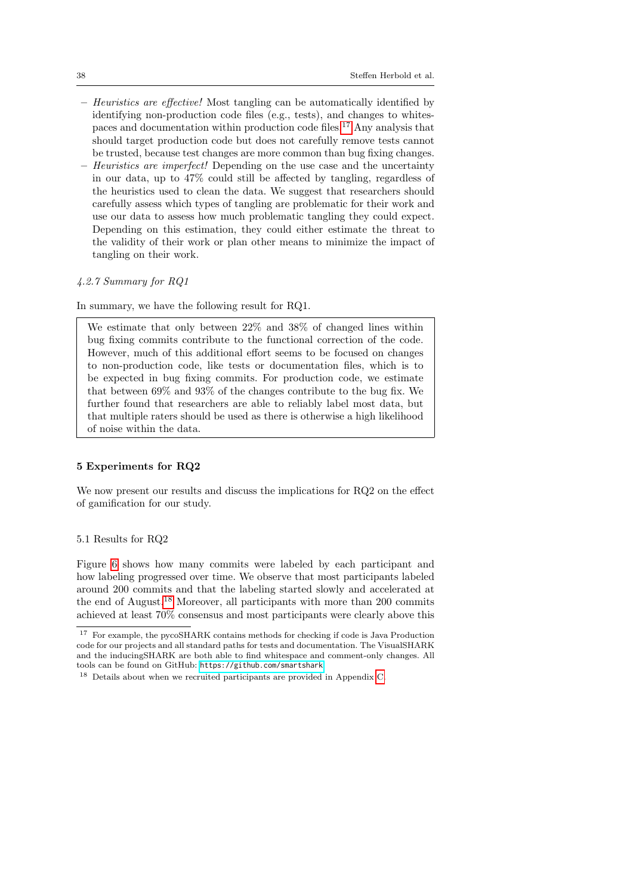- Heuristics are effective! Most tangling can be automatically identified by identifying non-production code files (e.g., tests), and changes to whitespaces and documentation within production code files.[17](#page-37-2) Any analysis that should target production code but does not carefully remove tests cannot be trusted, because test changes are more common than bug fixing changes.
- Heuristics are imperfect! Depending on the use case and the uncertainty in our data, up to 47% could still be affected by tangling, regardless of the heuristics used to clean the data. We suggest that researchers should carefully assess which types of tangling are problematic for their work and use our data to assess how much problematic tangling they could expect. Depending on this estimation, they could either estimate the threat to the validity of their work or plan other means to minimize the impact of tangling on their work.

#### 4.2.7 Summary for RQ1

In summary, we have the following result for RQ1.

We estimate that only between 22% and 38% of changed lines within bug fixing commits contribute to the functional correction of the code. However, much of this additional effort seems to be focused on changes to non-production code, like tests or documentation files, which is to be expected in bug fixing commits. For production code, we estimate that between 69% and 93% of the changes contribute to the bug fix. We further found that researchers are able to reliably label most data, but that multiple raters should be used as there is otherwise a high likelihood of noise within the data.

#### <span id="page-37-0"></span>5 Experiments for RQ2

We now present our results and discuss the implications for RQ2 on the effect of gamification for our study.

## <span id="page-37-1"></span>5.1 Results for RQ2

Figure [6](#page-38-0) shows how many commits were labeled by each participant and how labeling progressed over time. We observe that most participants labeled around 200 commits and that the labeling started slowly and accelerated at the end of August.<sup>[18](#page-37-3)</sup> Moreover, all participants with more than 200 commits achieved at least 70% consensus and most participants were clearly above this

<span id="page-37-2"></span><sup>17</sup> For example, the pycoSHARK contains methods for checking if code is Java Production code for our projects and all standard paths for tests and documentation. The VisualSHARK and the inducingSHARK are both able to find whitespace and comment-only changes. All tools can be found on GitHub: <https://github.com/smartshark>

<span id="page-37-3"></span><sup>18</sup> Details about when we recruited participants are provided in Appendix [C.](#page-53-0)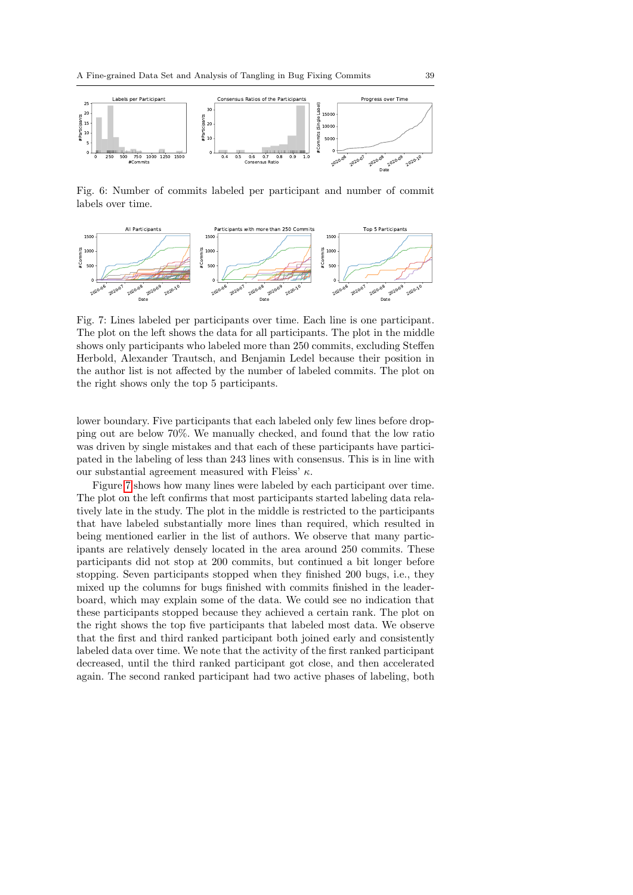<span id="page-38-0"></span>

Fig. 6: Number of commits labeled per participant and number of commit labels over time.

<span id="page-38-1"></span>

Fig. 7: Lines labeled per participants over time. Each line is one participant. The plot on the left shows the data for all participants. The plot in the middle shows only participants who labeled more than 250 commits, excluding Steffen Herbold, Alexander Trautsch, and Benjamin Ledel because their position in the author list is not affected by the number of labeled commits. The plot on the right shows only the top 5 participants.

lower boundary. Five participants that each labeled only few lines before dropping out are below 70%. We manually checked, and found that the low ratio was driven by single mistakes and that each of these participants have participated in the labeling of less than 243 lines with consensus. This is in line with our substantial agreement measured with Fleiss'  $\kappa$ .

Figure [7](#page-38-1) shows how many lines were labeled by each participant over time. The plot on the left confirms that most participants started labeling data relatively late in the study. The plot in the middle is restricted to the participants that have labeled substantially more lines than required, which resulted in being mentioned earlier in the list of authors. We observe that many participants are relatively densely located in the area around 250 commits. These participants did not stop at 200 commits, but continued a bit longer before stopping. Seven participants stopped when they finished 200 bugs, i.e., they mixed up the columns for bugs finished with commits finished in the leaderboard, which may explain some of the data. We could see no indication that these participants stopped because they achieved a certain rank. The plot on the right shows the top five participants that labeled most data. We observe that the first and third ranked participant both joined early and consistently labeled data over time. We note that the activity of the first ranked participant decreased, until the third ranked participant got close, and then accelerated again. The second ranked participant had two active phases of labeling, both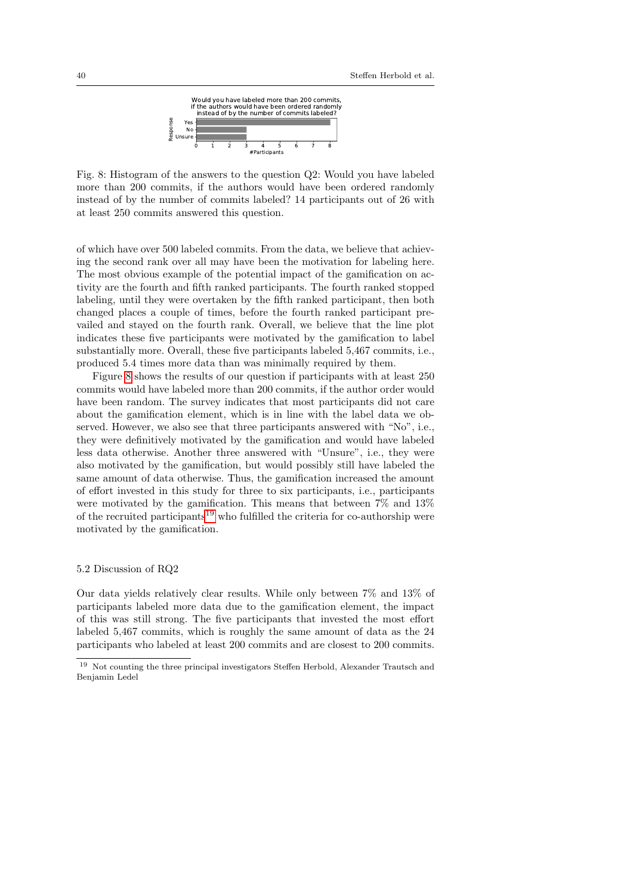

<span id="page-39-0"></span>Fig. 8: Histogram of the answers to the question Q2: Would you have labeled more than 200 commits, if the authors would have been ordered randomly instead of by the number of commits labeled? 14 participants out of 26 with at least 250 commits answered this question.

of which have over 500 labeled commits. From the data, we believe that achieving the second rank over all may have been the motivation for labeling here. The most obvious example of the potential impact of the gamification on activity are the fourth and fifth ranked participants. The fourth ranked stopped labeling, until they were overtaken by the fifth ranked participant, then both changed places a couple of times, before the fourth ranked participant prevailed and stayed on the fourth rank. Overall, we believe that the line plot indicates these five participants were motivated by the gamification to label substantially more. Overall, these five participants labeled 5,467 commits, i.e., produced 5.4 times more data than was minimally required by them.

Figure [8](#page-39-0) shows the results of our question if participants with at least 250 commits would have labeled more than 200 commits, if the author order would have been random. The survey indicates that most participants did not care about the gamification element, which is in line with the label data we observed. However, we also see that three participants answered with "No", i.e., they were definitively motivated by the gamification and would have labeled less data otherwise. Another three answered with "Unsure", i.e., they were also motivated by the gamification, but would possibly still have labeled the same amount of data otherwise. Thus, the gamification increased the amount of effort invested in this study for three to six participants, i.e., participants were motivated by the gamification. This means that between 7% and 13% of the recruited participants<sup>[19](#page-39-1)</sup> who fulfilled the criteria for co-authorship were motivated by the gamification.

#### 5.2 Discussion of RQ2

Our data yields relatively clear results. While only between 7% and 13% of participants labeled more data due to the gamification element, the impact of this was still strong. The five participants that invested the most effort labeled 5,467 commits, which is roughly the same amount of data as the 24 participants who labeled at least 200 commits and are closest to 200 commits.

<span id="page-39-1"></span><sup>19</sup> Not counting the three principal investigators Steffen Herbold, Alexander Trautsch and Benjamin Ledel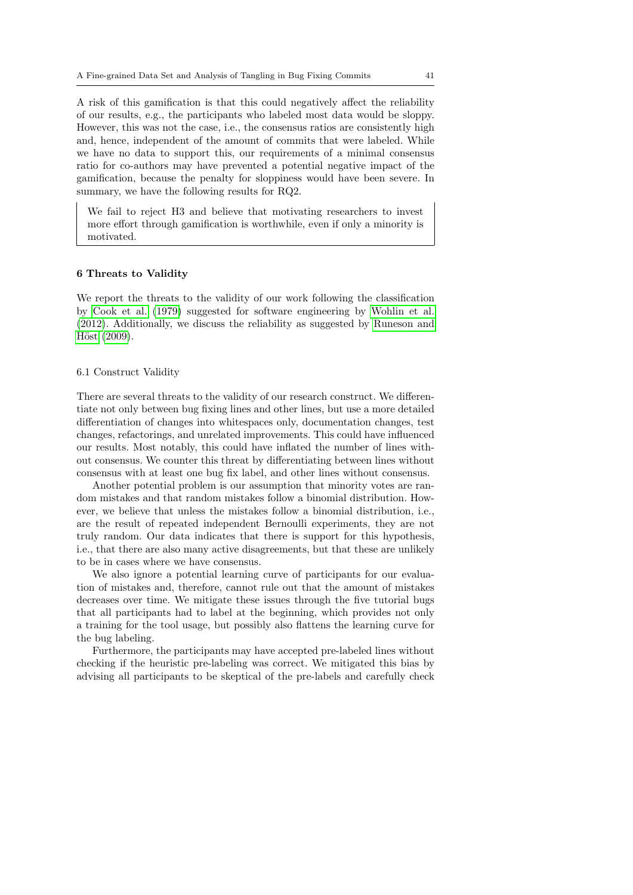A risk of this gamification is that this could negatively affect the reliability of our results, e.g., the participants who labeled most data would be sloppy. However, this was not the case, i.e., the consensus ratios are consistently high and, hence, independent of the amount of commits that were labeled. While we have no data to support this, our requirements of a minimal consensus ratio for co-authors may have prevented a potential negative impact of the gamification, because the penalty for sloppiness would have been severe. In summary, we have the following results for RQ2.

We fail to reject H3 and believe that motivating researchers to invest more effort through gamification is worthwhile, even if only a minority is motivated.

## <span id="page-40-0"></span>6 Threats to Validity

We report the threats to the validity of our work following the classification by [Cook et al.](#page-46-9) [\(1979\)](#page-46-9) suggested for software engineering by [Wohlin et al.](#page-50-12) [\(2012\)](#page-50-12). Additionally, we discuss the reliability as suggested by [Runeson and](#page-49-11)  $H\ddot{o}st$  [\(2009\)](#page-49-11).

#### 6.1 Construct Validity

There are several threats to the validity of our research construct. We differentiate not only between bug fixing lines and other lines, but use a more detailed differentiation of changes into whitespaces only, documentation changes, test changes, refactorings, and unrelated improvements. This could have influenced our results. Most notably, this could have inflated the number of lines without consensus. We counter this threat by differentiating between lines without consensus with at least one bug fix label, and other lines without consensus.

Another potential problem is our assumption that minority votes are random mistakes and that random mistakes follow a binomial distribution. However, we believe that unless the mistakes follow a binomial distribution, i.e., are the result of repeated independent Bernoulli experiments, they are not truly random. Our data indicates that there is support for this hypothesis, i.e., that there are also many active disagreements, but that these are unlikely to be in cases where we have consensus.

We also ignore a potential learning curve of participants for our evaluation of mistakes and, therefore, cannot rule out that the amount of mistakes decreases over time. We mitigate these issues through the five tutorial bugs that all participants had to label at the beginning, which provides not only a training for the tool usage, but possibly also flattens the learning curve for the bug labeling.

Furthermore, the participants may have accepted pre-labeled lines without checking if the heuristic pre-labeling was correct. We mitigated this bias by advising all participants to be skeptical of the pre-labels and carefully check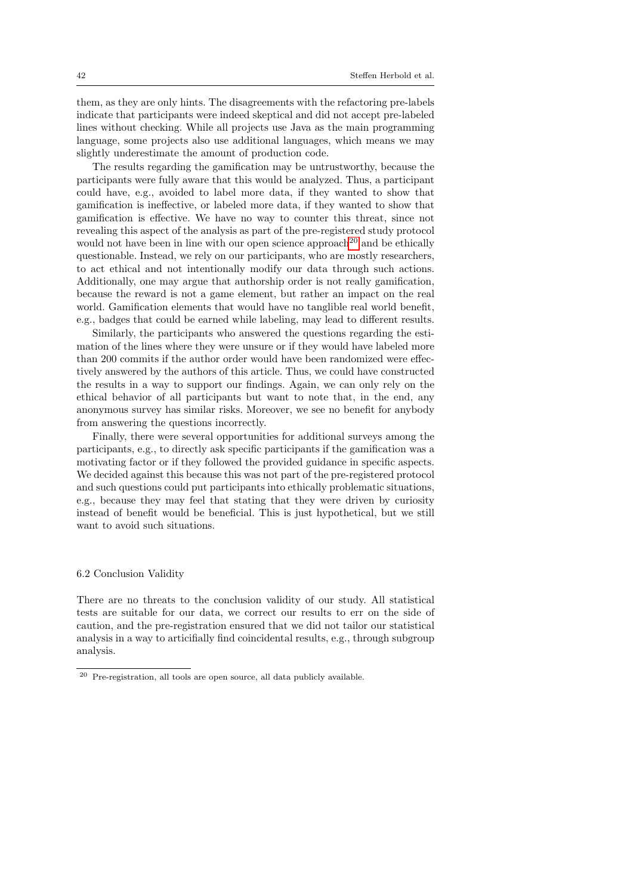them, as they are only hints. The disagreements with the refactoring pre-labels indicate that participants were indeed skeptical and did not accept pre-labeled lines without checking. While all projects use Java as the main programming language, some projects also use additional languages, which means we may slightly underestimate the amount of production code.

The results regarding the gamification may be untrustworthy, because the participants were fully aware that this would be analyzed. Thus, a participant could have, e.g., avoided to label more data, if they wanted to show that gamification is ineffective, or labeled more data, if they wanted to show that gamification is effective. We have no way to counter this threat, since not revealing this aspect of the analysis as part of the pre-registered study protocol would not have been in line with our open science approach<sup>[20](#page-41-0)</sup> and be ethically questionable. Instead, we rely on our participants, who are mostly researchers, to act ethical and not intentionally modify our data through such actions. Additionally, one may argue that authorship order is not really gamification, because the reward is not a game element, but rather an impact on the real world. Gamification elements that would have no tanglible real world benefit, e.g., badges that could be earned while labeling, may lead to different results.

Similarly, the participants who answered the questions regarding the estimation of the lines where they were unsure or if they would have labeled more than 200 commits if the author order would have been randomized were effectively answered by the authors of this article. Thus, we could have constructed the results in a way to support our findings. Again, we can only rely on the ethical behavior of all participants but want to note that, in the end, any anonymous survey has similar risks. Moreover, we see no benefit for anybody from answering the questions incorrectly.

Finally, there were several opportunities for additional surveys among the participants, e.g., to directly ask specific participants if the gamification was a motivating factor or if they followed the provided guidance in specific aspects. We decided against this because this was not part of the pre-registered protocol and such questions could put participants into ethically problematic situations, e.g., because they may feel that stating that they were driven by curiosity instead of benefit would be beneficial. This is just hypothetical, but we still want to avoid such situations.

## 6.2 Conclusion Validity

There are no threats to the conclusion validity of our study. All statistical tests are suitable for our data, we correct our results to err on the side of caution, and the pre-registration ensured that we did not tailor our statistical analysis in a way to articifially find coincidental results, e.g., through subgroup analysis.

<span id="page-41-0"></span><sup>20</sup> Pre-registration, all tools are open source, all data publicly available.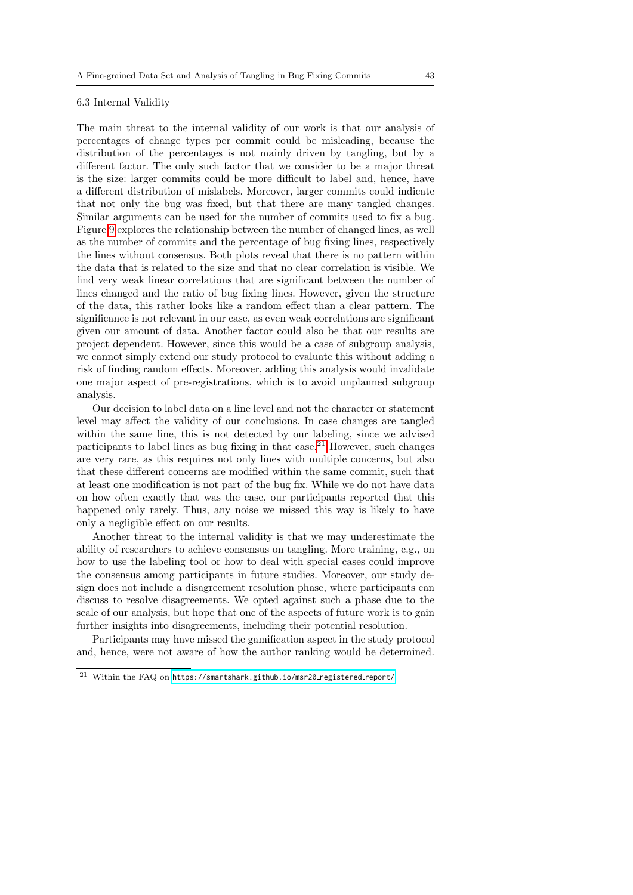#### 6.3 Internal Validity

The main threat to the internal validity of our work is that our analysis of percentages of change types per commit could be misleading, because the distribution of the percentages is not mainly driven by tangling, but by a different factor. The only such factor that we consider to be a major threat is the size: larger commits could be more difficult to label and, hence, have a different distribution of mislabels. Moreover, larger commits could indicate that not only the bug was fixed, but that there are many tangled changes. Similar arguments can be used for the number of commits used to fix a bug. Figure [9](#page-43-0) explores the relationship between the number of changed lines, as well as the number of commits and the percentage of bug fixing lines, respectively the lines without consensus. Both plots reveal that there is no pattern within the data that is related to the size and that no clear correlation is visible. We find very weak linear correlations that are significant between the number of lines changed and the ratio of bug fixing lines. However, given the structure of the data, this rather looks like a random effect than a clear pattern. The significance is not relevant in our case, as even weak correlations are significant given our amount of data. Another factor could also be that our results are project dependent. However, since this would be a case of subgroup analysis, we cannot simply extend our study protocol to evaluate this without adding a risk of finding random effects. Moreover, adding this analysis would invalidate one major aspect of pre-registrations, which is to avoid unplanned subgroup analysis.

Our decision to label data on a line level and not the character or statement level may affect the validity of our conclusions. In case changes are tangled within the same line, this is not detected by our labeling, since we advised participants to label lines as bug fixing in that case.<sup>[21](#page-42-0)</sup> However, such changes are very rare, as this requires not only lines with multiple concerns, but also that these different concerns are modified within the same commit, such that at least one modification is not part of the bug fix. While we do not have data on how often exactly that was the case, our participants reported that this happened only rarely. Thus, any noise we missed this way is likely to have only a negligible effect on our results.

Another threat to the internal validity is that we may underestimate the ability of researchers to achieve consensus on tangling. More training, e.g., on how to use the labeling tool or how to deal with special cases could improve the consensus among participants in future studies. Moreover, our study design does not include a disagreement resolution phase, where participants can discuss to resolve disagreements. We opted against such a phase due to the scale of our analysis, but hope that one of the aspects of future work is to gain further insights into disagreements, including their potential resolution.

Participants may have missed the gamification aspect in the study protocol and, hence, were not aware of how the author ranking would be determined.

<span id="page-42-0"></span> $^{21}$  Within the FAQ on [https://smartshark.github.io/msr20](https://smartshark.github.io/msr20_registered_report/)\_registered\_report/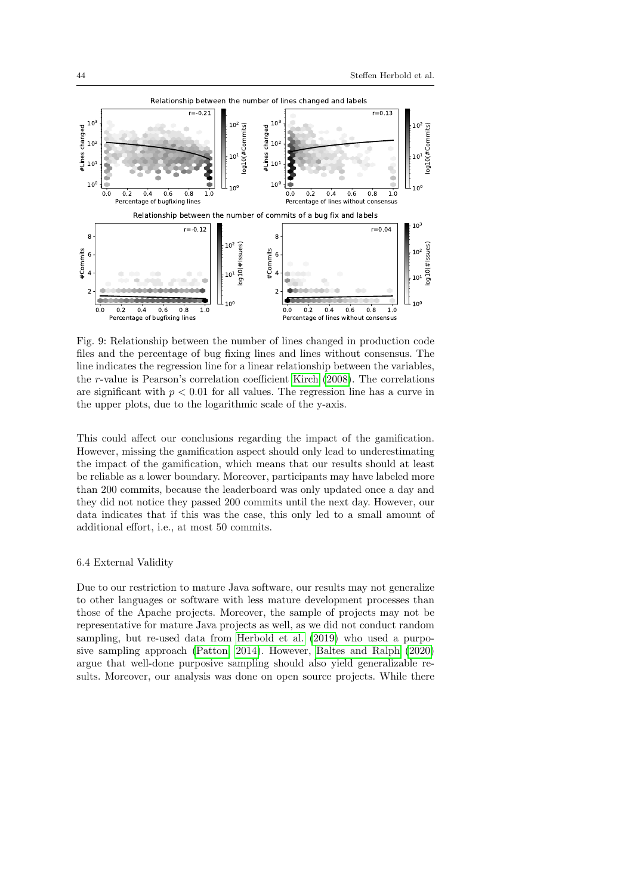<span id="page-43-0"></span>

Fig. 9: Relationship between the number of lines changed in production code files and the percentage of bug fixing lines and lines without consensus. The line indicates the regression line for a linear relationship between the variables, the r-value is Pearson's correlation coefficient [Kirch](#page-48-12) [\(2008\)](#page-48-12). The correlations are significant with  $p < 0.01$  for all values. The regression line has a curve in the upper plots, due to the logarithmic scale of the y-axis.

This could affect our conclusions regarding the impact of the gamification. However, missing the gamification aspect should only lead to underestimating the impact of the gamification, which means that our results should at least be reliable as a lower boundary. Moreover, participants may have labeled more than 200 commits, because the leaderboard was only updated once a day and they did not notice they passed 200 commits until the next day. However, our data indicates that if this was the case, this only led to a small amount of additional effort, i.e., at most 50 commits.

#### 6.4 External Validity

Due to our restriction to mature Java software, our results may not generalize to other languages or software with less mature development processes than those of the Apache projects. Moreover, the sample of projects may not be representative for mature Java projects as well, as we did not conduct random sampling, but re-used data from [Herbold et al.](#page-47-6) [\(2019\)](#page-47-6) who used a purposive sampling approach [\(Patton, 2014\)](#page-49-12). However, [Baltes and Ralph](#page-46-4) [\(2020\)](#page-46-4) argue that well-done purposive sampling should also yield generalizable results. Moreover, our analysis was done on open source projects. While there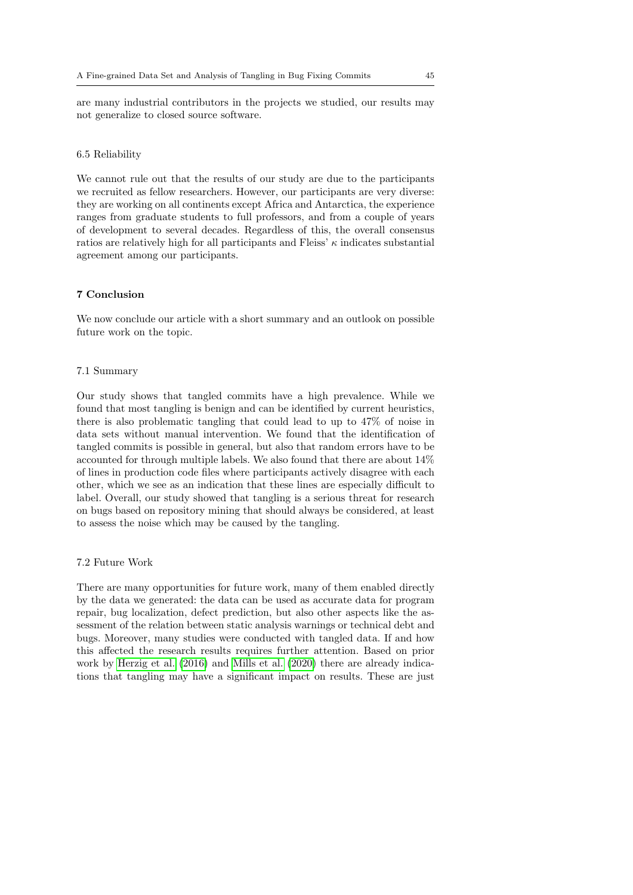are many industrial contributors in the projects we studied, our results may not generalize to closed source software.

#### 6.5 Reliability

We cannot rule out that the results of our study are due to the participants we recruited as fellow researchers. However, our participants are very diverse: they are working on all continents except Africa and Antarctica, the experience ranges from graduate students to full professors, and from a couple of years of development to several decades. Regardless of this, the overall consensus ratios are relatively high for all participants and Fleiss'  $\kappa$  indicates substantial agreement among our participants.

#### <span id="page-44-0"></span>7 Conclusion

We now conclude our article with a short summary and an outlook on possible future work on the topic.

#### 7.1 Summary

Our study shows that tangled commits have a high prevalence. While we found that most tangling is benign and can be identified by current heuristics, there is also problematic tangling that could lead to up to 47% of noise in data sets without manual intervention. We found that the identification of tangled commits is possible in general, but also that random errors have to be accounted for through multiple labels. We also found that there are about 14% of lines in production code files where participants actively disagree with each other, which we see as an indication that these lines are especially difficult to label. Overall, our study showed that tangling is a serious threat for research on bugs based on repository mining that should always be considered, at least to assess the noise which may be caused by the tangling.

#### 7.2 Future Work

There are many opportunities for future work, many of them enabled directly by the data we generated: the data can be used as accurate data for program repair, bug localization, defect prediction, but also other aspects like the assessment of the relation between static analysis warnings or technical debt and bugs. Moreover, many studies were conducted with tangled data. If and how this affected the research results requires further attention. Based on prior work by [Herzig et al.](#page-47-4) [\(2016\)](#page-47-4) and [Mills et al.](#page-49-2) [\(2020\)](#page-49-2) there are already indications that tangling may have a significant impact on results. These are just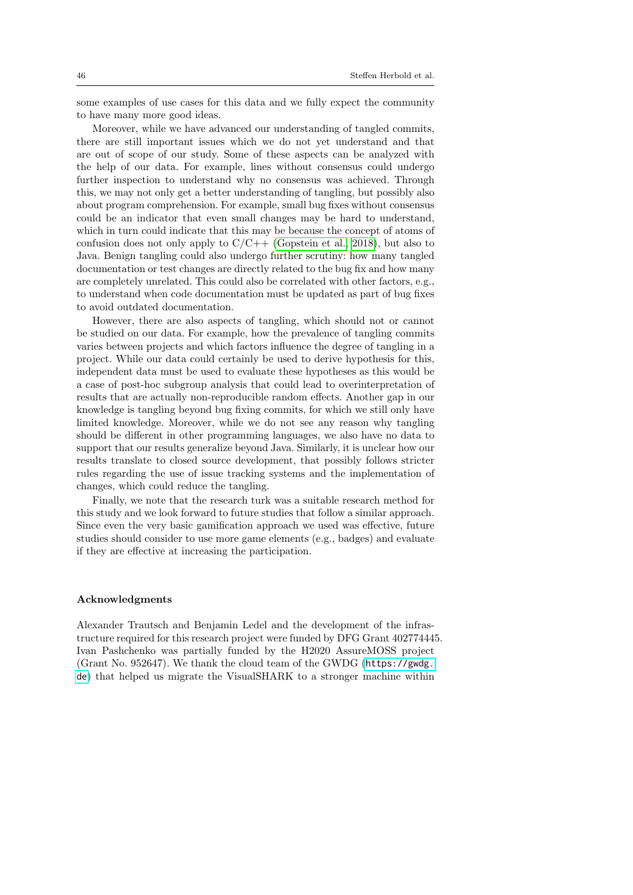some examples of use cases for this data and we fully expect the community to have many more good ideas.

Moreover, while we have advanced our understanding of tangled commits, there are still important issues which we do not yet understand and that are out of scope of our study. Some of these aspects can be analyzed with the help of our data. For example, lines without consensus could undergo further inspection to understand why no consensus was achieved. Through this, we may not only get a better understanding of tangling, but possibly also about program comprehension. For example, small bug fixes without consensus could be an indicator that even small changes may be hard to understand, which in turn could indicate that this may be because the concept of atoms of confusion does not only apply to  $C/C++$  [\(Gopstein et al., 2018\)](#page-47-14), but also to Java. Benign tangling could also undergo further scrutiny: how many tangled documentation or test changes are directly related to the bug fix and how many are completely unrelated. This could also be correlated with other factors, e.g., to understand when code documentation must be updated as part of bug fixes to avoid outdated documentation.

However, there are also aspects of tangling, which should not or cannot be studied on our data. For example, how the prevalence of tangling commits varies between projects and which factors influence the degree of tangling in a project. While our data could certainly be used to derive hypothesis for this, independent data must be used to evaluate these hypotheses as this would be a case of post-hoc subgroup analysis that could lead to overinterpretation of results that are actually non-reproducible random effects. Another gap in our knowledge is tangling beyond bug fixing commits, for which we still only have limited knowledge. Moreover, while we do not see any reason why tangling should be different in other programming languages, we also have no data to support that our results generalize beyond Java. Similarly, it is unclear how our results translate to closed source development, that possibly follows stricter rules regarding the use of issue tracking systems and the implementation of changes, which could reduce the tangling.

Finally, we note that the research turk was a suitable research method for this study and we look forward to future studies that follow a similar approach. Since even the very basic gamification approach we used was effective, future studies should consider to use more game elements (e.g., badges) and evaluate if they are effective at increasing the participation.

## Acknowledgments

Alexander Trautsch and Benjamin Ledel and the development of the infrastructure required for this research project were funded by DFG Grant 402774445. Ivan Pashchenko was partially funded by the H2020 AssureMOSS project (Grant No. 952647). We thank the cloud team of the GWDG ([https://gwdg.](https://gwdg.de) [de](https://gwdg.de)) that helped us migrate the VisualSHARK to a stronger machine within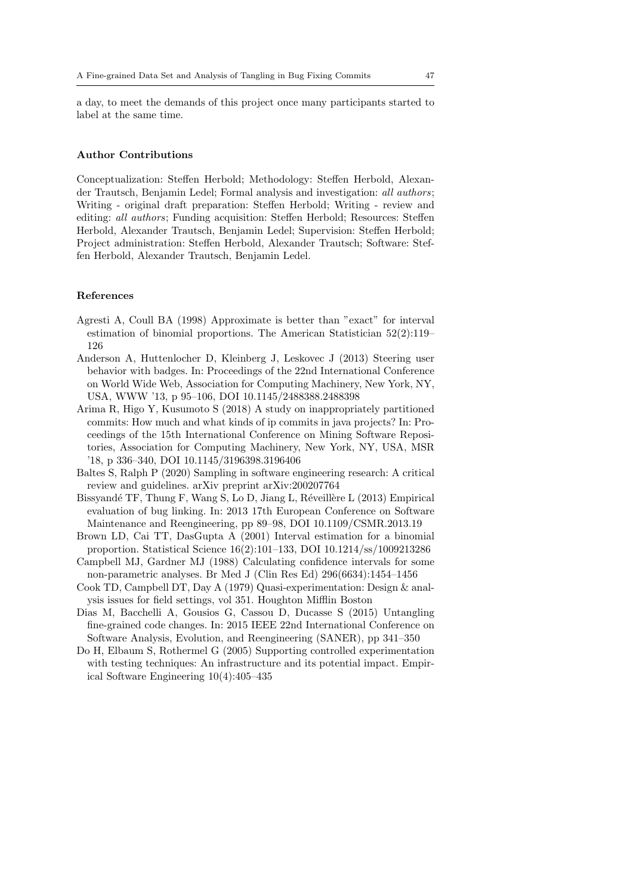a day, to meet the demands of this project once many participants started to label at the same time.

#### Author Contributions

Conceptualization: Steffen Herbold; Methodology: Steffen Herbold, Alexander Trautsch, Benjamin Ledel; Formal analysis and investigation: all authors; Writing - original draft preparation: Steffen Herbold; Writing - review and editing: all authors; Funding acquisition: Steffen Herbold; Resources: Steffen Herbold, Alexander Trautsch, Benjamin Ledel; Supervision: Steffen Herbold; Project administration: Steffen Herbold, Alexander Trautsch; Software: Steffen Herbold, Alexander Trautsch, Benjamin Ledel.

## References

- <span id="page-46-7"></span>Agresti A, Coull BA (1998) Approximate is better than "exact" for interval estimation of binomial proportions. The American Statistician 52(2):119– 126
- <span id="page-46-8"></span>Anderson A, Huttenlocher D, Kleinberg J, Leskovec J (2013) Steering user behavior with badges. In: Proceedings of the 22nd International Conference on World Wide Web, Association for Computing Machinery, New York, NY, USA, WWW '13, p 95–106, DOI 10.1145/2488388.2488398
- <span id="page-46-1"></span>Arima R, Higo Y, Kusumoto S (2018) A study on inappropriately partitioned commits: How much and what kinds of ip commits in java projects? In: Proceedings of the 15th International Conference on Mining Software Repositories, Association for Computing Machinery, New York, NY, USA, MSR '18, p 336–340, DOI 10.1145/3196398.3196406
- <span id="page-46-4"></span>Baltes S, Ralph P (2020) Sampling in software engineering research: A critical review and guidelines. arXiv preprint arXiv:200207764
- <span id="page-46-3"></span>Bissyandé TF, Thung F, Wang S, Lo D, Jiang L, Réveillère L (2013) Empirical evaluation of bug linking. In: 2013 17th European Conference on Software Maintenance and Reengineering, pp 89–98, DOI 10.1109/CSMR.2013.19
- <span id="page-46-6"></span>Brown LD, Cai TT, DasGupta A (2001) Interval estimation for a binomial proportion. Statistical Science 16(2):101–133, DOI 10.1214/ss/1009213286
- <span id="page-46-5"></span>Campbell MJ, Gardner MJ (1988) Calculating confidence intervals for some non-parametric analyses. Br Med J (Clin Res Ed) 296(6634):1454–1456
- <span id="page-46-9"></span>Cook TD, Campbell DT, Day A (1979) Quasi-experimentation: Design & analysis issues for field settings, vol 351. Houghton Mifflin Boston
- <span id="page-46-2"></span>Dias M, Bacchelli A, Gousios G, Cassou D, Ducasse S (2015) Untangling fine-grained code changes. In: 2015 IEEE 22nd International Conference on Software Analysis, Evolution, and Reengineering (SANER), pp 341–350
- <span id="page-46-0"></span>Do H, Elbaum S, Rothermel G (2005) Supporting controlled experimentation with testing techniques: An infrastructure and its potential impact. Empirical Software Engineering 10(4):405–435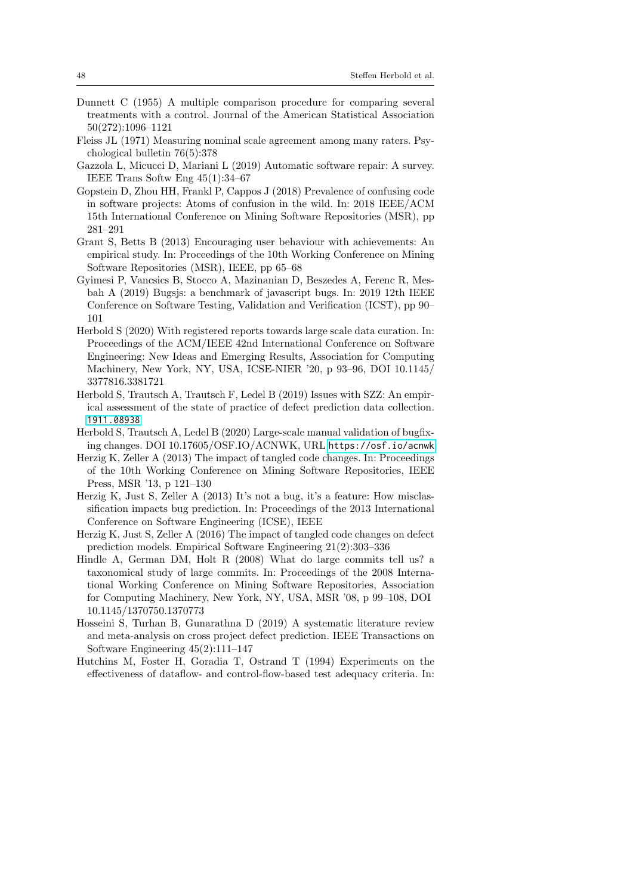- <span id="page-47-13"></span>Dunnett C (1955) A multiple comparison procedure for comparing several treatments with a control. Journal of the American Statistical Association 50(272):1096–1121
- <span id="page-47-12"></span>Fleiss JL (1971) Measuring nominal scale agreement among many raters. Psychological bulletin 76(5):378
- <span id="page-47-0"></span>Gazzola L, Micucci D, Mariani L (2019) Automatic software repair: A survey. IEEE Trans Softw Eng 45(1):34–67
- <span id="page-47-14"></span>Gopstein D, Zhou HH, Frankl P, Cappos J (2018) Prevalence of confusing code in software projects: Atoms of confusion in the wild. In: 2018 IEEE/ACM 15th International Conference on Mining Software Repositories (MSR), pp 281–291
- <span id="page-47-11"></span>Grant S, Betts B (2013) Encouraging user behaviour with achievements: An empirical study. In: Proceedings of the 10th Working Conference on Mining Software Repositories (MSR), IEEE, pp 65–68
- <span id="page-47-7"></span>Gyimesi P, Vancsics B, Stocco A, Mazinanian D, Beszedes A, Ferenc R, Mesbah A (2019) Bugsjs: a benchmark of javascript bugs. In: 2019 12th IEEE Conference on Software Testing, Validation and Verification (ICST), pp 90– 101
- <span id="page-47-8"></span>Herbold S (2020) With registered reports towards large scale data curation. In: Proceedings of the ACM/IEEE 42nd International Conference on Software Engineering: New Ideas and Emerging Results, Association for Computing Machinery, New York, NY, USA, ICSE-NIER '20, p 93–96, DOI 10.1145/ 3377816.3381721
- <span id="page-47-6"></span>Herbold S, Trautsch A, Trautsch F, Ledel B (2019) Issues with SZZ: An empirical assessment of the state of practice of defect prediction data collection. <1911.08938>
- <span id="page-47-9"></span>Herbold S, Trautsch A, Ledel B (2020) Large-scale manual validation of bugfixing changes. DOI 10.17605/OSF.IO/ACNWK, URL <https://osf.io/acnwk>
- <span id="page-47-3"></span>Herzig K, Zeller A (2013) The impact of tangled code changes. In: Proceedings of the 10th Working Conference on Mining Software Repositories, IEEE Press, MSR '13, p 121–130
- <span id="page-47-2"></span>Herzig K, Just S, Zeller A (2013) It's not a bug, it's a feature: How misclassification impacts bug prediction. In: Proceedings of the 2013 International Conference on Software Engineering (ICSE), IEEE
- <span id="page-47-4"></span>Herzig K, Just S, Zeller A (2016) The impact of tangled code changes on defect prediction models. Empirical Software Engineering 21(2):303–336
- <span id="page-47-10"></span>Hindle A, German DM, Holt R (2008) What do large commits tell us? a taxonomical study of large commits. In: Proceedings of the 2008 International Working Conference on Mining Software Repositories, Association for Computing Machinery, New York, NY, USA, MSR '08, p 99–108, DOI 10.1145/1370750.1370773
- <span id="page-47-1"></span>Hosseini S, Turhan B, Gunarathna D (2019) A systematic literature review and meta-analysis on cross project defect prediction. IEEE Transactions on Software Engineering 45(2):111–147
- <span id="page-47-5"></span>Hutchins M, Foster H, Goradia T, Ostrand T (1994) Experiments on the effectiveness of dataflow- and control-flow-based test adequacy criteria. In: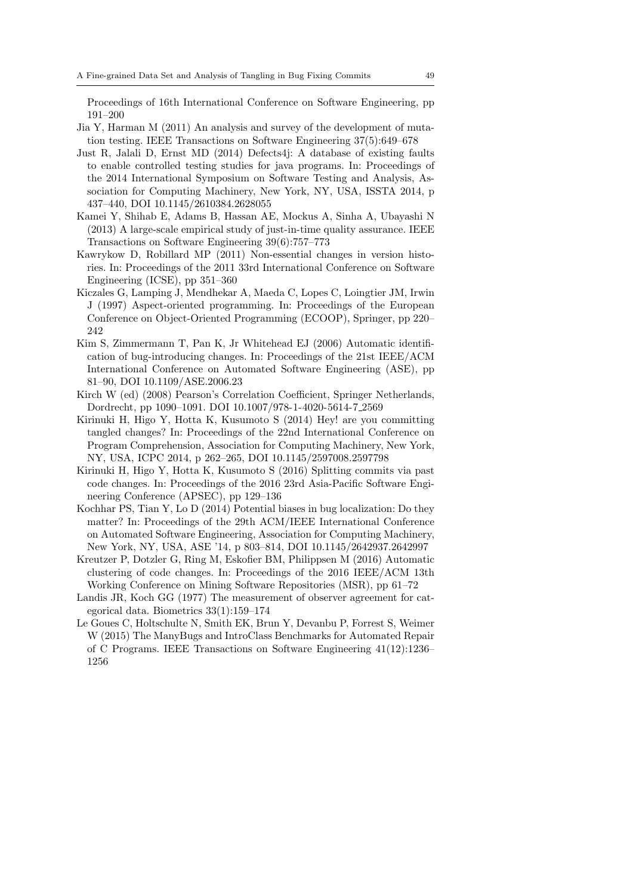Proceedings of 16th International Conference on Software Engineering, pp 191–200

- <span id="page-48-3"></span>Jia Y, Harman M (2011) An analysis and survey of the development of mutation testing. IEEE Transactions on Software Engineering 37(5):649–678
- <span id="page-48-6"></span>Just R, Jalali D, Ernst MD (2014) Defects4j: A database of existing faults to enable controlled testing studies for java programs. In: Proceedings of the 2014 International Symposium on Software Testing and Analysis, Association for Computing Machinery, New York, NY, USA, ISSTA 2014, p 437–440, DOI 10.1145/2610384.2628055
- <span id="page-48-11"></span>Kamei Y, Shihab E, Adams B, Hassan AE, Mockus A, Sinha A, Ubayashi N (2013) A large-scale empirical study of just-in-time quality assurance. IEEE Transactions on Software Engineering 39(6):757–773
- <span id="page-48-8"></span>Kawrykow D, Robillard MP (2011) Non-essential changes in version histories. In: Proceedings of the 2011 33rd International Conference on Software Engineering (ICSE), pp 351–360
- <span id="page-48-9"></span>Kiczales G, Lamping J, Mendhekar A, Maeda C, Lopes C, Loingtier JM, Irwin J (1997) Aspect-oriented programming. In: Proceedings of the European Conference on Object-Oriented Programming (ECOOP), Springer, pp 220– 242
- <span id="page-48-5"></span>Kim S, Zimmermann T, Pan K, Jr Whitehead EJ (2006) Automatic identification of bug-introducing changes. In: Proceedings of the 21st IEEE/ACM International Conference on Automated Software Engineering (ASE), pp 81–90, DOI 10.1109/ASE.2006.23
- <span id="page-48-12"></span>Kirch W (ed) (2008) Pearson's Correlation Coefficient, Springer Netherlands, Dordrecht, pp 1090–1091. DOI 10.1007/978-1-4020-5614-7 2569
- <span id="page-48-0"></span>Kirinuki H, Higo Y, Hotta K, Kusumoto S (2014) Hey! are you committing tangled changes? In: Proceedings of the 22nd International Conference on Program Comprehension, Association for Computing Machinery, New York, NY, USA, ICPC 2014, p 262–265, DOI 10.1145/2597008.2597798
- <span id="page-48-2"></span>Kirinuki H, Higo Y, Hotta K, Kusumoto S (2016) Splitting commits via past code changes. In: Proceedings of the 2016 23rd Asia-Pacific Software Engineering Conference (APSEC), pp 129–136
- <span id="page-48-1"></span>Kochhar PS, Tian Y, Lo D (2014) Potential biases in bug localization: Do they matter? In: Proceedings of the 29th ACM/IEEE International Conference on Automated Software Engineering, Association for Computing Machinery, New York, NY, USA, ASE '14, p 803–814, DOI 10.1145/2642937.2642997
- <span id="page-48-7"></span>Kreutzer P, Dotzler G, Ring M, Eskofier BM, Philippsen M (2016) Automatic clustering of code changes. In: Proceedings of the 2016 IEEE/ACM 13th Working Conference on Mining Software Repositories (MSR), pp 61–72
- <span id="page-48-10"></span>Landis JR, Koch GG (1977) The measurement of observer agreement for categorical data. Biometrics 33(1):159–174
- <span id="page-48-4"></span>Le Goues C, Holtschulte N, Smith EK, Brun Y, Devanbu P, Forrest S, Weimer W (2015) The ManyBugs and IntroClass Benchmarks for Automated Repair of C Programs. IEEE Transactions on Software Engineering 41(12):1236– 1256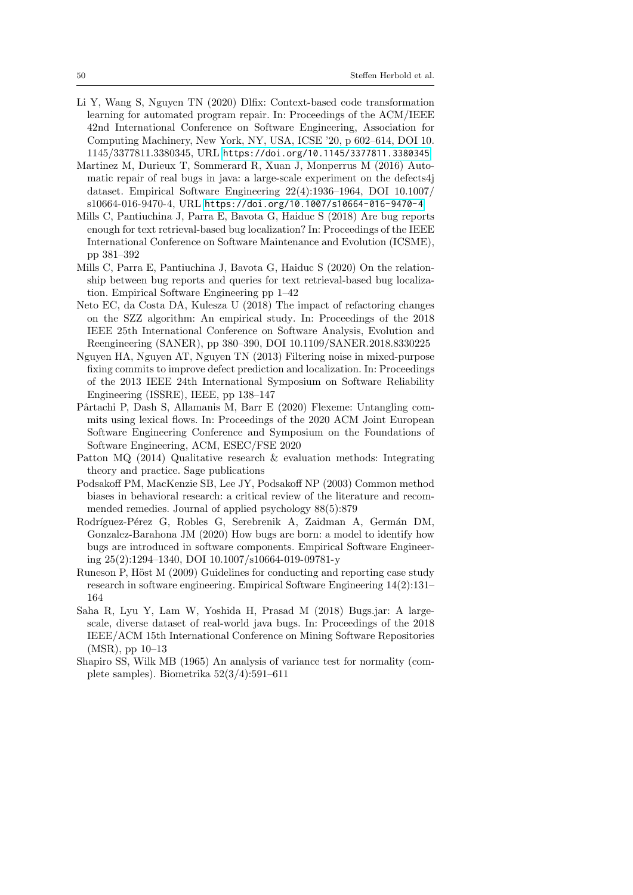- <span id="page-49-9"></span>Li Y, Wang S, Nguyen TN (2020) Dlfix: Context-based code transformation learning for automated program repair. In: Proceedings of the ACM/IEEE 42nd International Conference on Software Engineering, Association for Computing Machinery, New York, NY, USA, ICSE '20, p 602–614, DOI 10. 1145/3377811.3380345, URL <https://doi.org/10.1145/3377811.3380345>
- <span id="page-49-10"></span>Martinez M, Durieux T, Sommerard R, Xuan J, Monperrus M (2016) Automatic repair of real bugs in java: a large-scale experiment on the defects4j dataset. Empirical Software Engineering 22(4):1936–1964, DOI 10.1007/ s10664-016-9470-4, URL <https://doi.org/10.1007/s10664-016-9470-4>
- <span id="page-49-0"></span>Mills C, Pantiuchina J, Parra E, Bavota G, Haiduc S (2018) Are bug reports enough for text retrieval-based bug localization? In: Proceedings of the IEEE International Conference on Software Maintenance and Evolution (ICSME), pp 381–392
- <span id="page-49-2"></span>Mills C, Parra E, Pantiuchina J, Bavota G, Haiduc S (2020) On the relationship between bug reports and queries for text retrieval-based bug localization. Empirical Software Engineering pp 1–42
- <span id="page-49-5"></span>Neto EC, da Costa DA, Kulesza U (2018) The impact of refactoring changes on the SZZ algorithm: An empirical study. In: Proceedings of the 2018 IEEE 25th International Conference on Software Analysis, Evolution and Reengineering (SANER), pp 380–390, DOI 10.1109/SANER.2018.8330225
- <span id="page-49-1"></span>Nguyen HA, Nguyen AT, Nguyen TN (2013) Filtering noise in mixed-purpose fixing commits to improve defect prediction and localization. In: Proceedings of the 2013 IEEE 24th International Symposium on Software Reliability Engineering (ISSRE), IEEE, pp 138–147
- <span id="page-49-6"></span>Pârtachi P, Dash S, Allamanis M, Barr E (2020) Flexeme: Untangling commits using lexical flows. In: Proceedings of the 2020 ACM Joint European Software Engineering Conference and Symposium on the Foundations of Software Engineering, ACM, ESEC/FSE 2020
- <span id="page-49-12"></span>Patton MQ (2014) Qualitative research & evaluation methods: Integrating theory and practice. Sage publications
- <span id="page-49-8"></span>Podsakoff PM, MacKenzie SB, Lee JY, Podsakoff NP (2003) Common method biases in behavioral research: a critical review of the literature and recommended remedies. Journal of applied psychology 88(5):879
- <span id="page-49-3"></span>Rodríguez-Pérez G, Robles G, Serebrenik A, Zaidman A, Germán DM, Gonzalez-Barahona JM (2020) How bugs are born: a model to identify how bugs are introduced in software components. Empirical Software Engineering 25(2):1294–1340, DOI 10.1007/s10664-019-09781-y
- <span id="page-49-11"></span>Runeson P, Höst M (2009) Guidelines for conducting and reporting case study research in software engineering. Empirical Software Engineering 14(2):131– 164
- <span id="page-49-4"></span>Saha R, Lyu Y, Lam W, Yoshida H, Prasad M (2018) Bugs.jar: A largescale, diverse dataset of real-world java bugs. In: Proceedings of the 2018 IEEE/ACM 15th International Conference on Mining Software Repositories (MSR), pp 10–13
- <span id="page-49-7"></span>Shapiro SS, Wilk MB (1965) An analysis of variance test for normality (complete samples). Biometrika 52(3/4):591–611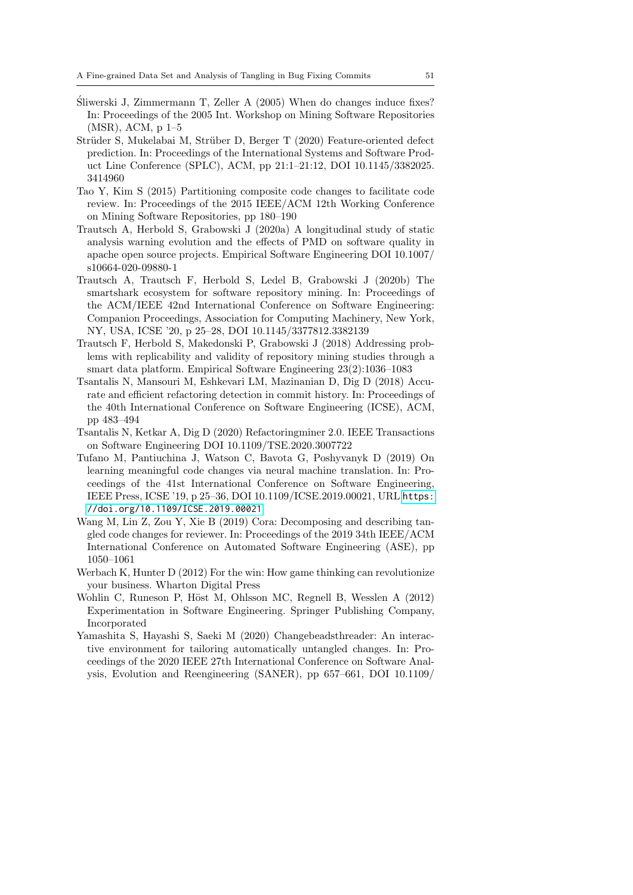- <span id="page-50-0"></span>Sliwerski J, Zimmermann T, Zeller A (2005) When do changes induce fixes? ´ In: Proceedings of the 2005 Int. Workshop on Mining Software Repositories (MSR), ACM, p 1–5
- <span id="page-50-3"></span>Strüder S, Mukelabai M, Strüber D, Berger T (2020) Feature-oriented defect prediction. In: Proceedings of the International Systems and Software Product Line Conference (SPLC), ACM, pp 21:1–21:12, DOI 10.1145/3382025. 3414960
- <span id="page-50-4"></span>Tao Y, Kim S (2015) Partitioning composite code changes to facilitate code review. In: Proceedings of the 2015 IEEE/ACM 12th Working Conference on Mining Software Repositories, pp 180–190
- <span id="page-50-8"></span>Trautsch A, Herbold S, Grabowski J (2020a) A longitudinal study of static analysis warning evolution and the effects of PMD on software quality in apache open source projects. Empirical Software Engineering DOI 10.1007/ s10664-020-09880-1
- <span id="page-50-7"></span>Trautsch A, Trautsch F, Herbold S, Ledel B, Grabowski J (2020b) The smartshark ecosystem for software repository mining. In: Proceedings of the ACM/IEEE 42nd International Conference on Software Engineering: Companion Proceedings, Association for Computing Machinery, New York, NY, USA, ICSE '20, p 25–28, DOI 10.1145/3377812.3382139
- <span id="page-50-6"></span>Trautsch F, Herbold S, Makedonski P, Grabowski J (2018) Addressing problems with replicability and validity of repository mining studies through a smart data platform. Empirical Software Engineering 23(2):1036–1083
- <span id="page-50-9"></span>Tsantalis N, Mansouri M, Eshkevari LM, Mazinanian D, Dig D (2018) Accurate and efficient refactoring detection in commit history. In: Proceedings of the 40th International Conference on Software Engineering (ICSE), ACM, pp 483–494
- <span id="page-50-10"></span>Tsantalis N, Ketkar A, Dig D (2020) Refactoringminer 2.0. IEEE Transactions on Software Engineering DOI 10.1109/TSE.2020.3007722
- <span id="page-50-11"></span>Tufano M, Pantiuchina J, Watson C, Bavota G, Poshyvanyk D (2019) On learning meaningful code changes via neural machine translation. In: Proceedings of the 41st International Conference on Software Engineering, IEEE Press, ICSE '19, p 25–36, DOI 10.1109/ICSE.2019.00021, URL [https:](https://doi.org/10.1109/ICSE.2019.00021) [//doi.org/10.1109/ICSE.2019.00021](https://doi.org/10.1109/ICSE.2019.00021)
- <span id="page-50-1"></span>Wang M, Lin Z, Zou Y, Xie B (2019) Cora: Decomposing and describing tangled code changes for reviewer. In: Proceedings of the 2019 34th IEEE/ACM International Conference on Automated Software Engineering (ASE), pp 1050–1061
- <span id="page-50-5"></span>Werbach K, Hunter D (2012) For the win: How game thinking can revolutionize your business. Wharton Digital Press
- <span id="page-50-12"></span>Wohlin C, Runeson P, Höst M, Ohlsson MC, Regnell B, Wesslen A (2012) Experimentation in Software Engineering. Springer Publishing Company, Incorporated
- <span id="page-50-2"></span>Yamashita S, Hayashi S, Saeki M (2020) Changebeadsthreader: An interactive environment for tailoring automatically untangled changes. In: Proceedings of the 2020 IEEE 27th International Conference on Software Analysis, Evolution and Reengineering (SANER), pp 657–661, DOI 10.1109/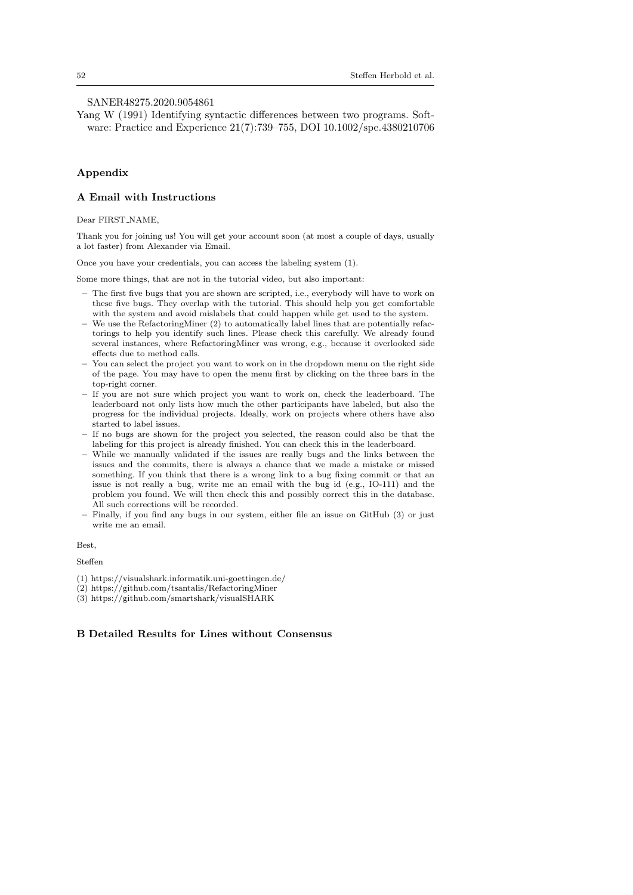## SANER48275.2020.9054861

<span id="page-51-1"></span>Yang W (1991) Identifying syntactic differences between two programs. Software: Practice and Experience 21(7):739–755, DOI 10.1002/spe.4380210706

## Appendix

#### <span id="page-51-0"></span>A Email with Instructions

#### Dear FIRST\_NAME.

Thank you for joining us! You will get your account soon (at most a couple of days, usually a lot faster) from Alexander via Email.

Once you have your credentials, you can access the labeling system (1).

Some more things, that are not in the tutorial video, but also important:

- The first five bugs that you are shown are scripted, i.e., everybody will have to work on these five bugs. They overlap with the tutorial. This should help you get comfortable with the system and avoid mislabels that could happen while get used to the system.
- We use the RefactoringMiner (2) to automatically label lines that are potentially refactorings to help you identify such lines. Please check this carefully. We already found several instances, where RefactoringMiner was wrong, e.g., because it overlooked side effects due to method calls.
- You can select the project you want to work on in the dropdown menu on the right side of the page. You may have to open the menu first by clicking on the three bars in the top-right corner.
- If you are not sure which project you want to work on, check the leaderboard. The leaderboard not only lists how much the other participants have labeled, but also the progress for the individual projects. Ideally, work on projects where others have also started to label issues.
- If no bugs are shown for the project you selected, the reason could also be that the labeling for this project is already finished. You can check this in the leaderboard.
- While we manually validated if the issues are really bugs and the links between the issues and the commits, there is always a chance that we made a mistake or missed something. If you think that there is a wrong link to a bug fixing commit or that an issue is not really a bug, write me an email with the bug id (e.g., IO-111) and the problem you found. We will then check this and possibly correct this in the database. All such corrections will be recorded.
- Finally, if you find any bugs in our system, either file an issue on GitHub (3) or just write me an email.

Best,

Steffen

- (1) https://visualshark.informatik.uni-goettingen.de/
- (2) https://github.com/tsantalis/RefactoringMiner
- (3) https://github.com/smartshark/visualSHARK

#### B Detailed Results for Lines without Consensus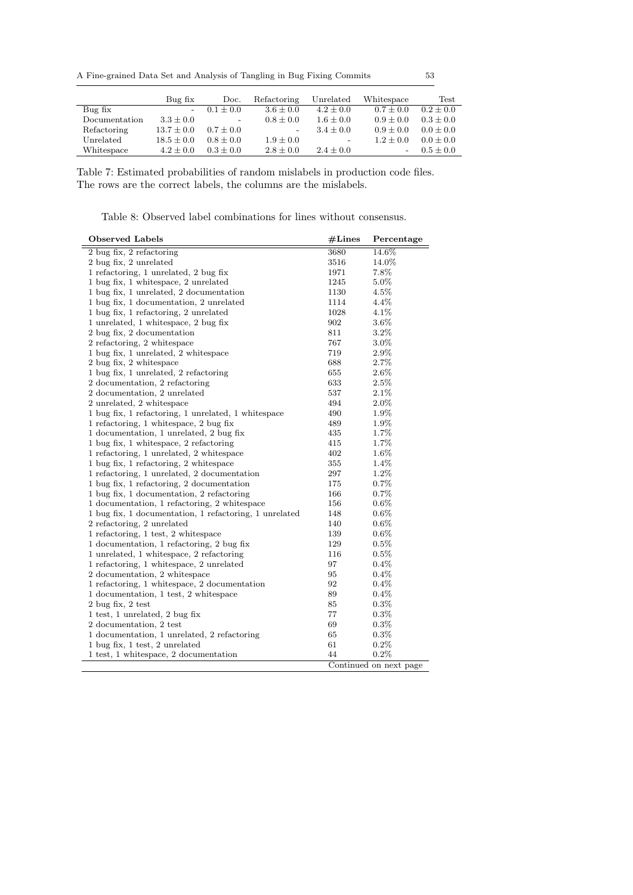A Fine-grained Data Set and Analysis of Tangling in Bug Fixing Commits 53

<span id="page-52-0"></span>

|               | Bug fix        | Doc.          | Refactoring              | Unrelated                | Whitespace    | Test          |
|---------------|----------------|---------------|--------------------------|--------------------------|---------------|---------------|
| Bug fix       | $\sim$         | $0.1 \pm 0.0$ | $3.6 \pm 0.0$            | $4.2 + 0.0$              | $0.7 \pm 0.0$ | $0.2 \pm 0.0$ |
| Documentation | $3.3 \pm 0.0$  | $\sim$        | $0.8 \pm 0.0$            | $1.6 \pm 0.0$            | $0.9 \pm 0.0$ | $0.3 \pm 0.0$ |
| Refactoring   | $13.7 \pm 0.0$ | $0.7 \pm 0.0$ | $\overline{\phantom{a}}$ | $3.4 \pm 0.0$            | $0.9 + 0.0$   | $0.0 \pm 0.0$ |
| Unrelated     | $18.5 \pm 0.0$ | $0.8 + 0.0$   | $1.9 \pm 0.0$            | $\overline{\phantom{a}}$ | $1.2 \pm 0.0$ | $0.0 \pm 0.0$ |
| Whitespace    | $4.2 \pm 0.0$  | $0.3 \pm 0.0$ | $2.8 \pm 0.0$            | $2.4 \pm 0.0$            |               | $0.5 \pm 0.0$ |

Table 7: Estimated probabilities of random mislabels in production code files. The rows are the correct labels, the columns are the mislabels.

Table 8: Observed label combinations for lines without consensus.

<span id="page-52-1"></span>

| <b>Observed Labels</b>                                 | #Lines | Percentage             |
|--------------------------------------------------------|--------|------------------------|
| 2 bug fix, 2 refactoring                               | 3680   | 14.6%                  |
| 2 bug fix, 2 unrelated                                 | 3516   | 14.0%                  |
| 1 refactoring, 1 unrelated, 2 bug fix                  | 1971   | 7.8%                   |
| 1 bug fix, 1 whitespace, 2 unrelated                   | 1245   | 5.0%                   |
| 1 bug fix, 1 unrelated, 2 documentation                | 1130   | 4.5%                   |
| 1 bug fix, 1 documentation, 2 unrelated                | 1114   | 4.4%                   |
| 1 bug fix, 1 refactoring, 2 unrelated                  | 1028   | 4.1%                   |
| 1 unrelated, 1 whitespace, 2 bug fix                   | 902    | 3.6%                   |
| 2 bug fix, 2 documentation                             | 811    | 3.2%                   |
| 2 refactoring, 2 whitespace                            | 767    | 3.0%                   |
| 1 bug fix, 1 unrelated, 2 whitespace                   | 719    | 2.9%                   |
| 2 bug fix, 2 whitespace                                | 688    | 2.7%                   |
| 1 bug fix, 1 unrelated, 2 refactoring                  | 655    | 2.6%                   |
| 2 documentation, 2 refactoring                         | 633    | $2.5\%$                |
| 2 documentation, 2 unrelated                           | 537    | 2.1%                   |
| 2 unrelated, 2 whitespace                              | 494    | 2.0%                   |
| 1 bug fix, 1 refactoring, 1 unrelated, 1 whitespace    | 490    | 1.9%                   |
| 1 refactoring, 1 whitespace, 2 bug fix                 | 489    | 1.9%                   |
| 1 documentation, 1 unrelated, 2 bug fix                | 435    | 1.7%                   |
| 1 bug fix, 1 whitespace, 2 refactoring                 | 415    | 1.7%                   |
| 1 refactoring, 1 unrelated, 2 whitespace               | 402    | 1.6%                   |
| 1 bug fix, 1 refactoring, 2 whitespace                 | 355    | 1.4%                   |
| $1$ refactoring, $1$ unrelated, $2$ documentation      | 297    | 1.2%                   |
| 1 bug fix, 1 refactoring, 2 documentation              | 175    | 0.7%                   |
| 1 bug fix, 1 documentation, 2 refactoring              | 166    | 0.7%                   |
| 1 documentation, 1 refactoring, 2 whitespace           | 156    | 0.6%                   |
| 1 bug fix, 1 documentation, 1 refactoring, 1 unrelated | 148    | $0.6\%$                |
| 2 refactoring, 2 unrelated                             | 140    | 0.6%                   |
| 1 refactoring, 1 test, 2 whitespace                    | 139    | $0.6\%$                |
| 1 documentation, 1 refactoring, 2 bug fix              | 129    | 0.5%                   |
| 1 unrelated, 1 whitespace, 2 refactoring               | 116    | 0.5%                   |
| 1 refactoring, 1 whitespace, 2 unrelated               | 97     | 0.4%                   |
| 2 documentation, 2 whitespace                          | 95     | 0.4%                   |
| 1 refactoring, 1 whitespace, 2 documentation           | 92     | 0.4%                   |
| 1 documentation, 1 test, 2 whitespace                  | 89     | 0.4%                   |
| $2$ bug fix, $2$ test                                  | 85     | 0.3%                   |
| 1 test, 1 unrelated, 2 bug fix                         | 77     | 0.3%                   |
| 2 documentation, 2 test                                | 69     | 0.3%                   |
| 1 documentation, 1 unrelated, 2 refactoring            | 65     | 0.3%                   |
| $1$ bug fix, $1$ test, $2$ unrelated                   | 61     | 0.2%                   |
| 1 test, 1 whitespace, 2 documentation                  | 44     | 0.2%                   |
|                                                        |        | Continued on next page |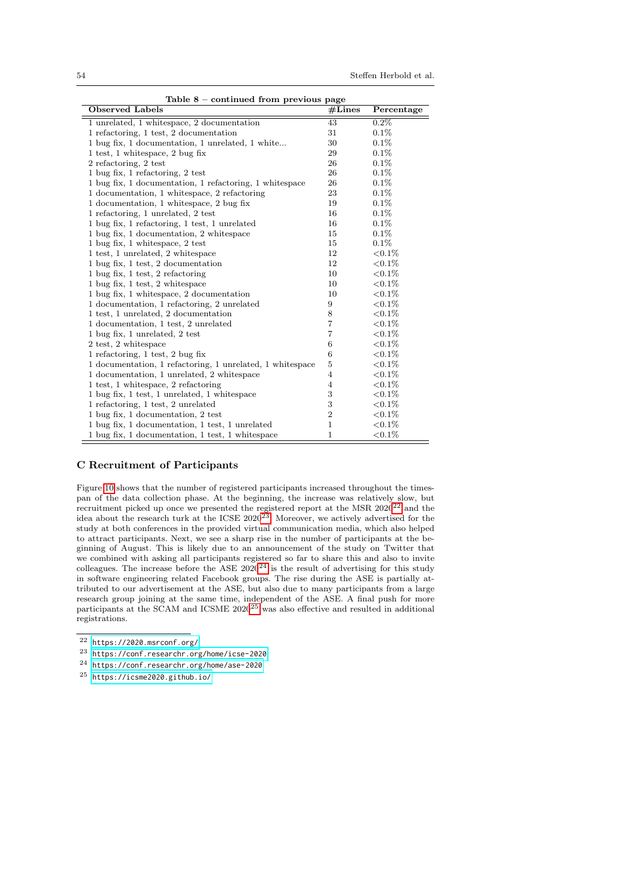| Table $8$ – continued from previous page                  |                  |            |  |  |  |  |
|-----------------------------------------------------------|------------------|------------|--|--|--|--|
| <b>Observed Labels</b>                                    | #Lines           | Percentage |  |  |  |  |
| 1 unrelated, 1 whitespace, 2 documentation                | 43               | $0.2\%$    |  |  |  |  |
| 1 refactoring, 1 test, 2 documentation                    | 31               | 0.1%       |  |  |  |  |
| 1 bug fix, 1 documentation, 1 unrelated, 1 white          | 30               | 0.1%       |  |  |  |  |
| 1 test, 1 whitespace, 2 bug fix                           | 29               | 0.1%       |  |  |  |  |
| 2 refactoring, 2 test                                     | 26               | 0.1%       |  |  |  |  |
| 1 bug fix, 1 refactoring, 2 test                          | 26               | 0.1%       |  |  |  |  |
| 1 bug fix, 1 documentation, 1 refactoring, 1 whitespace   | 26               | 0.1%       |  |  |  |  |
| 1 documentation, 1 whitespace, 2 refactoring              | 23               | 0.1%       |  |  |  |  |
| 1 documentation, 1 whitespace, 2 bug fix                  | 19               | 0.1%       |  |  |  |  |
| 1 refactoring, 1 unrelated, 2 test                        | 16               | $0.1\%$    |  |  |  |  |
| 1 bug fix, 1 refactoring, 1 test, 1 unrelated             | 16               | $0.1\%$    |  |  |  |  |
| 1 bug fix, 1 documentation, 2 whitespace                  | 15               | 0.1%       |  |  |  |  |
| 1 bug fix, 1 whitespace, 2 test                           | 15               | $0.1\%$    |  |  |  |  |
| 1 test, 1 unrelated, 2 whitespace                         | 12               | ${<}0.1\%$ |  |  |  |  |
| 1 bug fix, 1 test, 2 documentation                        | 12               | ${<}0.1\%$ |  |  |  |  |
| 1 bug fix, 1 test, 2 refactoring                          | 10               | ${<}0.1\%$ |  |  |  |  |
| 1 bug fix, 1 test, 2 whitespace                           | 10               | ${<}0.1\%$ |  |  |  |  |
| 1 bug fix, 1 whitespace, 2 documentation                  | 10               | ${<}0.1\%$ |  |  |  |  |
| 1 documentation, 1 refactoring, 2 unrelated               | 9                | ${<}0.1\%$ |  |  |  |  |
| 1 test, 1 unrelated, 2 documentation                      | 8                | ${<}0.1\%$ |  |  |  |  |
| 1 documentation, 1 test, 2 unrelated                      | $\overline{7}$   | ${<}0.1\%$ |  |  |  |  |
| 1 bug fix, 1 unrelated, 2 test                            | $\overline{7}$   | ${<}0.1\%$ |  |  |  |  |
| 2 test, 2 whitespace                                      | 6                | ${<}0.1\%$ |  |  |  |  |
| 1 refactoring, 1 test, 2 bug fix                          | 6                | ${<}0.1\%$ |  |  |  |  |
| 1 documentation, 1 refactoring, 1 unrelated, 1 whitespace | 5                | ${<}0.1\%$ |  |  |  |  |
| 1 documentation, 1 unrelated, 2 whitespace                | $\overline{4}$   | ${<}0.1\%$ |  |  |  |  |
| 1 test, 1 whitespace, 2 refactoring                       | 4                | ${<}0.1\%$ |  |  |  |  |
| 1 bug fix, 1 test, 1 unrelated, 1 whitespace              | 3                | ${<}0.1\%$ |  |  |  |  |
| 1 refactoring, 1 test, 2 unrelated                        | 3                | ${<}0.1\%$ |  |  |  |  |
| 1 bug fix, 1 documentation, 2 test                        | $\boldsymbol{2}$ | ${<}0.1\%$ |  |  |  |  |
| 1 bug fix, 1 documentation, 1 test, 1 unrelated           | $\mathbf{1}$     | ${<}0.1\%$ |  |  |  |  |
| 1 bug fix, 1 documentation, 1 test, 1 whitespace          | $\mathbf 1$      | ${<}0.1\%$ |  |  |  |  |

#### <span id="page-53-0"></span>C Recruitment of Participants

Figure [10](#page-54-0) shows that the number of registered participants increased throughout the timespan of the data collection phase. At the beginning, the increase was relatively slow, but recruitment picked up once we presented the registered report at the MSR 2020[22](#page-53-1) and the idea about the research turk at the ICSE 2020<sup>[23](#page-53-2)</sup>. Moreover, we actively advertised for the study at both conferences in the provided virtual communication media, which also helped to attract participants. Next, we see a sharp rise in the number of participants at the beginning of August. This is likely due to an announcement of the study on Twitter that we combined with asking all participants registered so far to share this and also to invite colleagues. The increase before the ASE  $2020^{24}$  $2020^{24}$  $2020^{24}$  is the result of advertising for this study in software engineering related Facebook groups. The rise during the ASE is partially attributed to our advertisement at the ASE, but also due to many participants from a large research group joining at the same time, independent of the ASE. A final push for more participants at the SCAM and ICSME 2020<sup>[25](#page-53-4)</sup> was also effective and resulted in additional registrations.

<span id="page-53-1"></span><sup>22</sup> <https://2020.msrconf.org/>

<span id="page-53-2"></span><sup>23</sup> <https://conf.researchr.org/home/icse-2020>

<span id="page-53-3"></span><sup>24</sup> <https://conf.researchr.org/home/ase-2020>

<span id="page-53-4"></span><sup>25</sup> <https://icsme2020.github.io/>